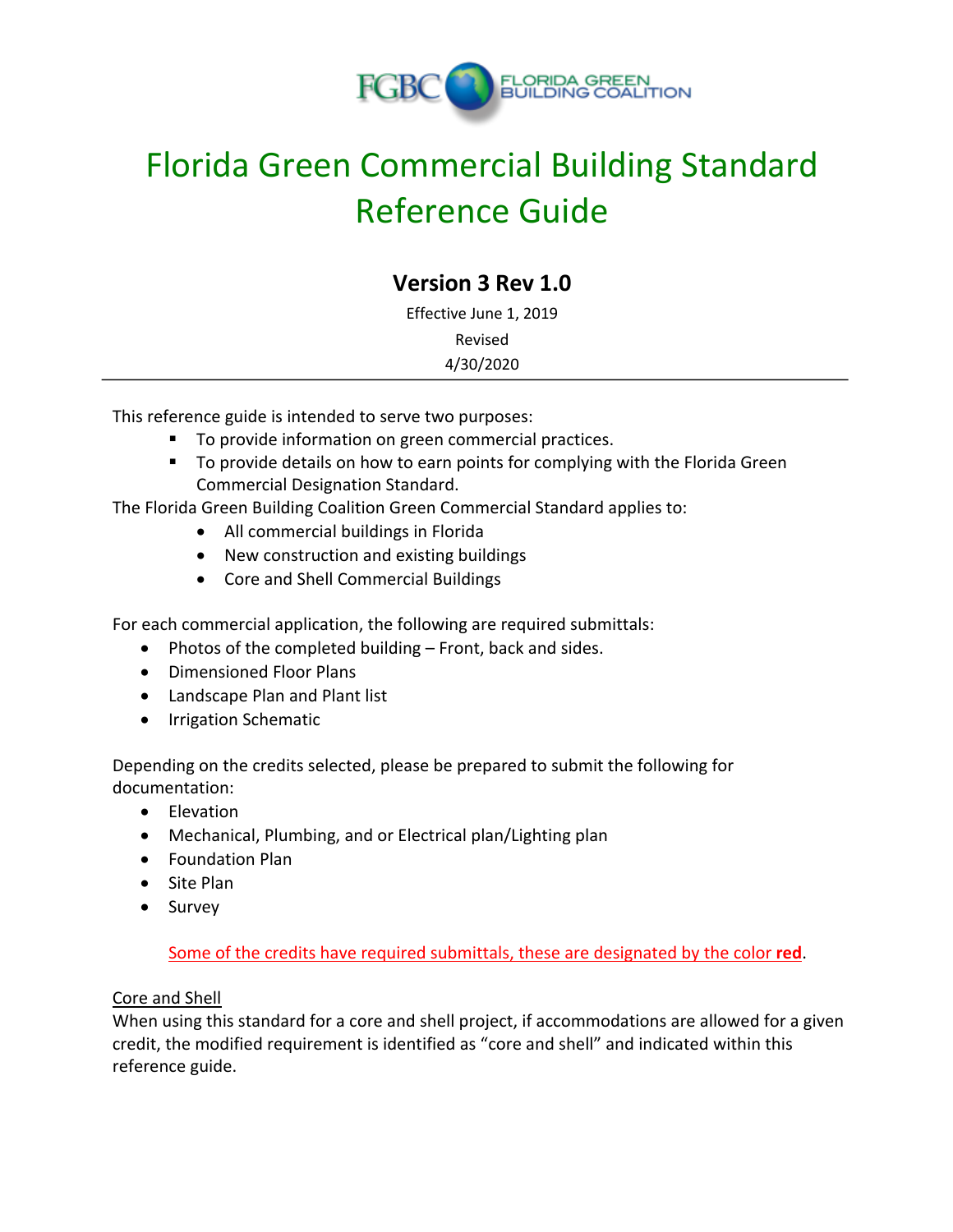

# **Version 3 Rev 1.0**

Effective June 1, 2019 Revised 4/30/2020

This reference guide is intended to serve two purposes:

- To provide information on green commercial practices.
- To provide details on how to earn points for complying with the Florida Green Commercial Designation Standard.

The Florida Green Building Coalition Green Commercial Standard applies to:

- All commercial buildings in Florida
- New construction and existing buildings
- Core and Shell Commercial Buildings

For each commercial application, the following are required submittals:

- Photos of the completed building Front, back and sides.
- Dimensioned Floor Plans
- Landscape Plan and Plant list
- Irrigation Schematic

Depending on the credits selected, please be prepared to submit the following for documentation:

- Elevation
- Mechanical, Plumbing, and or Electrical plan/Lighting plan
- Foundation Plan
- Site Plan
- Survey

Some of the credits have required submittals, these are designated by the color **red**.

#### Core and Shell

When using this standard for a core and shell project, if accommodations are allowed for a given credit, the modified requirement is identified as "core and shell" and indicated within this reference guide.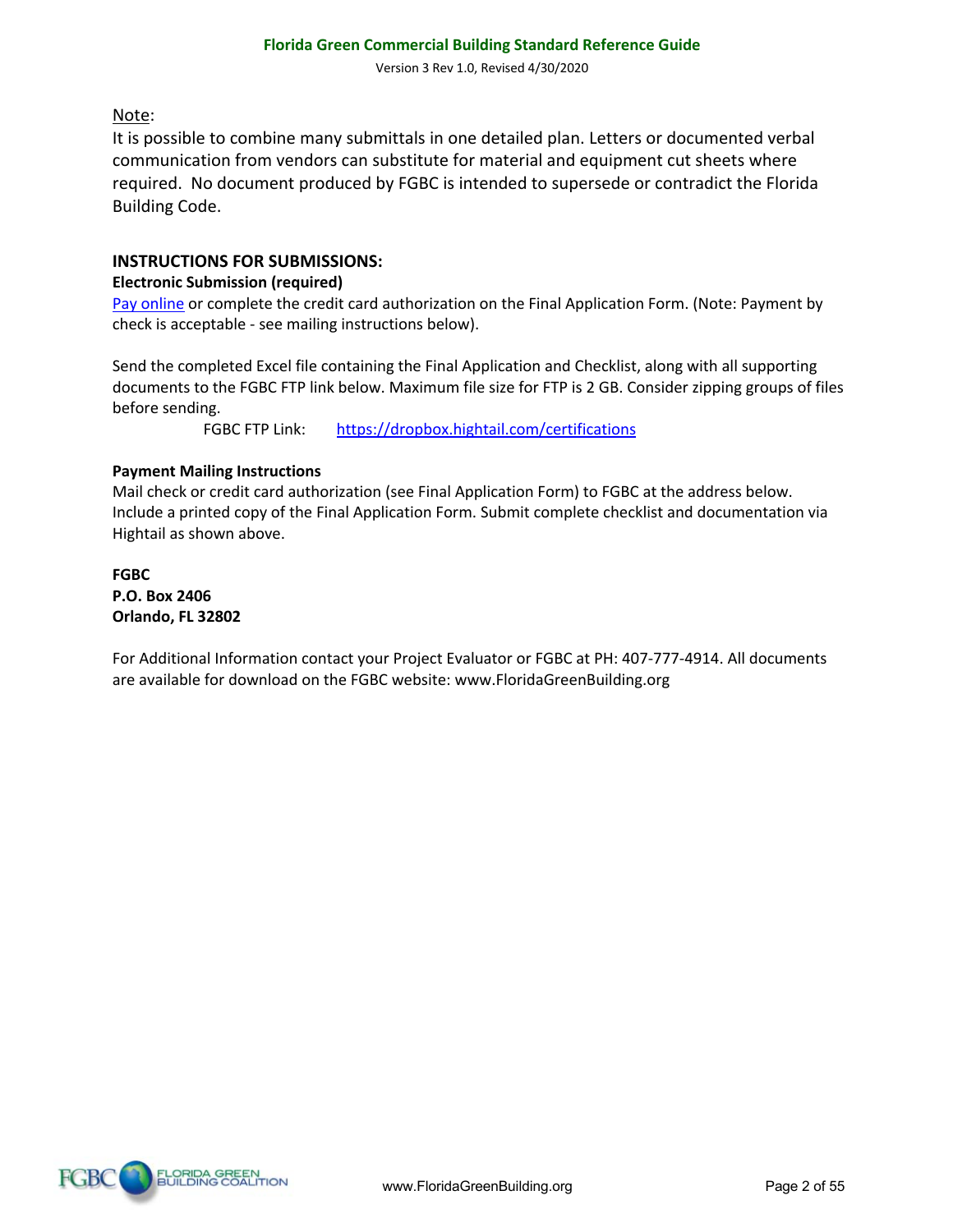#### Note:

It is possible to combine many submittals in one detailed plan. Letters or documented verbal communication from vendors can substitute for material and equipment cut sheets where required. No document produced by FGBC is intended to supersede or contradict the Florida Building Code.

#### **INSTRUCTIONS FOR SUBMISSIONS:**

#### **Electronic Submission (required)**

Pay online or complete the credit card authorization on the Final Application Form. (Note: Payment by check is acceptable - see mailing instructions below).

Send the completed Excel file containing the Final Application and Checklist, along with all supporting documents to the FGBC FTP link below. Maximum file size for FTP is 2 GB. Consider zipping groups of files before sending.

FGBC FTP Link: https://dropbox.hightail.com/certifications

#### **Payment Mailing Instructions**

Mail check or credit card authorization (see Final Application Form) to FGBC at the address below. Include a printed copy of the Final Application Form. Submit complete checklist and documentation via Hightail as shown above.

**FGBC P.O. Box 2406 Orlando, FL 32802**

For Additional Information contact your Project Evaluator or FGBC at PH: 407-777-4914. All documents are available for download on the FGBC website: www.FloridaGreenBuilding.org

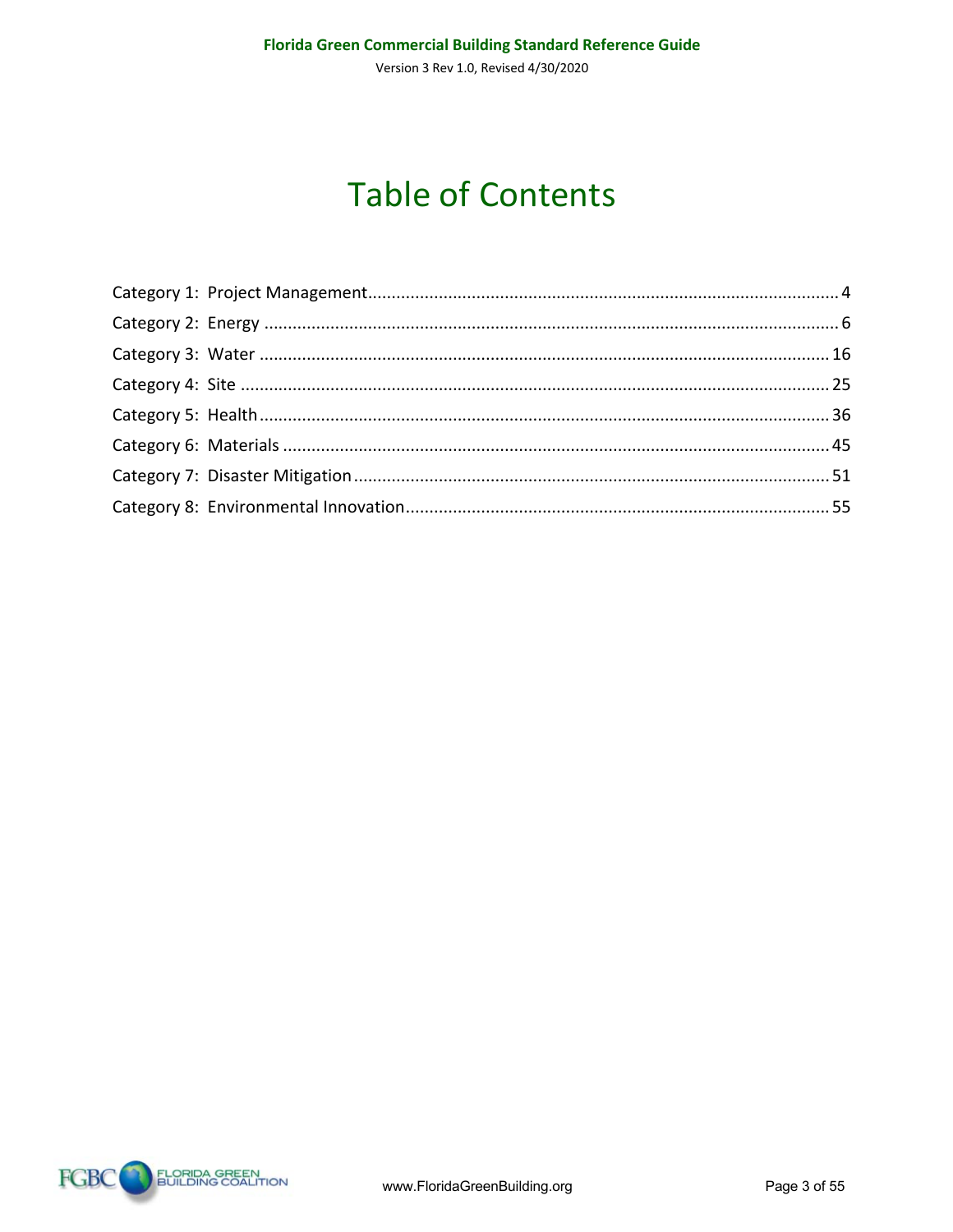# **Table of Contents**

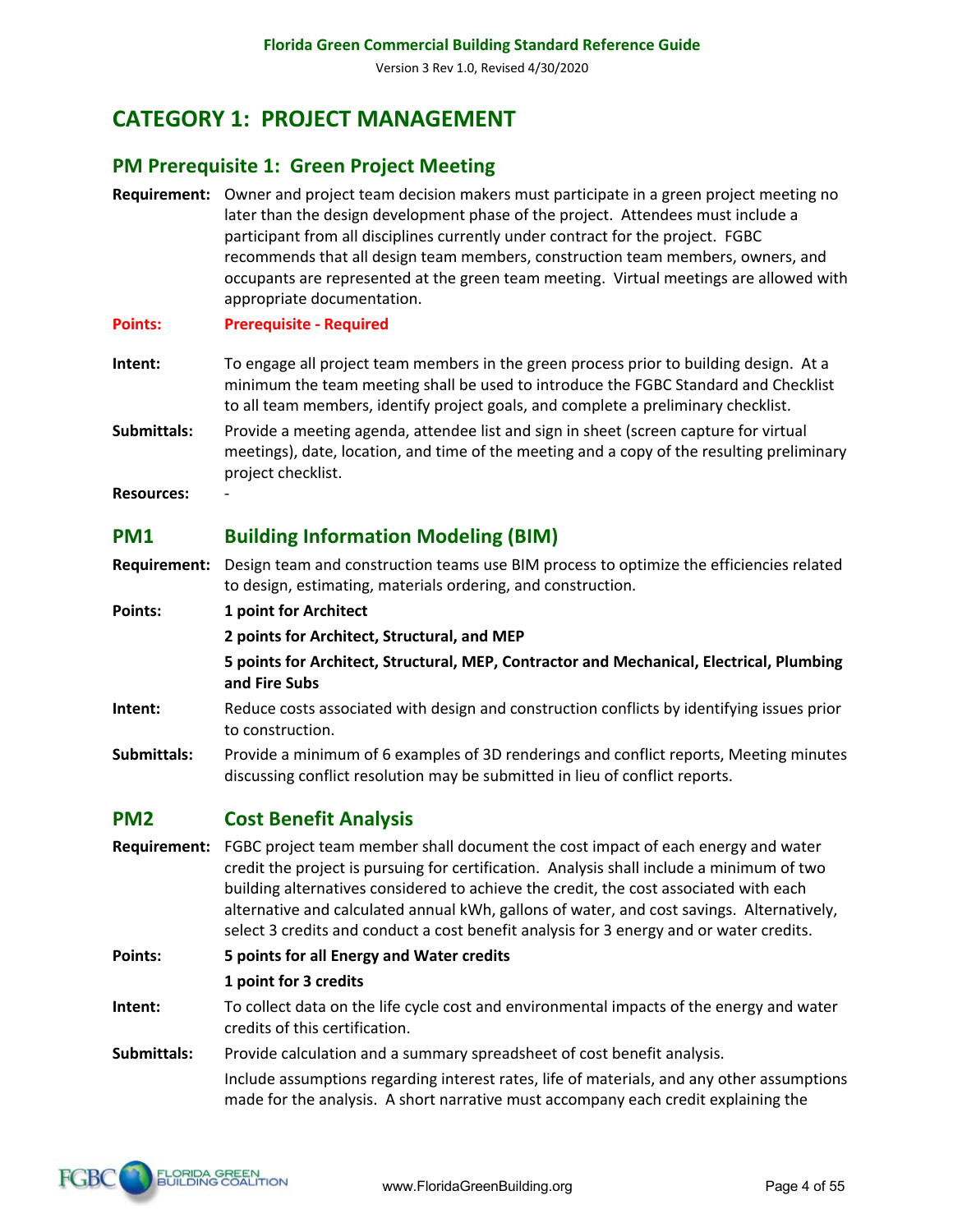# **CATEGORY 1: PROJECT MANAGEMENT**

#### **PM Prerequisite 1: Green Project Meeting**

- **Requirement:** Owner and project team decision makers must participate in a green project meeting no later than the design development phase of the project. Attendees must include a participant from all disciplines currently under contract for the project. FGBC recommends that all design team members, construction team members, owners, and occupants are represented at the green team meeting. Virtual meetings are allowed with appropriate documentation.
- **Points: Prerequisite - Required**
- **Intent:** To engage all project team members in the green process prior to building design. At a minimum the team meeting shall be used to introduce the FGBC Standard and Checklist to all team members, identify project goals, and complete a preliminary checklist.
- **Submittals:** Provide a meeting agenda, attendee list and sign in sheet (screen capture for virtual meetings), date, location, and time of the meeting and a copy of the resulting preliminary project checklist.
- **Resources:** -

# **PM1 Building Information Modeling (BIM)**

- **Requirement:** Design team and construction teams use BIM process to optimize the efficiencies related to design, estimating, materials ordering, and construction.
- **Points: 1 point for Architect**
	- **2 points for Architect, Structural, and MEP**
	- **5 points for Architect, Structural, MEP, Contractor and Mechanical, Electrical, Plumbing and Fire Subs**
- **Intent:** Reduce costs associated with design and construction conflicts by identifying issues prior to construction.
- **Submittals:** Provide a minimum of 6 examples of 3D renderings and conflict reports, Meeting minutes discussing conflict resolution may be submitted in lieu of conflict reports.

# **PM2 Cost Benefit Analysis**

**Requirement:** FGBC project team member shall document the cost impact of each energy and water credit the project is pursuing for certification. Analysis shall include a minimum of two building alternatives considered to achieve the credit, the cost associated with each alternative and calculated annual kWh, gallons of water, and cost savings. Alternatively, select 3 credits and conduct a cost benefit analysis for 3 energy and or water credits.

**Points: 5 points for all Energy and Water credits**

- **1 point for 3 credits**
- **Intent:** To collect data on the life cycle cost and environmental impacts of the energy and water credits of this certification.
- **Submittals:** Provide calculation and a summary spreadsheet of cost benefit analysis.

Include assumptions regarding interest rates, life of materials, and any other assumptions made for the analysis. A short narrative must accompany each credit explaining the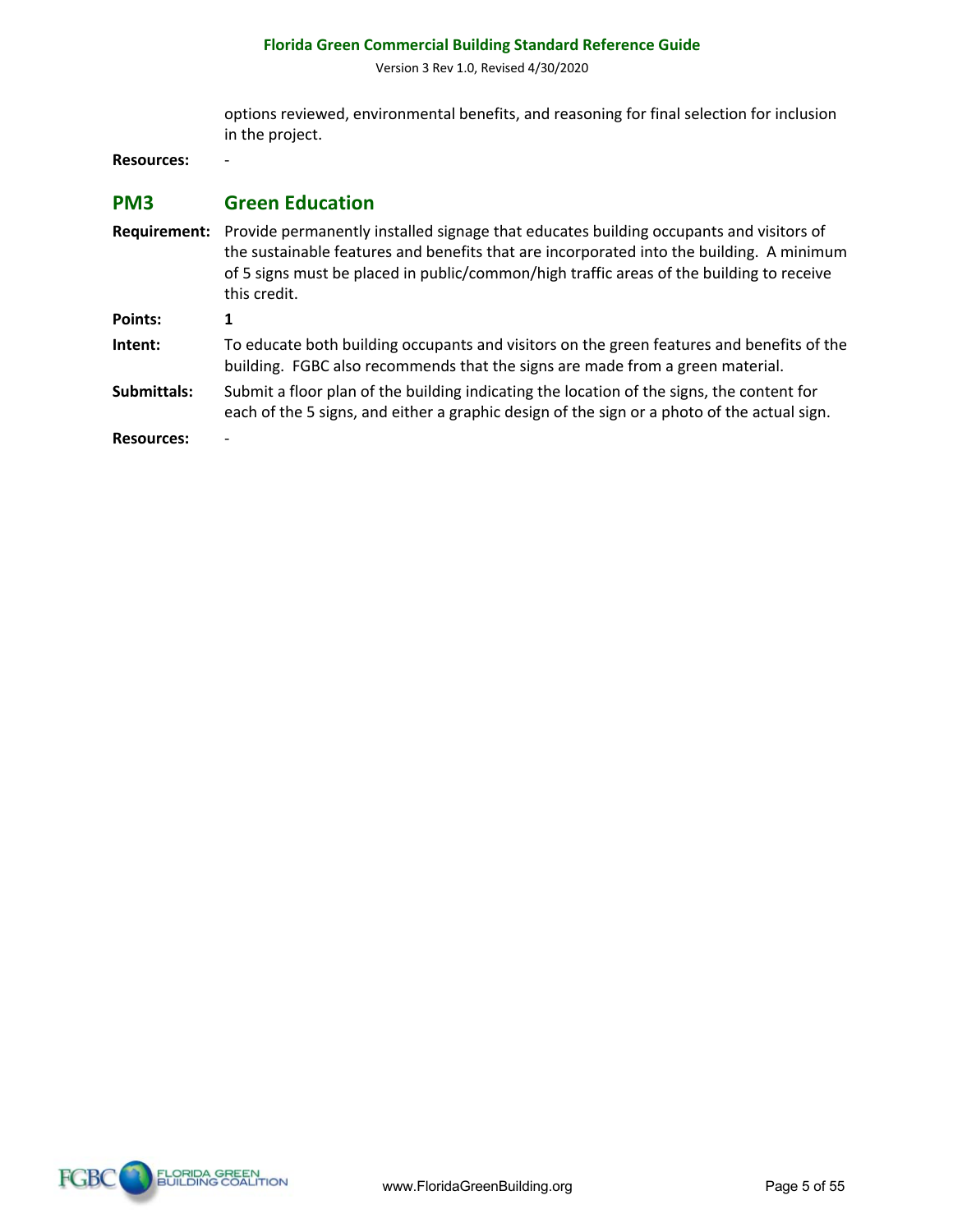Version 3 Rev 1.0, Revised 4/30/2020

options reviewed, environmental benefits, and reasoning for final selection for inclusion in the project.

**Resources:** -

#### **PM3 Green Education**

**Requirement:** Provide permanently installed signage that educates building occupants and visitors of the sustainable features and benefits that are incorporated into the building.A minimum of 5 signs must be placed in public/common/high traffic areas of the building to receive this credit. **Points: 1 Intent:** To educate both building occupants and visitors on the green features and benefits of the building. FGBC also recommends that the signs are made from a green material. **Submittals:** Submit a floor plan of the building indicating the location of the signs, the content for each of the 5 signs, and either a graphic design of the sign or a photo of the actual sign. **Resources:** -

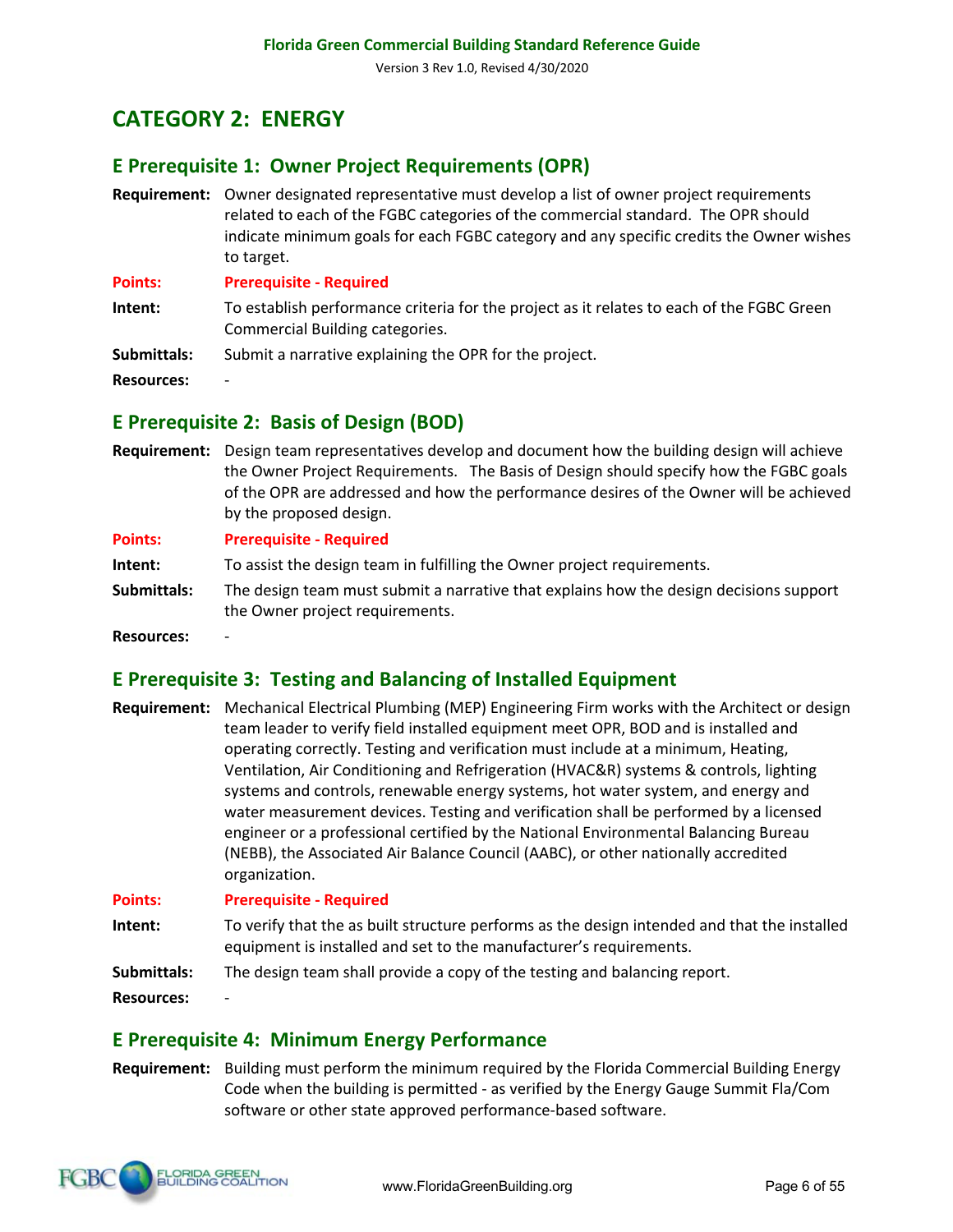# **CATEGORY 2: ENERGY**

# **E Prerequisite 1: Owner Project Requirements (OPR)**

**Requirement:** Owner designated representative must develop a list of owner project requirements related to each of the FGBC categories of the commercial standard.The OPR should indicate minimum goals for each FGBC category and any specific credits the Owner wishes to target.

**Points: Prerequisite - Required**

- **Intent:** To establish performance criteria for the project as it relates to each of the FGBC Green Commercial Building categories.
- **Submittals:** Submit a narrative explaining the OPR for the project.

**Resources:** -

#### **E Prerequisite 2: Basis of Design (BOD)**

**Requirement:** Design team representatives develop and document how the building design will achieve the Owner Project Requirements. The Basis of Design should specify how the FGBC goals of the OPR are addressed and how the performance desires of the Owner will be achieved by the proposed design.

**Points: Prerequisite - Required**

**Intent:** To assist the design team in fulfilling the Owner project requirements.

**Submittals:** The design team must submit a narrative that explains how the design decisions support the Owner project requirements.

**Resources:** -

#### **E Prerequisite 3: Testing and Balancing of Installed Equipment**

**Requirement:** Mechanical Electrical Plumbing (MEP) Engineering Firm works with the Architect or design team leader to verify field installed equipment meet OPR, BOD and is installed and operating correctly. Testing and verification must include at a minimum, Heating, Ventilation, Air Conditioning and Refrigeration (HVAC&R) systems & controls, lighting systems and controls, renewable energy systems, hot water system, and energy and water measurement devices. Testing and verification shall be performed by a licensed engineer or a professional certified by the National Environmental Balancing Bureau (NEBB), the Associated Air Balance Council (AABC), or other nationally accredited organization.

**Points: Prerequisite - Required**

**Intent:** To verify that the as built structure performs as the design intended and that the installed equipment is installed and set to the manufacturer's requirements.

**Submittals:** The design team shall provide a copy of the testing and balancing report.

**Resources:** -

#### **E Prerequisite 4: Minimum Energy Performance**

**Requirement:** Building must perform the minimum required by the Florida Commercial Building Energy Code when the building is permitted - as verified by the Energy Gauge Summit Fla/Com software or other state approved performance-based software.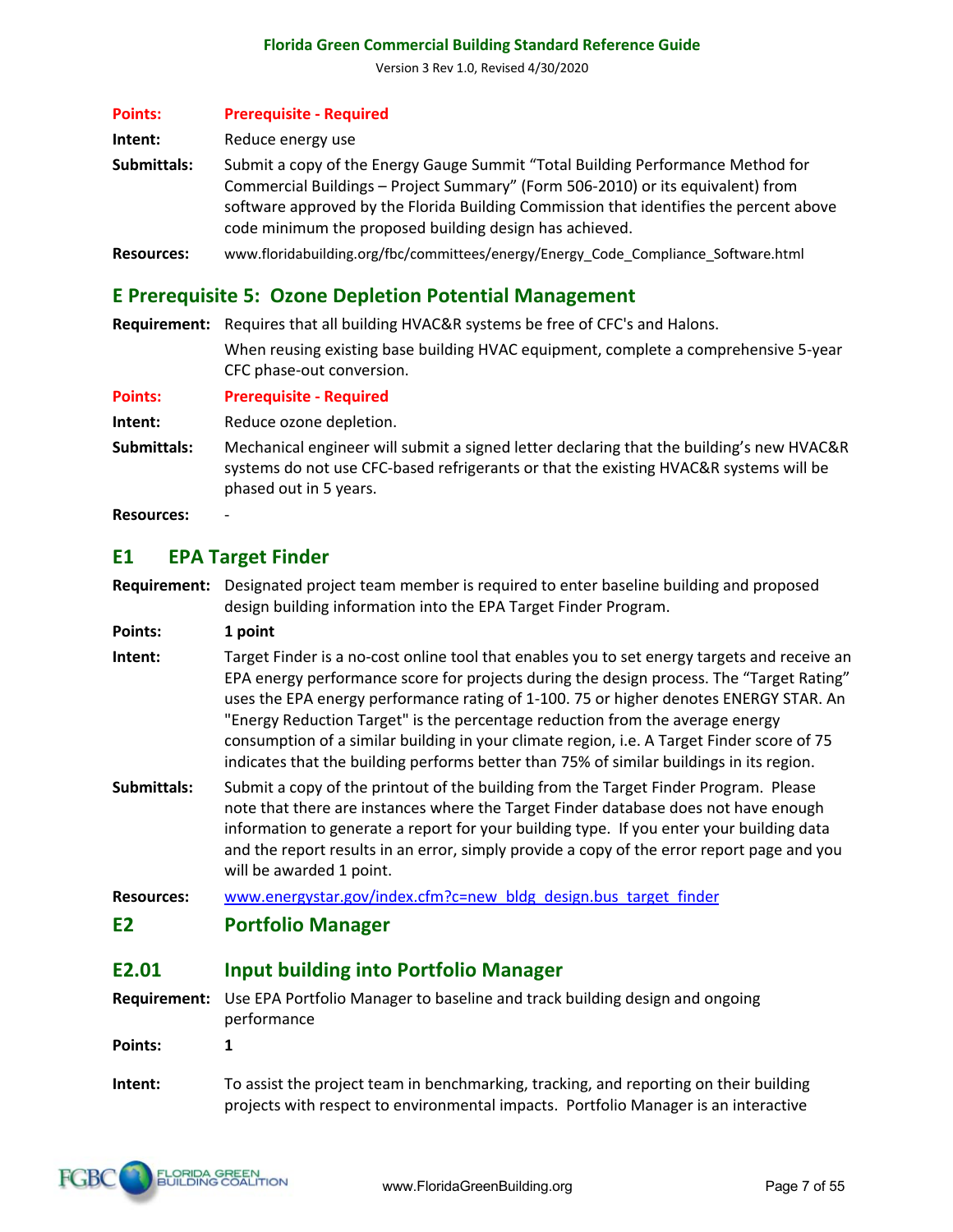Version 3 Rev 1.0, Revised 4/30/2020

| <b>Points:</b>    | <b>Prerequisite - Required</b>                                                                                                                                                                                                                                                                                          |
|-------------------|-------------------------------------------------------------------------------------------------------------------------------------------------------------------------------------------------------------------------------------------------------------------------------------------------------------------------|
| Intent:           | Reduce energy use                                                                                                                                                                                                                                                                                                       |
| Submittals:       | Submit a copy of the Energy Gauge Summit "Total Building Performance Method for<br>Commercial Buildings - Project Summary" (Form 506-2010) or its equivalent) from<br>software approved by the Florida Building Commission that identifies the percent above<br>code minimum the proposed building design has achieved. |
| <b>Resources:</b> | www.floridabuilding.org/fbc/committees/energy/Energy_Code_Compliance_Software.html                                                                                                                                                                                                                                      |

#### **E Prerequisite 5: Ozone Depletion Potential Management**

**Requirement:** Requires that all building HVAC&R systems be free of CFC's and Halons. When reusing existing base building HVAC equipment, complete a comprehensive 5-year CFC phase-out conversion.

**Points: Prerequisite - Required**

**Intent:** Reduce ozone depletion.

**Submittals:** Mechanical engineer will submit a signed letter declaring that the building's new HVAC&R systems do not use CFC-based refrigerants or that the existing HVAC&R systems will be phased out in 5 years.

**Resources:** -

#### **E1 EPA Target Finder**

**Requirement:** Designated project team member is required to enter baseline building and proposed design building information into the EPA Target Finder Program.

**Points: 1 point** 

**Intent:** Target Finder is a no-cost online tool that enables you to set energy targets and receive an EPA energy performance score for projects during the design process. The "Target Rating" uses the EPA energy performance rating of 1-100. 75 or higher denotes ENERGY STAR. An "Energy Reduction Target" is the percentage reduction from the average energy consumption of a similar building in your climate region, i.e. A Target Finder score of 75 indicates that the building performs better than 75% of similar buildings in its region.

**Submittals:** Submit a copy of the printout of the building from the Target Finder Program. Please note that there are instances where the Target Finder database does not have enough information to generate a report for your building type. If you enter your building data and the report results in an error, simply provide a copy of the error report page and you will be awarded 1 point.

**Resources:** www.energystar.gov/index.cfm?c=new\_bldg\_design.bus\_target\_finder

**E2 Portfolio Manager**

#### **E2.01 Input building into Portfolio Manager**

**Requirement:** Use EPA Portfolio Manager to baseline and track building design and ongoing performance **Points: 1**

**Intent:** To assist the project team in benchmarking, tracking, and reporting on their building projects with respect to environmental impacts. Portfolio Manager is an interactive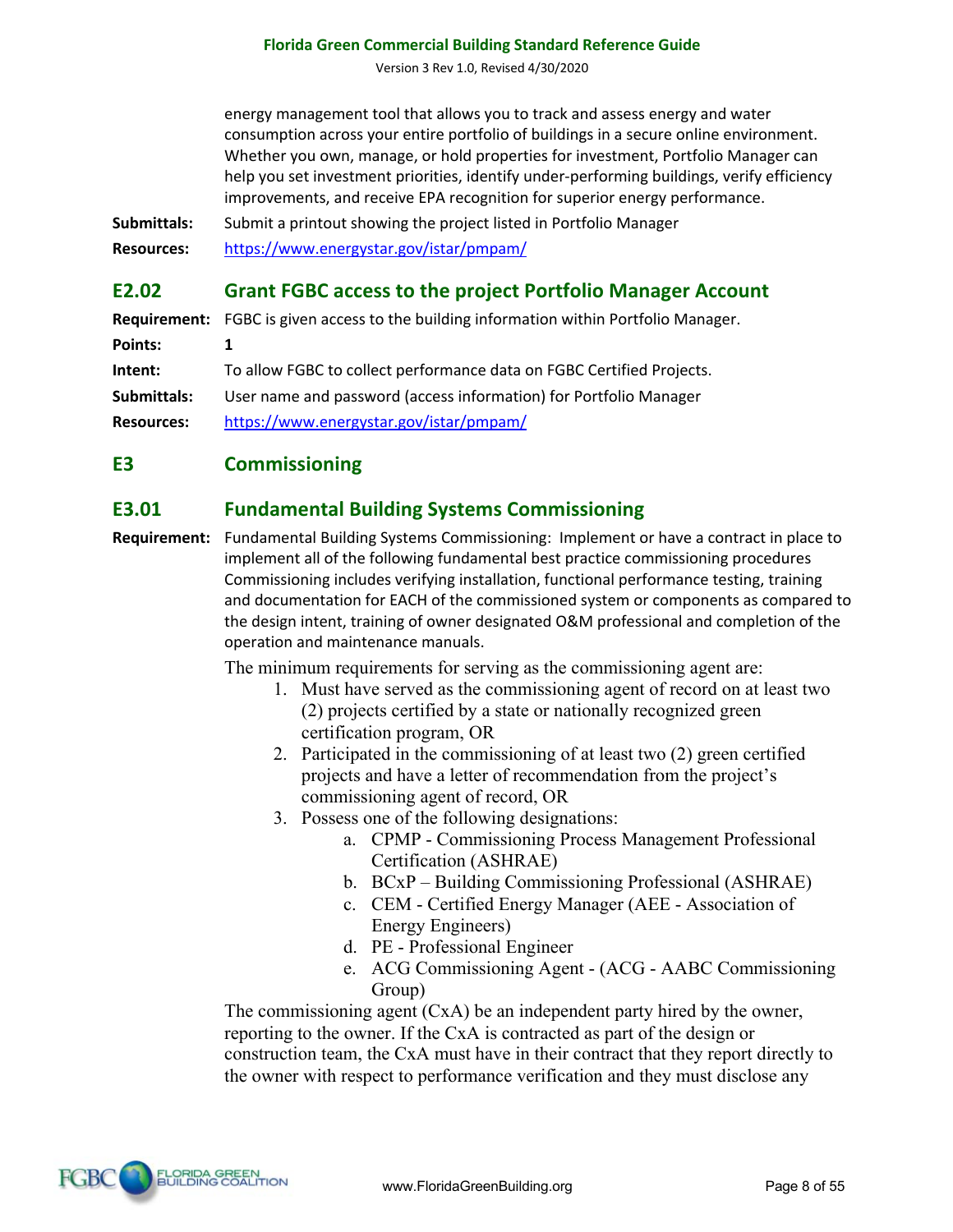Version 3 Rev 1.0, Revised 4/30/2020

energy management tool that allows you to track and assess energy and water consumption across your entire portfolio of buildings in a secure online environment. Whether you own, manage, or hold properties for investment, Portfolio Manager can help you set investment priorities, identify under-performing buildings, verify efficiency improvements, and receive EPA recognition for superior energy performance.

**Submittals:** Submit a printout showing the project listed in Portfolio Manager

**Resources:** https://www.energystar.gov/istar/pmpam/

#### **E2.02 Grant FGBC access to the project Portfolio Manager Account**

**Requirement:** FGBC is given access to the building information within Portfolio Manager. **Points: 1 Intent:** To allow FGBC to collect performance data on FGBC Certified Projects. **Submittals:** User name and password (access information) for Portfolio Manager **Resources:** https://www.energystar.gov/istar/pmpam/

#### **E3 Commissioning**

#### **E3.01 Fundamental Building Systems Commissioning**

**Requirement:** Fundamental Building Systems Commissioning: Implement or have a contract in place to implement all of the following fundamental best practice commissioning procedures Commissioning includes verifying installation, functional performance testing, training and documentation for EACH of the commissioned system or components as compared to the design intent, training of owner designated O&M professional and completion of the operation and maintenance manuals.

The minimum requirements for serving as the commissioning agent are:

- 1. Must have served as the commissioning agent of record on at least two (2) projects certified by a state or nationally recognized green certification program, OR
- 2. Participated in the commissioning of at least two (2) green certified projects and have a letter of recommendation from the project's commissioning agent of record, OR
- 3. Possess one of the following designations:
	- a. CPMP Commissioning Process Management Professional Certification (ASHRAE)
	- b. BCxP Building Commissioning Professional (ASHRAE)
	- c. CEM Certified Energy Manager (AEE Association of Energy Engineers)
	- d. PE Professional Engineer
	- e. ACG Commissioning Agent (ACG AABC Commissioning Group)

The commissioning agent (CxA) be an independent party hired by the owner, reporting to the owner. If the CxA is contracted as part of the design or construction team, the CxA must have in their contract that they report directly to the owner with respect to performance verification and they must disclose any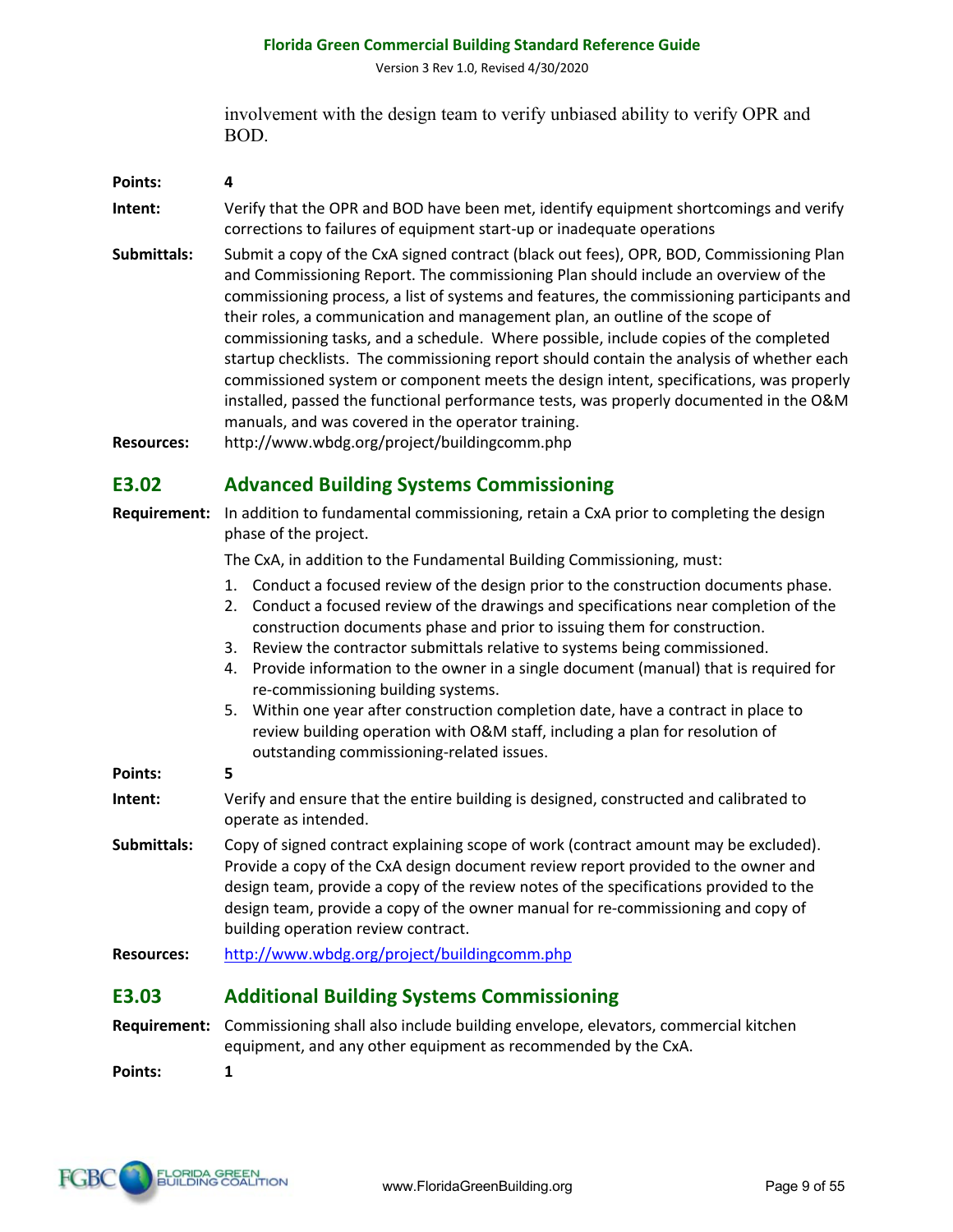Version 3 Rev 1.0, Revised 4/30/2020

involvement with the design team to verify unbiased ability to verify OPR and BOD.

| Points:     | 4                                                                                                                                                                                                                                                                                                                                                                                                                                                                                                                                                                                                                                        |
|-------------|------------------------------------------------------------------------------------------------------------------------------------------------------------------------------------------------------------------------------------------------------------------------------------------------------------------------------------------------------------------------------------------------------------------------------------------------------------------------------------------------------------------------------------------------------------------------------------------------------------------------------------------|
| Intent:     | Verify that the OPR and BOD have been met, identify equipment shortcomings and verify<br>corrections to failures of equipment start-up or inadequate operations                                                                                                                                                                                                                                                                                                                                                                                                                                                                          |
| Submittals: | Submit a copy of the CxA signed contract (black out fees), OPR, BOD, Commissioning Plan<br>and Commissioning Report. The commissioning Plan should include an overview of the<br>commissioning process, a list of systems and features, the commissioning participants and<br>their roles, a communication and management plan, an outline of the scope of<br>commissioning tasks, and a schedule. Where possible, include copies of the completed<br>startup checklists. The commissioning report should contain the analysis of whether each<br>commissioned system or component meets the design intent, specifications, was properly |

**Resources:** http://www.wbdg.org/project/buildingcomm.php

#### **E3.02 Advanced Building Systems Commissioning**

manuals, and was covered in the operator training.

**Requirement:** In addition to fundamental commissioning, retain a CxA prior to completing the design phase of the project.

The CxA, in addition to the Fundamental Building Commissioning, must:

1. Conduct a focused review of the design prior to the construction documents phase.

installed, passed the functional performance tests, was properly documented in the O&M

- 2. Conduct a focused review of the drawings and specifications near completion of the construction documents phase and prior to issuing them for construction.
- 3. Review the contractor submittals relative to systems being commissioned.
- 4. Provide information to the owner in a single document (manual) that is required for re-commissioning building systems.
- 5. Within one year after construction completion date, have a contract in place to review building operation with O&M staff, including a plan for resolution of outstanding commissioning-related issues.

**Points: 5**

- **Intent:** Verify and ensure that the entire building is designed, constructed and calibrated to operate as intended.
- **Submittals:** Copy of signed contract explaining scope of work (contract amount may be excluded). Provide a copy of the CxA design document review report provided to the owner and design team, provide a copy of the review notes of the specifications provided to the design team, provide a copy of the owner manual for re-commissioning and copy of building operation review contract.

**Resources:** http://www.wbdg.org/project/buildingcomm.php

# **E3.03 Additional Building Systems Commissioning**

**Requirement:** Commissioning shall also include building envelope, elevators, commercial kitchen equipment, and any other equipment as recommended by the CxA.

**Points: 1**

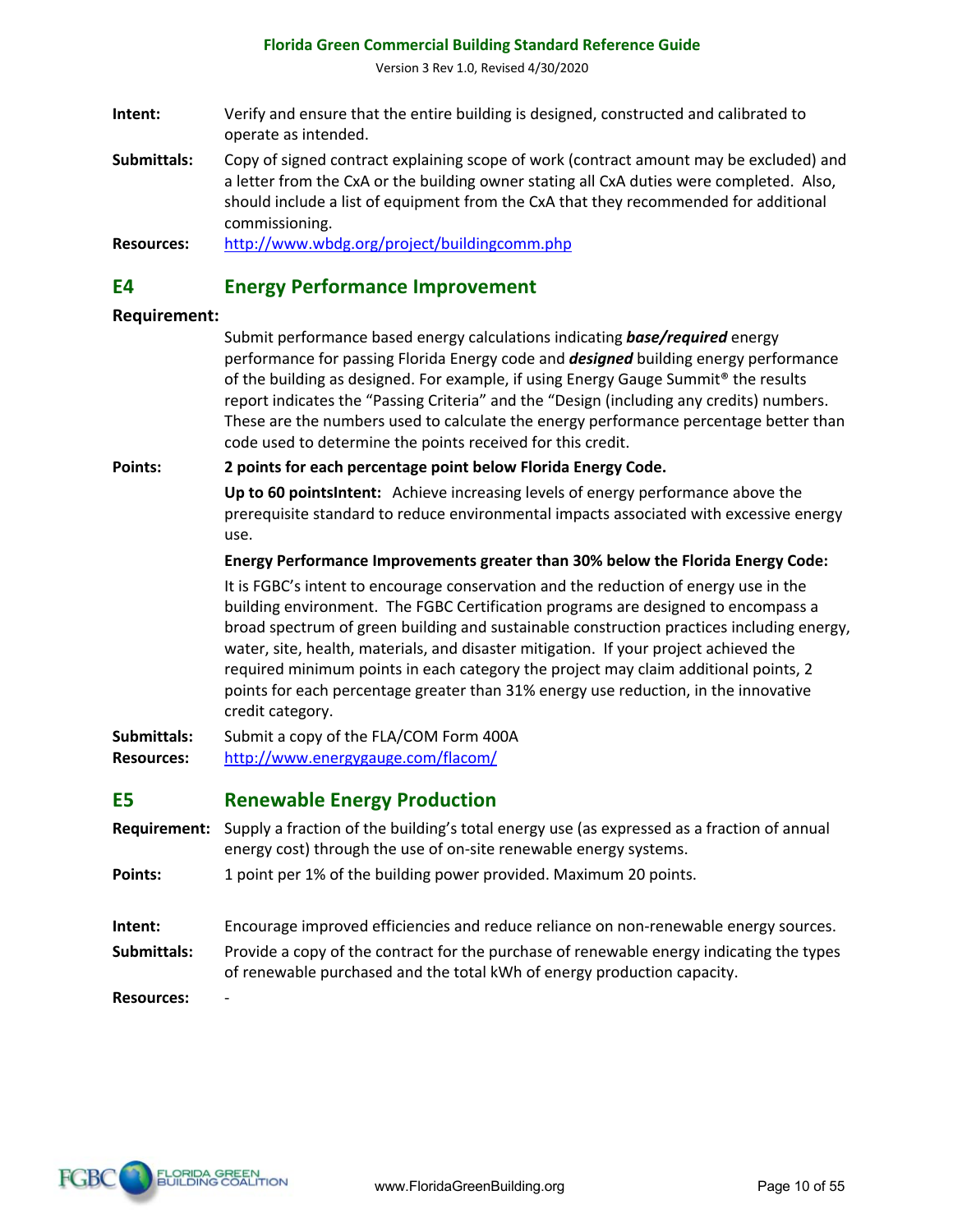Version 3 Rev 1.0, Revised 4/30/2020

- **Intent:** Verify and ensure that the entire building is designed, constructed and calibrated to operate as intended.
- **Submittals:** Copy of signed contract explaining scope of work (contract amount may be excluded) and a letter from the CxA or the building owner stating all CxA duties were completed. Also, should include a list of equipment from the CxA that they recommended for additional commissioning.

**Resources:** http://www.wbdg.org/project/buildingcomm.php

#### **E4 Energy Performance Improvement**

#### **Requirement:**

Submit performance based energy calculations indicating *base/required* energy performance for passing Florida Energy code and *designed* building energy performance of the building as designed. For example, if using Energy Gauge Summit® the results report indicates the "Passing Criteria" and the "Design (including any credits) numbers. These are the numbers used to calculate the energy performance percentage better than code used to determine the points received for this credit.

#### **Points: 2 points for each percentage point below Florida Energy Code.**

**Up to 60 pointsIntent:** Achieve increasing levels of energy performance above the prerequisite standard to reduce environmental impacts associated with excessive energy use.

#### **Energy Performance Improvements greater than 30% below the Florida Energy Code:**

It is FGBC's intent to encourage conservation and the reduction of energy use in the building environment. The FGBC Certification programs are designed to encompass a broad spectrum of green building and sustainable construction practices including energy, water, site, health, materials, and disaster mitigation. If your project achieved the required minimum points in each category the project may claim additional points, 2 points for each percentage greater than 31% energy use reduction, in the innovative credit category.

**Submittals:** Submit a copy of the FLA/COM Form 400A **Resources:** http://www.energygauge.com/flacom/

#### **E5 Renewable Energy Production**

- **Requirement:** Supply a fraction of the building's total energy use (as expressed as a fraction of annual energy cost) through the use of on-site renewable energy systems.
- **Points:** 1 point per 1% of the building power provided. Maximum 20 points.
- **Intent:** Encourage improved efficiencies and reduce reliance on non-renewable energy sources.
- **Submittals:** Provide a copy of the contract for the purchase of renewable energy indicating the types of renewable purchased and the total kWh of energy production capacity.

**Resources:** -

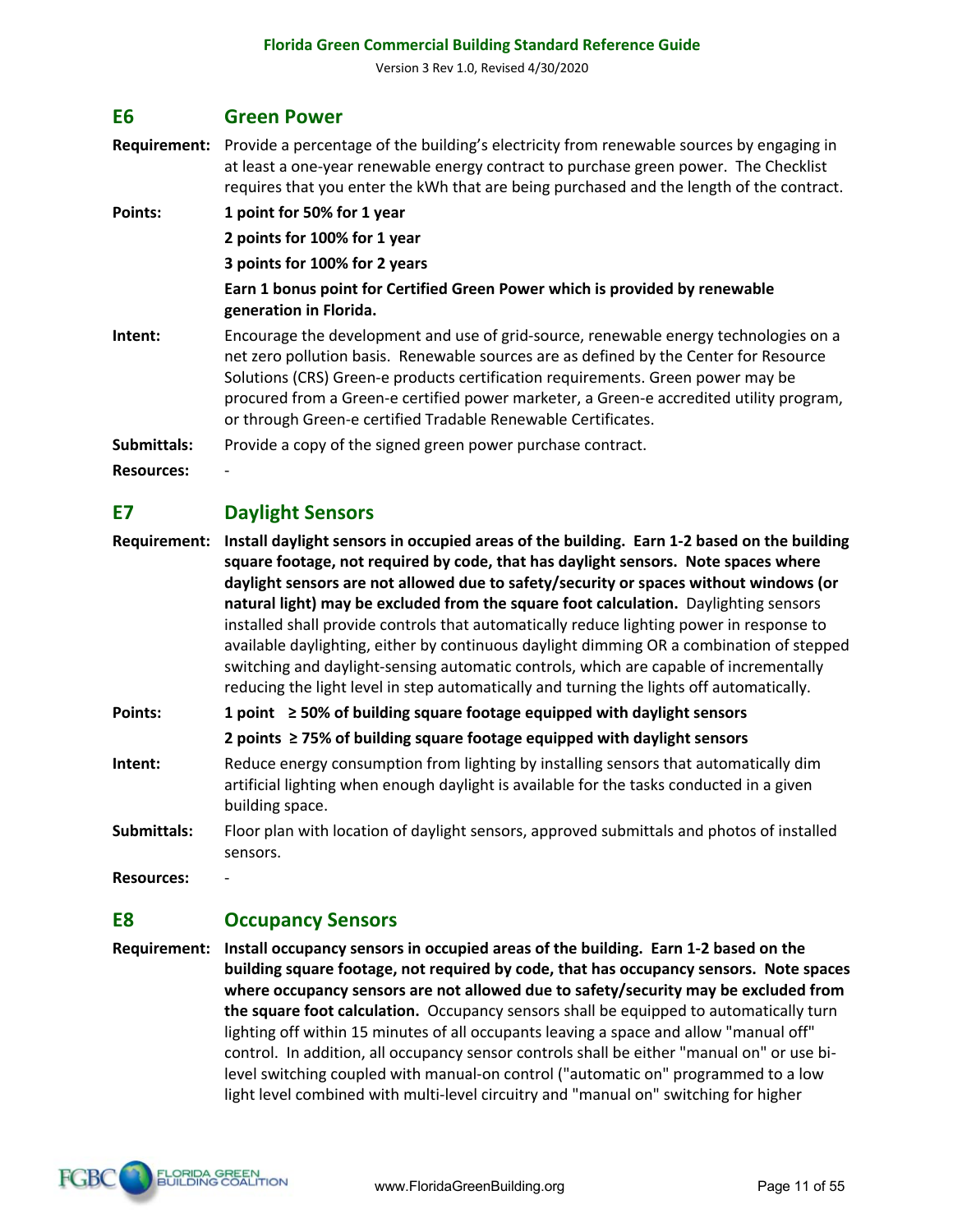#### **E6 Green Power**

**Requirement:** Provide a percentage of the building's electricity from renewable sources by engaging in at least a one-year renewable energy contract to purchase green power. The Checklist requires that you enter the kWh that are being purchased and the length of the contract.

**Points: 1 point for 50% for 1 year 2 points for 100% for 1 year 3 points for 100% for 2 years Earn 1 bonus point for Certified Green Power which is provided by renewable generation in Florida. Intent:** Encourage the development and use of grid-source, renewable energy technologies on a net zero pollution basis. Renewable sources are as defined by the Center for Resource Solutions (CRS) Green-e products certification requirements. Green power may be procured from a Green-e certified power marketer, a Green-e accredited utility program, or through Green-e certified Tradable Renewable Certificates.

Submittals: Provide a copy of the signed green power purchase contract.

**Resources:** -

# **E7 Daylight Sensors**

**Requirement: Install daylight sensors in occupied areas of the building. Earn 1-2 based on the building square footage, not required by code, that has daylight sensors. Note spaces where daylight sensors are not allowed due to safety/security or spaces without windows (or natural light) may be excluded from the square foot calculation.** Daylighting sensors installed shall provide controls that automatically reduce lighting power in response to available daylighting, either by continuous daylight dimming OR a combination of stepped switching and daylight-sensing automatic controls, which are capable of incrementally reducing the light level in step automatically and turning the lights off automatically.

**Points: 1 point ≥ 50% of building square footage equipped with daylight sensors**

**2 points ≥ 75% of building square footage equipped with daylight sensors**

- **Intent:** Reduce energy consumption from lighting by installing sensors that automatically dim artificial lighting when enough daylight is available for the tasks conducted in a given building space.
- **Submittals:** Floor plan with location of daylight sensors, approved submittals and photos of installed sensors.

**Resources:** -

# **E8 Occupancy Sensors**

**Requirement: Install occupancy sensors in occupied areas of the building. Earn 1-2 based on the building square footage, not required by code, that has occupancy sensors. Note spaces where occupancy sensors are not allowed due to safety/security may be excluded from the square foot calculation.** Occupancy sensors shall be equipped to automatically turn lighting off within 15 minutes of all occupants leaving a space and allow "manual off" control. In addition, all occupancy sensor controls shall be either "manual on" or use bilevel switching coupled with manual-on control ("automatic on" programmed to a low light level combined with multi-level circuitry and "manual on" switching for higher

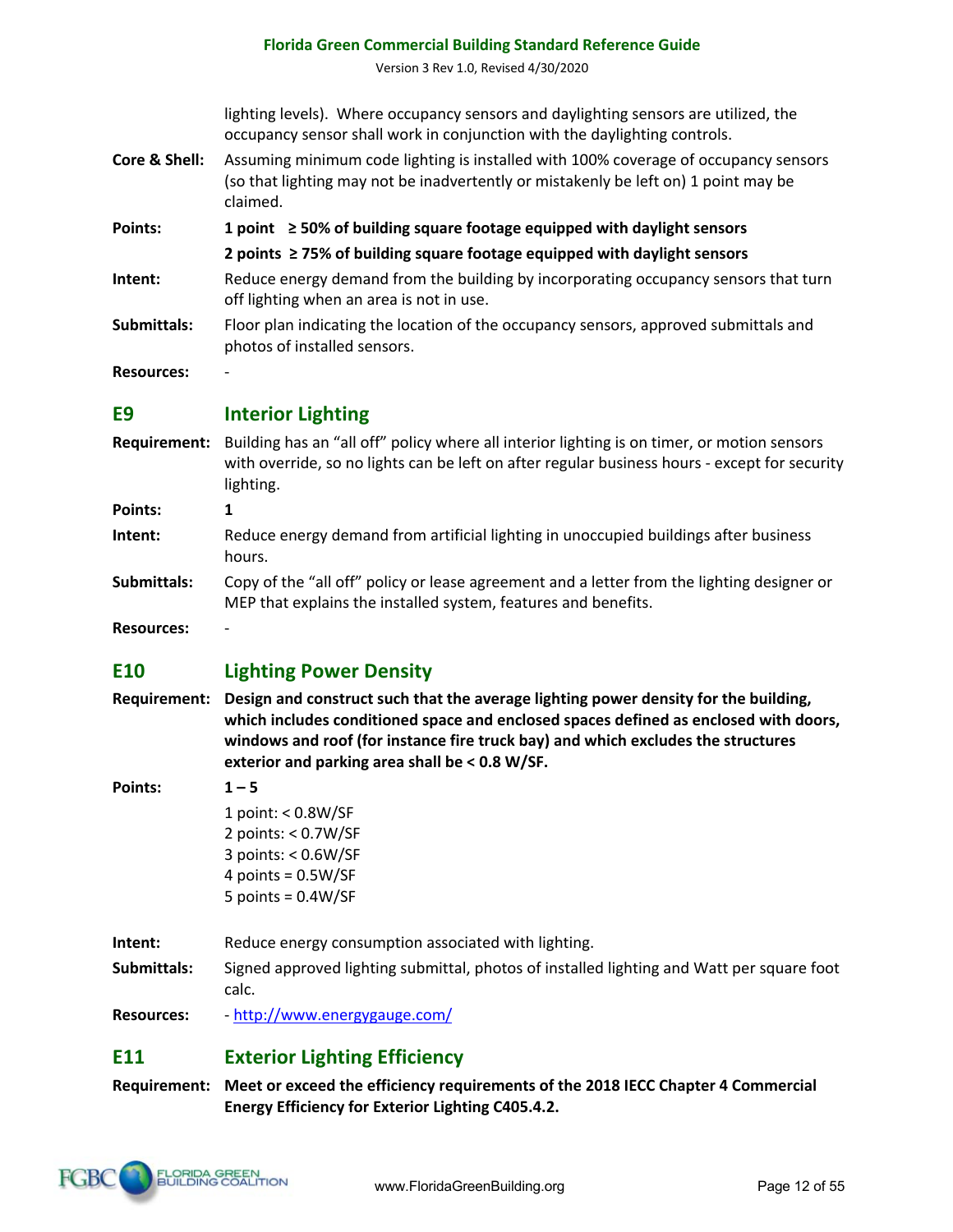# **E10 Lighting Power Density**

**Florida Green Commercial Building Standard Reference Guide** Version 3 Rev 1.0, Revised 4/30/2020

occupancy sensor shall work in conjunction with the daylighting controls. **Core & Shell:** Assuming minimum code lighting is installed with 100% coverage of occupancy sensors

**2 points ≥ 75% of building square footage equipped with daylight sensors Intent:** Reduce energy demand from the building by incorporating occupancy sensors that turn

**Submittals:** Floor plan indicating the location of the occupancy sensors, approved submittals and

**Requirement:** Building has an "all off" policy where all interior lighting is on timer, or motion sensors

**Intent:** Reduce energy demand from artificial lighting in unoccupied buildings after business

MEP that explains the installed system, features and benefits.

**Submittals:** Copy of the "all off" policy or lease agreement and a letter from the lighting designer or

with override, so no lights can be left on after regular business hours - except for security

**Points: 1 point ≥ 50% of building square footage equipped with daylight sensors**

off lighting when an area is not in use.

photos of installed sensors.

lighting levels). Where occupancy sensors and daylighting sensors are utilized, the

(so that lighting may not be inadvertently or mistakenly be left on) 1 point may be

- **Requirement: Design and construct such that the average lighting power density for the building, which includes conditioned space and enclosed spaces defined as enclosed with doors, windows and roof (for instance fire truck bay) and which excludes the structures exterior and parking area shall be < 0.8 W/SF.**
- **Points: 1 – 5**

**Resources:** -

**Points: 1**

**Resources:** -

1 point: < 0.8W/SF 2 points: < 0.7W/SF 3 points: < 0.6W/SF 4 points =  $0.5W/SF$ 5 points = 0.4W/SF

claimed.

**E9 Interior Lighting**

lighting.

hours.

**Intent:** Reduce energy consumption associated with lighting.

**Submittals:** Signed approved lighting submittal, photos of installed lighting and Watt per square foot calc.

**Resources:** - http://www.energygauge.com/

# **E11 Exterior Lighting Efficiency**

**Requirement: Meet or exceed the efficiency requirements of the 2018 IECC Chapter 4 Commercial Energy Efficiency for Exterior Lighting C405.4.2.**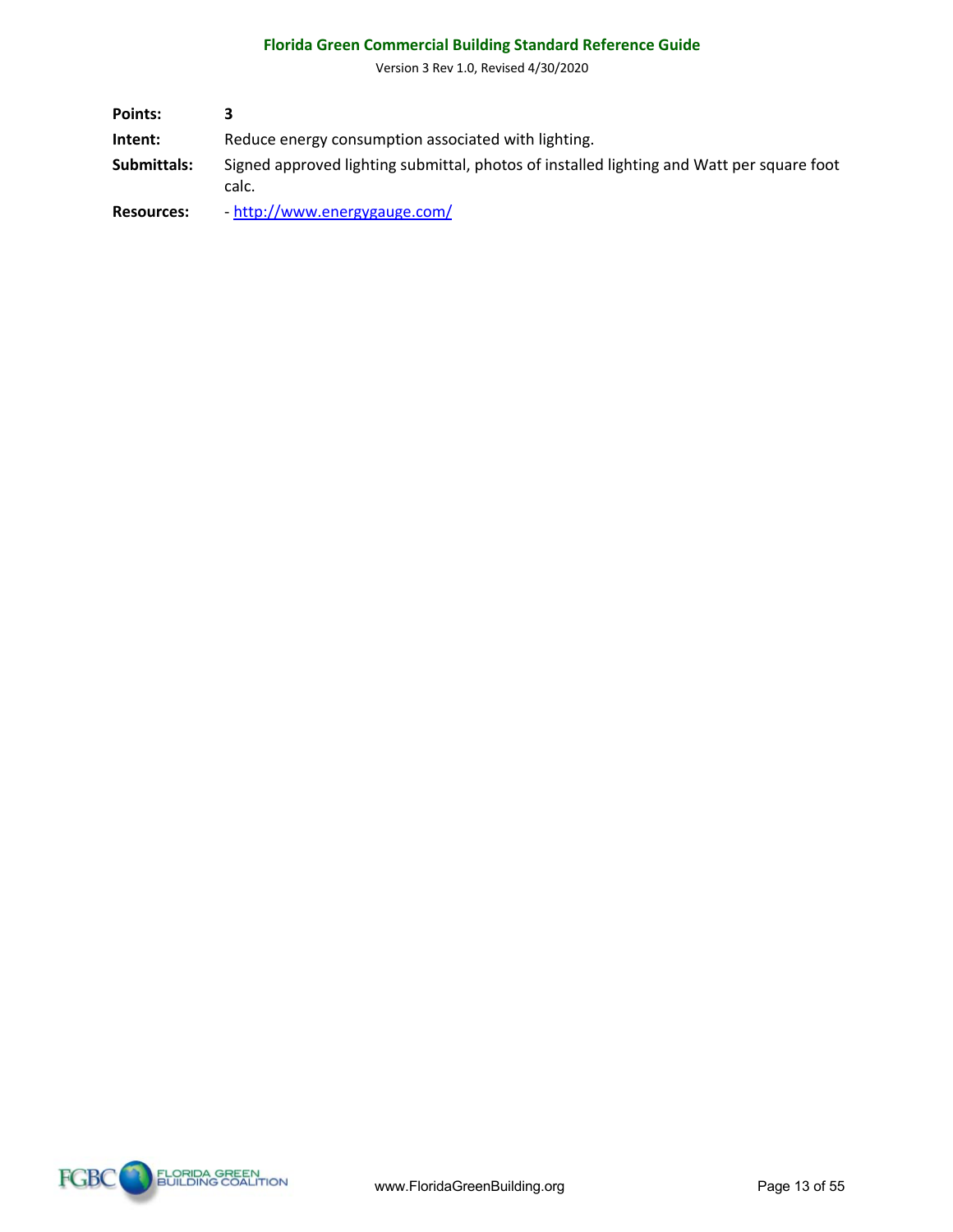Version 3 Rev 1.0, Revised 4/30/2020

| Points:           |                                                                                                    |
|-------------------|----------------------------------------------------------------------------------------------------|
| Intent:           | Reduce energy consumption associated with lighting.                                                |
| Submittals:       | Signed approved lighting submittal, photos of installed lighting and Watt per square foot<br>calc. |
| <b>Resources:</b> | - http://www.energygauge.com/                                                                      |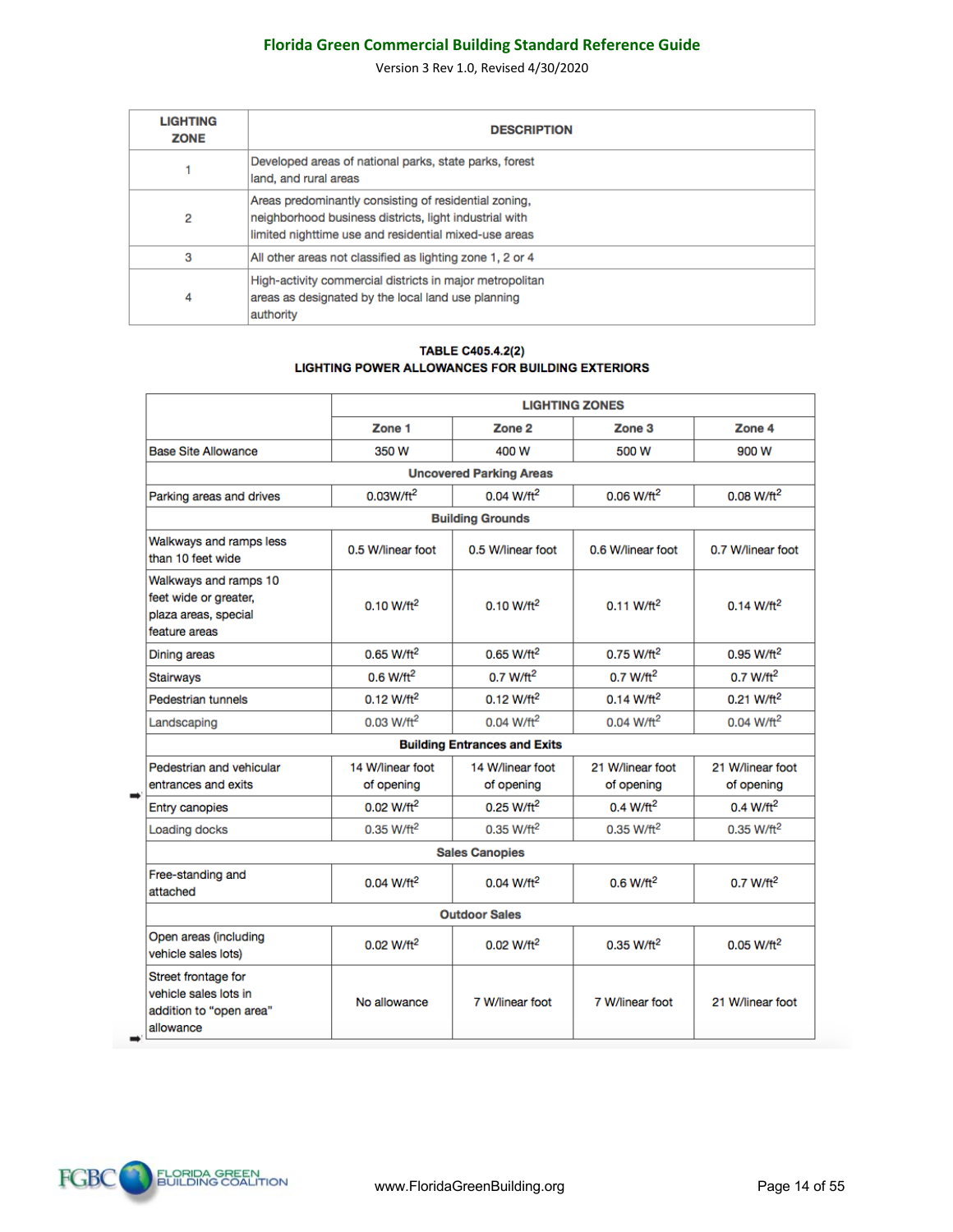Version 3 Rev 1.0, Revised 4/30/2020

| <b>LIGHTING</b><br><b>ZONE</b> | <b>DESCRIPTION</b>                                                                                                                                                       |
|--------------------------------|--------------------------------------------------------------------------------------------------------------------------------------------------------------------------|
|                                | Developed areas of national parks, state parks, forest<br>land, and rural areas                                                                                          |
| 2                              | Areas predominantly consisting of residential zoning,<br>neighborhood business districts, light industrial with<br>limited nighttime use and residential mixed-use areas |
| 3                              | All other areas not classified as lighting zone 1, 2 or 4                                                                                                                |
| 4                              | High-activity commercial districts in major metropolitan<br>areas as designated by the local land use planning<br>authority                                              |

#### **TABLE C405.4.2(2)** LIGHTING POWER ALLOWANCES FOR BUILDING EXTERIORS

|                                                                                         |                                |                                     | <b>LIGHTING ZONES</b>          |                                |
|-----------------------------------------------------------------------------------------|--------------------------------|-------------------------------------|--------------------------------|--------------------------------|
|                                                                                         | Zone 1                         | Zone <sub>2</sub>                   | Zone <sub>3</sub>              | Zone 4                         |
| <b>Base Site Allowance</b>                                                              | 350 W                          | 400 W                               | 500 W                          | 900 W                          |
|                                                                                         |                                | <b>Uncovered Parking Areas</b>      |                                |                                |
| Parking areas and drives                                                                | $0.03$ W/ft <sup>2</sup>       | $0.04$ W/ft <sup>2</sup>            | $0.06 W/ft^2$                  | $0.08 W/ft^2$                  |
|                                                                                         |                                | <b>Building Grounds</b>             |                                |                                |
| Walkways and ramps less<br>than 10 feet wide                                            | 0.5 W/linear foot              | 0.5 W/linear foot                   | 0.6 W/linear foot              | 0.7 W/linear foot              |
| Walkways and ramps 10<br>feet wide or greater,<br>plaza areas, special<br>feature areas | $0.10 W/ft^2$                  | $0.10 W/ft^2$                       | $0.11 W/ft^2$                  | $0.14 W/ft^2$                  |
| Dining areas                                                                            | $0.65$ W/ft <sup>2</sup>       | $0.65$ W/ft <sup>2</sup>            | $0.75$ W/ft <sup>2</sup>       | $0.95 W/\text{ft}^2$           |
| <b>Stairways</b>                                                                        | $0.6$ W/ft <sup>2</sup>        | $0.7 W/\text{ft}^2$                 | $0.7 W/\text{ft}^2$            | $0.7 W/ft^2$                   |
| Pedestrian tunnels                                                                      | $0.12 W/ft^2$                  | $0.12$ W/ft <sup>2</sup>            | $0.14 W/ft^2$                  | 0.21 W/ft <sup>2</sup>         |
| Landscaping                                                                             | 0.03 W/ft <sup>2</sup>         | $0.04 W/ft^2$                       | $0.04 W/ft^2$                  | $0.04 W/ft^2$                  |
|                                                                                         |                                | <b>Building Entrances and Exits</b> |                                |                                |
| Pedestrian and vehicular<br>entrances and exits                                         | 14 W/linear foot<br>of opening | 14 W/linear foot<br>of opening      | 21 W/linear foot<br>of opening | 21 W/linear foot<br>of opening |
| <b>Entry canopies</b>                                                                   | $0.02 W/ft^2$                  | $0.25 W/ft^2$                       | $0.4 W/ft^2$                   | $0.4 W/ft^2$                   |
| <b>Loading docks</b>                                                                    | 0.35 W/ft <sup>2</sup>         | $0.35$ W/ft <sup>2</sup>            | $0.35$ W/ft <sup>2</sup>       | $0.35$ W/ft <sup>2</sup>       |
|                                                                                         |                                | <b>Sales Canopies</b>               |                                |                                |
| Free-standing and<br>attached                                                           | $0.04 W/ft^2$                  | $0.04 W/ft^2$                       | $0.6 W/\text{ft}^2$            | 0.7 W/ft <sup>2</sup>          |
|                                                                                         |                                | <b>Outdoor Sales</b>                |                                |                                |
| Open areas (including<br>vehicle sales lots)                                            | $0.02 W/ft^2$                  | $0.02 W/ft^2$                       | 0.35 W/ft <sup>2</sup>         | $0.05 W/ft^2$                  |
| Street frontage for<br>vehicle sales lots in<br>addition to "open area"<br>allowance    | No allowance                   | 7 W/linear foot                     | 7 W/linear foot                | 21 W/linear foot               |

i.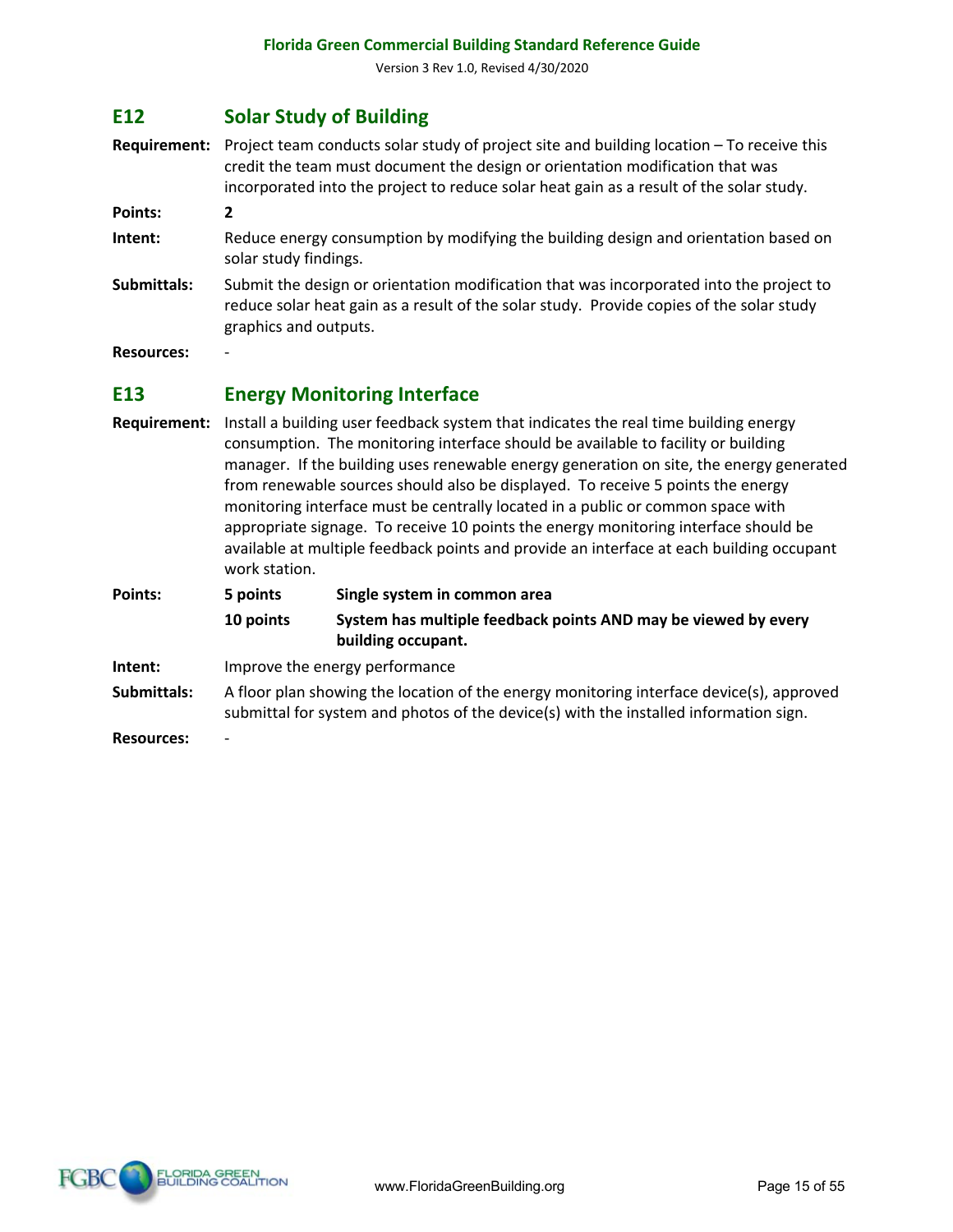# **E12 Solar Study of Building**

**Requirement:** Project team conducts solar study of project site and building location – To receive this credit the team must document the design or orientation modification that was incorporated into the project to reduce solar heat gain as a result of the solar study.

**Points: 2**

- **Intent:** Reduce energy consumption by modifying the building design and orientation based on solar study findings.
- **Submittals:** Submit the design or orientation modification that was incorporated into the project to reduce solar heat gain as a result of the solar study. Provide copies of the solar study graphics and outputs.

**Resources:** -

#### **E13 Energy Monitoring Interface**

**Requirement:** Install a building user feedback system that indicates the real time building energy consumption. The monitoring interface should be available to facility or building manager. If the building uses renewable energy generation on site, the energy generated from renewable sources should also be displayed. To receive 5 points the energy monitoring interface must be centrally located in a public or common space with appropriate signage. To receive 10 points the energy monitoring interface should be available at multiple feedback points and provide an interface at each building occupant work station.

| Points:     | 5 points                                                                                                                                                                          | Single system in common area                                                         |
|-------------|-----------------------------------------------------------------------------------------------------------------------------------------------------------------------------------|--------------------------------------------------------------------------------------|
|             | 10 points                                                                                                                                                                         | System has multiple feedback points AND may be viewed by every<br>building occupant. |
| Intent:     | Improve the energy performance                                                                                                                                                    |                                                                                      |
| Submittals: | A floor plan showing the location of the energy monitoring interface device(s), approved<br>submittal for system and photos of the device(s) with the installed information sign. |                                                                                      |
|             |                                                                                                                                                                                   |                                                                                      |

**Resources:** -

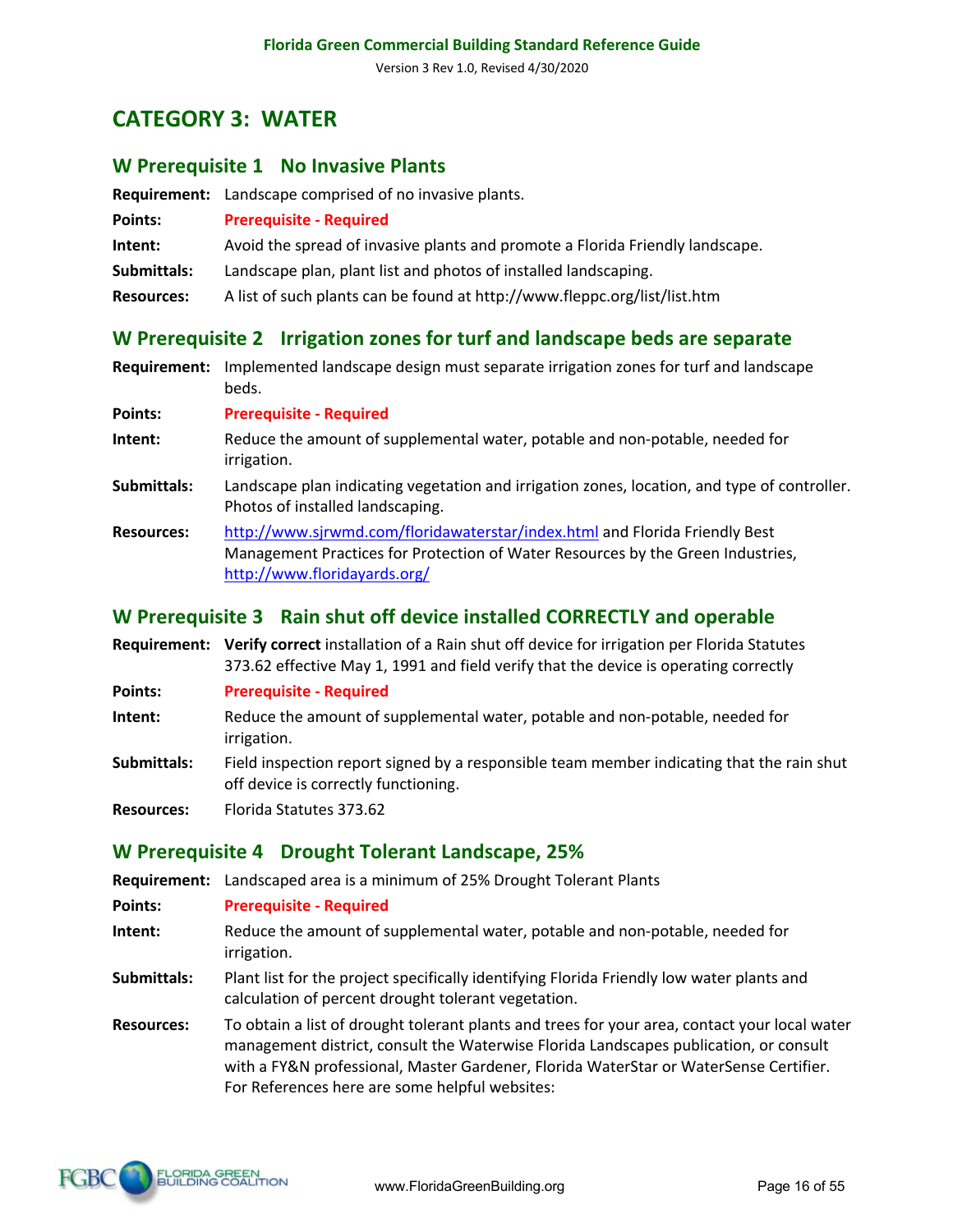# **CATEGORY 3: WATER**

#### **W Prerequisite 1 No Invasive Plants**

**Requirement:** Landscape comprised of no invasive plants.

| Points:           | <b>Prerequisite - Required</b>                                                |
|-------------------|-------------------------------------------------------------------------------|
| Intent:           | Avoid the spread of invasive plants and promote a Florida Friendly landscape. |
| Submittals:       | Landscape plan, plant list and photos of installed landscaping.               |
| <b>Resources:</b> | A list of such plants can be found at http://www.fleppc.org/list/list.htm     |

#### **W Prerequisite 2 Irrigation zones for turf and landscape beds are separate**

**Requirement:** Implemented landscape design must separate irrigation zones for turf and landscape beds.

**Points: Prerequisite - Required**

- **Intent:** Reduce the amount of supplemental water, potable and non-potable, needed for irrigation.
- **Submittals:** Landscape plan indicating vegetation and irrigation zones, location, and type of controller. Photos of installed landscaping.

**Resources:** http://www.sjrwmd.com/floridawaterstar/index.html and Florida Friendly Best Management Practices for Protection of Water Resources by the Green Industries, http://www.floridayards.org/

#### **W Prerequisite 3 Rain shut off device installed CORRECTLY and operable**

**Requirement: Verify correct** installation of a Rain shut off device for irrigation per Florida Statutes 373.62 effective May 1, 1991 and field verify that the device is operating correctly

**Points: Prerequisite - Required**

- **Intent:** Reduce the amount of supplemental water, potable and non-potable, needed for irrigation.
- **Submittals:** Field inspection report signed by a responsible team member indicating that the rain shut off device is correctly functioning.

**Resources:** Florida Statutes 373.62

#### **W Prerequisite 4 Drought Tolerant Landscape, 25%**

**Requirement:** Landscaped area is a minimum of 25% Drought Tolerant Plants

**Points: Prerequisite - Required**

- **Intent:** Reduce the amount of supplemental water, potable and non-potable, needed for irrigation.
- **Submittals:** Plant list for the project specifically identifying Florida Friendly low water plants and calculation of percent drought tolerant vegetation.
- **Resources:** To obtain a list of drought tolerant plants and trees for your area, contact your local water management district, consult the Waterwise Florida Landscapes publication, or consult with a FY&N professional, Master Gardener, Florida WaterStar or WaterSense Certifier. For References here are some helpful websites:

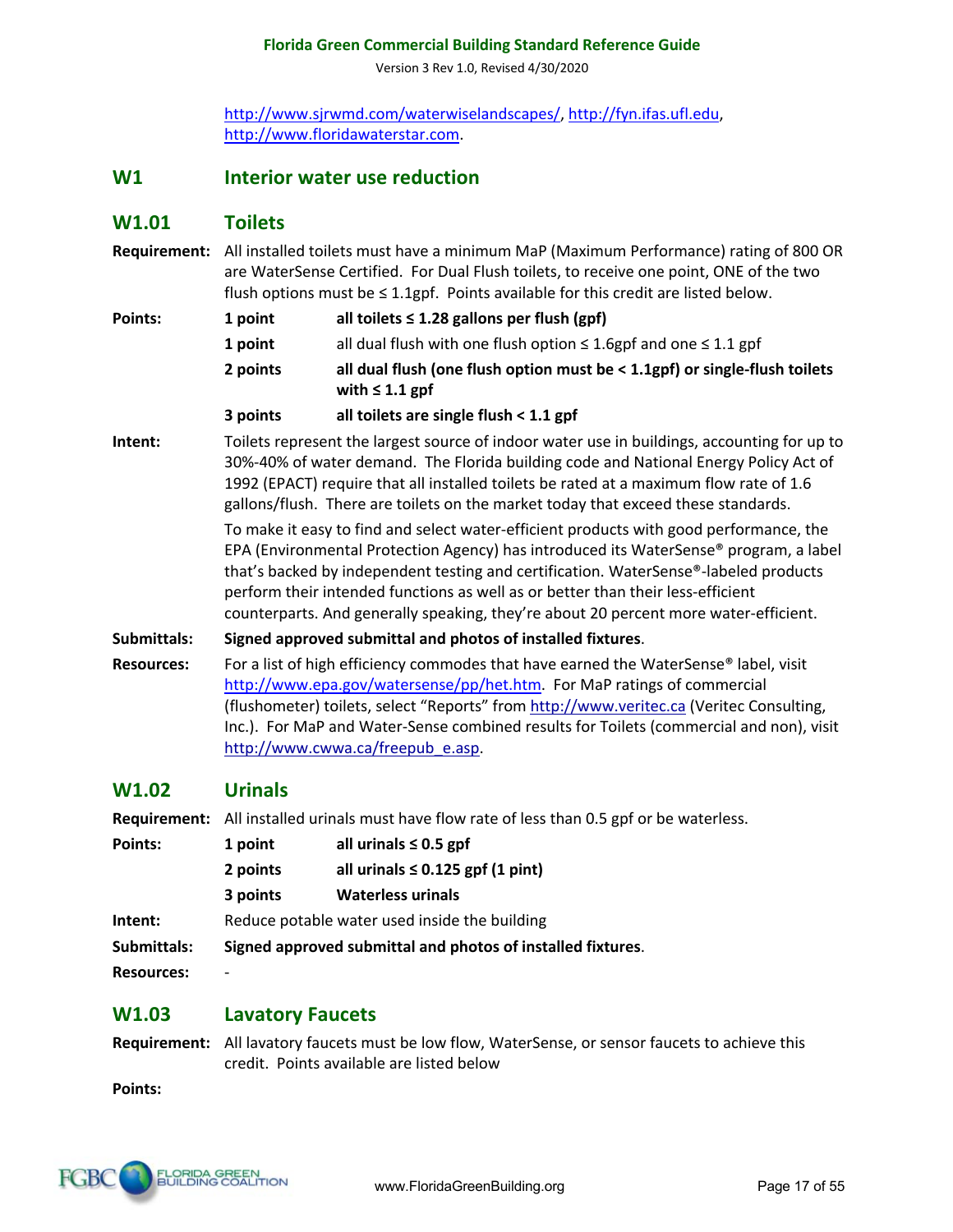Version 3 Rev 1.0, Revised 4/30/2020

http://www.sjrwmd.com/waterwiselandscapes/, http://fyn.ifas.ufl.edu, http://www.floridawaterstar.com.

#### **W1 Interior water use reduction**

#### **W1.01 Toilets**

|         | Requirement: All installed toilets must have a minimum MaP (Maximum Performance) rating of 800 OR<br>are WaterSense Certified. For Dual Flush toilets, to receive one point, ONE of the two<br>flush options must be $\leq 1.1$ gpf. Points available for this credit are listed below.                                                                            |                                                                                                   |  |
|---------|--------------------------------------------------------------------------------------------------------------------------------------------------------------------------------------------------------------------------------------------------------------------------------------------------------------------------------------------------------------------|---------------------------------------------------------------------------------------------------|--|
| Points: | 1 point                                                                                                                                                                                                                                                                                                                                                            | all toilets $\leq$ 1.28 gallons per flush (gpf)                                                   |  |
|         | 1 point                                                                                                                                                                                                                                                                                                                                                            | all dual flush with one flush option $\leq$ 1.6gpf and one $\leq$ 1.1 gpf                         |  |
|         | 2 points                                                                                                                                                                                                                                                                                                                                                           | all dual flush (one flush option must be < 1.1gpf) or single-flush toilets<br>with $\leq 1.1$ gpf |  |
|         | 3 points                                                                                                                                                                                                                                                                                                                                                           | all toilets are single flush < 1.1 gpf                                                            |  |
| Intent: | Toilets represent the largest source of indoor water use in buildings, accounting for up to<br>30%-40% of water demand. The Florida building code and National Energy Policy Act of<br>1992 (EPACT) require that all installed toilets be rated at a maximum flow rate of 1.6<br>gallons/flush. There are toilets on the market today that exceed these standards. |                                                                                                   |  |

To make it easy to find and select water-efficient products with good performance, the EPA (Environmental Protection Agency) has introduced its WaterSense® program, a label that's backed by independent testing and certification. WaterSense®-labeled products perform their intended functions as well as or better than their less-efficient counterparts. And generally speaking, they're about 20 percent more water-efficient.

#### **Submittals: Signed approved submittal and photos of installed fixtures**.

**Resources:** For a list of high efficiency commodes that have earned the WaterSense® label, visit http://www.epa.gov/watersense/pp/het.htm. For MaP ratings of commercial (flushometer) toilets, select "Reports" from http://www.veritec.ca (Veritec Consulting, Inc.). For MaP and Water-Sense combined results for Toilets (commercial and non), visit http://www.cwwa.ca/freepub\_e.asp.

# **W1.02 Urinals**

**Requirement:** All installed urinals must have flow rate of less than 0.5 gpf or be waterless.

| Points:           | 1 point  | all urinals $\leq 0.5$ gpf                                  |
|-------------------|----------|-------------------------------------------------------------|
|                   | 2 points | all urinals $\leq 0.125$ gpf (1 pint)                       |
|                   | 3 points | <b>Waterless urinals</b>                                    |
| Intent:           |          | Reduce potable water used inside the building               |
| Submittals:       |          | Signed approved submittal and photos of installed fixtures. |
| <b>Resources:</b> | -        |                                                             |

#### **W1.03 Lavatory Faucets**

**Requirement:** All lavatory faucets must be low flow, WaterSense, or sensor faucets to achieve this credit. Points available are listed below

**Points:**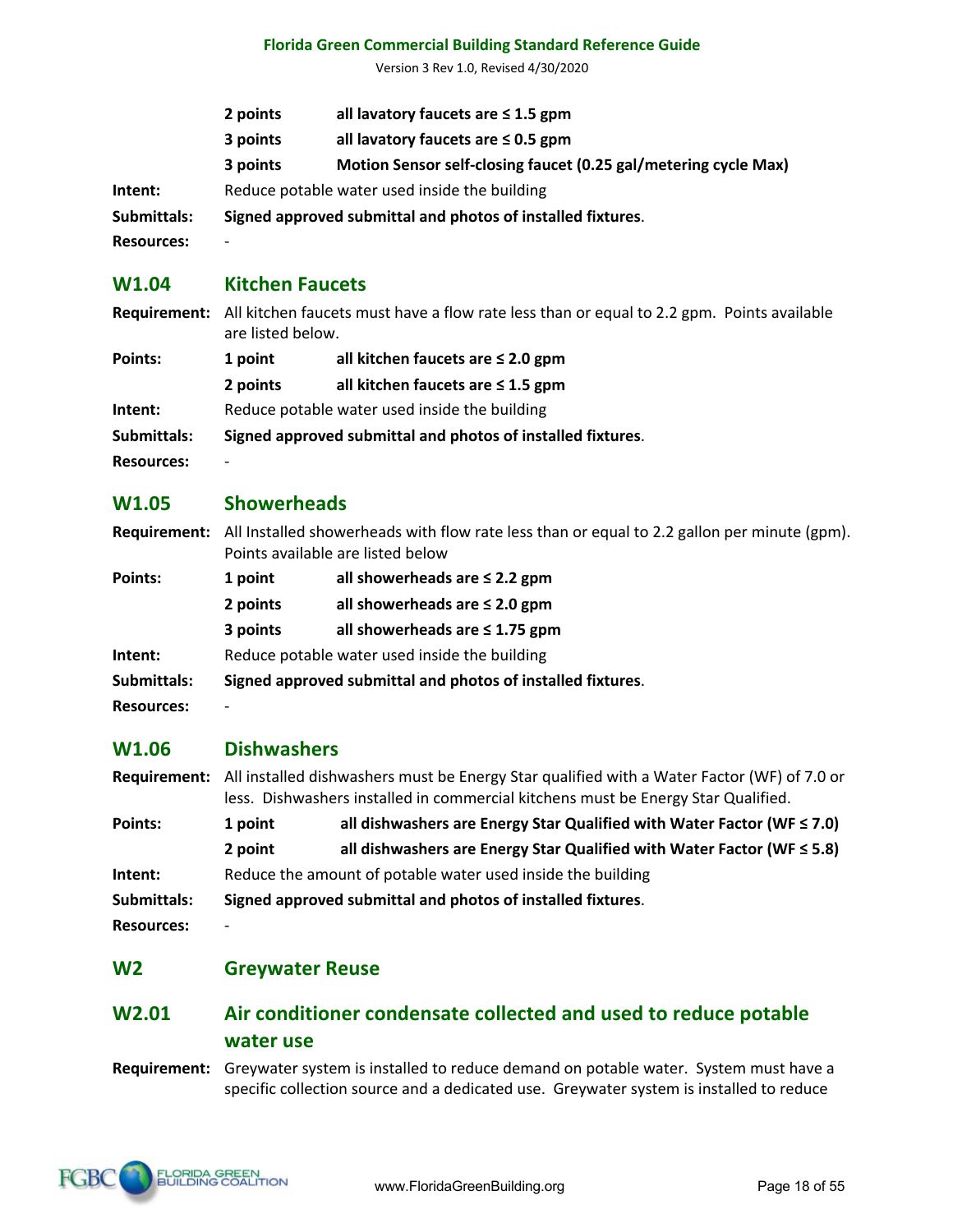Version 3 Rev 1.0, Revised 4/30/2020

|                   | 2 points | all lavatory faucets are $\leq 1.5$ gpm                         |
|-------------------|----------|-----------------------------------------------------------------|
|                   | 3 points | all lavatory faucets are $\leq 0.5$ gpm                         |
|                   | 3 points | Motion Sensor self-closing faucet (0.25 gal/metering cycle Max) |
| Intent:           |          | Reduce potable water used inside the building                   |
| Submittals:       |          | Signed approved submittal and photos of installed fixtures.     |
| <b>Resources:</b> | -        |                                                                 |

#### **W1.04 Kitchen Faucets**

|                   | Requirement: All kitchen faucets must have a flow rate less than or equal to 2.2 gpm. Points available<br>are listed below. |                                        |  |
|-------------------|-----------------------------------------------------------------------------------------------------------------------------|----------------------------------------|--|
| Points:           | all kitchen faucets are $\leq 2.0$ gpm<br>1 point                                                                           |                                        |  |
|                   | 2 points                                                                                                                    | all kitchen faucets are $\leq 1.5$ gpm |  |
| Intent:           | Reduce potable water used inside the building                                                                               |                                        |  |
| Submittals:       | Signed approved submittal and photos of installed fixtures.                                                                 |                                        |  |
| <b>Resources:</b> |                                                                                                                             |                                        |  |

### **W1.05 Showerheads**

| Requirement: All Installed showerheads with flow rate less than or equal to 2.2 gallon per minute (gpm). |  |  |
|----------------------------------------------------------------------------------------------------------|--|--|
| Points available are listed below                                                                        |  |  |

| Points:           | 1 point                                                     | all showerheads are $\leq$ 2.2 gpm  |
|-------------------|-------------------------------------------------------------|-------------------------------------|
|                   | 2 points                                                    | all showerheads are $\leq$ 2.0 gpm  |
|                   | 3 points                                                    | all showerheads are $\leq$ 1.75 gpm |
| Intent:           | Reduce potable water used inside the building               |                                     |
| Submittals:       | Signed approved submittal and photos of installed fixtures. |                                     |
| <b>Resources:</b> | -                                                           |                                     |

# **W1.06 Dishwashers**

| Requirement: All installed dishwashers must be Energy Star qualified with a Water Factor (WF) of 7.0 or |
|---------------------------------------------------------------------------------------------------------|
| less. Dishwashers installed in commercial kitchens must be Energy Star Qualified.                       |

| Points:     | 1 point                                                     | all dishwashers are Energy Star Qualified with Water Factor (WF $\leq$ 7.0) |
|-------------|-------------------------------------------------------------|-----------------------------------------------------------------------------|
|             | 2 point                                                     | all dishwashers are Energy Star Qualified with Water Factor (WF $\leq$ 5.8) |
| Intent:     | Reduce the amount of potable water used inside the building |                                                                             |
| Submittals: | Signed approved submittal and photos of installed fixtures. |                                                                             |

**Resources:** -

#### **W2 Greywater Reuse**

# **W2.01 Air conditioner condensate collected and used to reduce potable water use**

**Requirement:** Greywater system is installed to reduce demand on potable water. System must have a specific collection source and a dedicated use. Greywater system is installed to reduce

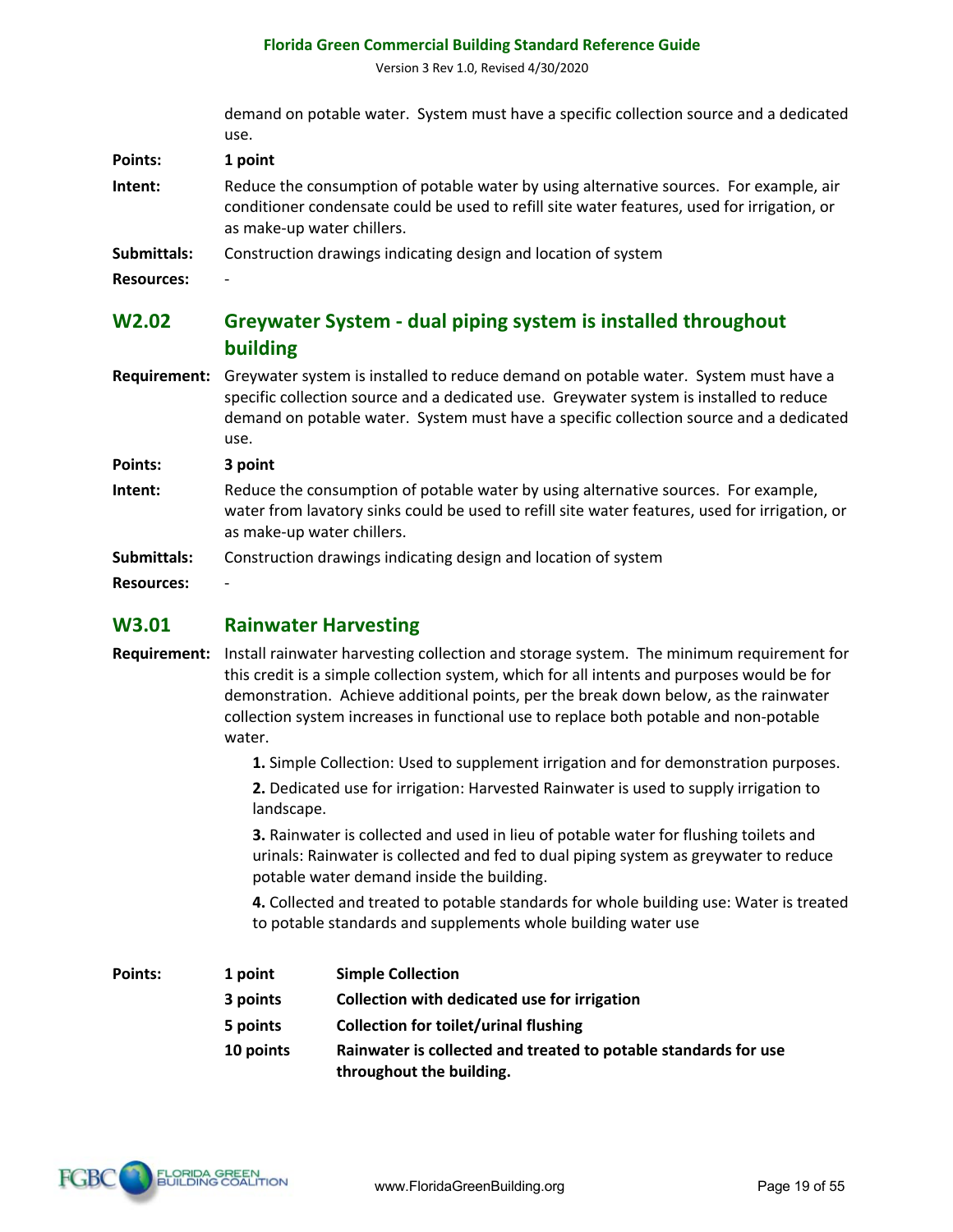Version 3 Rev 1.0, Revised 4/30/2020

demand on potable water. System must have a specific collection source and a dedicated use.

**Points: 1 point Intent:** Reduce the consumption of potable water by using alternative sources. For example, air conditioner condensate could be used to refill site water features, used for irrigation, or as make-up water chillers.

**Submittals:** Construction drawings indicating design and location of system

**Resources:** -

# **W2.02 Greywater System - dual piping system is installed throughout building**

**Requirement:** Greywater system is installed to reduce demand on potable water. System must have a specific collection source and a dedicated use. Greywater system is installed to reduce demand on potable water. System must have a specific collection source and a dedicated use.

**Points: 3 point** 

- **Intent:** Reduce the consumption of potable water by using alternative sources. For example, water from lavatory sinks could be used to refill site water features, used for irrigation, or as make-up water chillers.
- **Submittals:** Construction drawings indicating design and location of system

**Resources:** -

#### **W3.01 Rainwater Harvesting**

**Requirement:** Install rainwater harvesting collection and storage system. The minimum requirement for this credit is a simple collection system, which for all intents and purposes would be for demonstration. Achieve additional points, per the break down below, as the rainwater collection system increases in functional use to replace both potable and non-potable water.

**1.** Simple Collection: Used to supplement irrigation and for demonstration purposes.

**2.** Dedicated use for irrigation: Harvested Rainwater is used to supply irrigation to landscape.

**3.** Rainwater is collected and used in lieu of potable water for flushing toilets and urinals: Rainwater is collected and fed to dual piping system as greywater to reduce potable water demand inside the building.

**4.** Collected and treated to potable standards for whole building use: Water is treated to potable standards and supplements whole building water use

| Points: | 1 point   | <b>Simple Collection</b>                                                                    |
|---------|-----------|---------------------------------------------------------------------------------------------|
|         | 3 points  | Collection with dedicated use for irrigation                                                |
|         | 5 points  | <b>Collection for toilet/urinal flushing</b>                                                |
|         | 10 points | Rainwater is collected and treated to potable standards for use<br>throughout the building. |

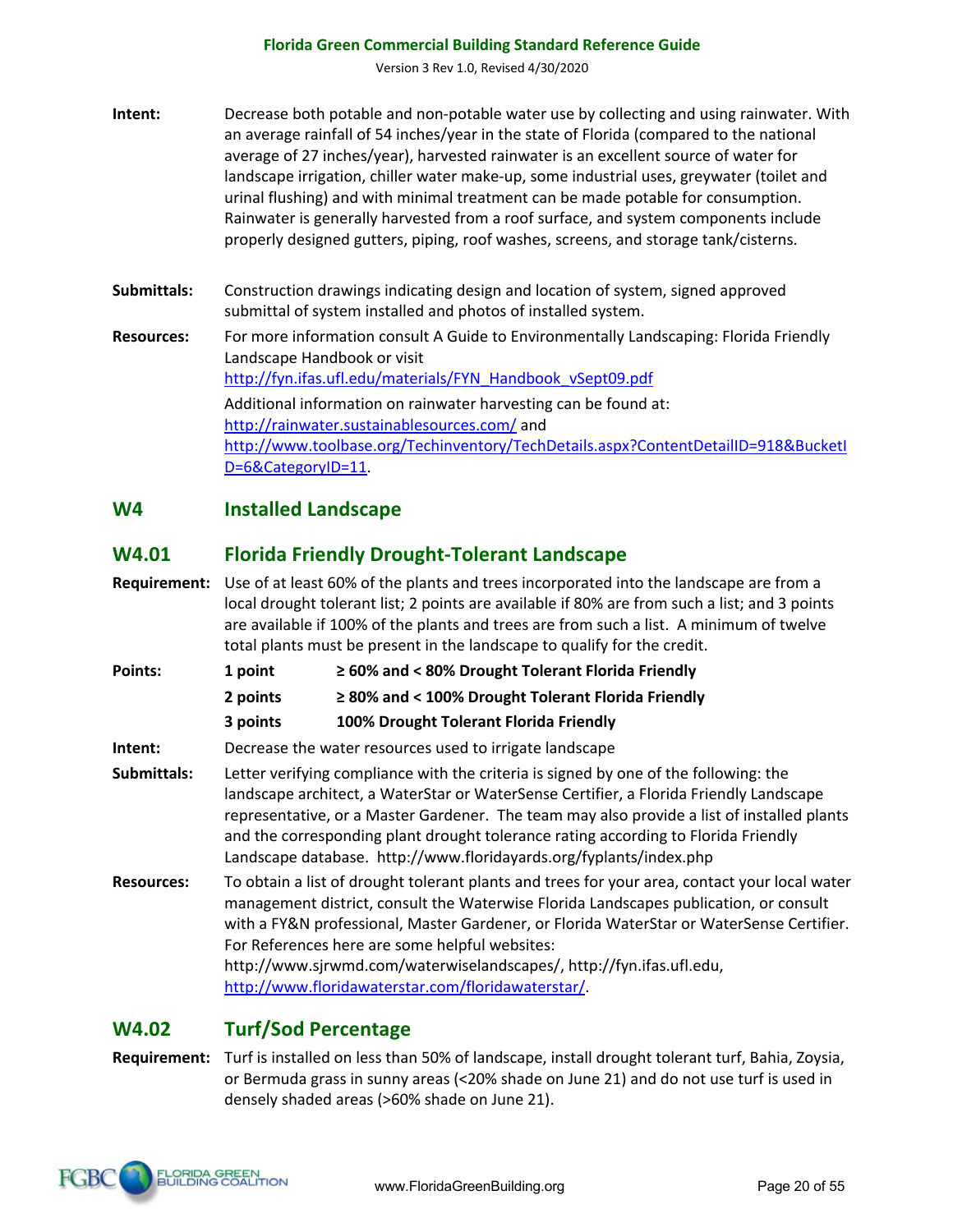Version 3 Rev 1.0, Revised 4/30/2020

| Intent: | Decrease both potable and non-potable water use by collecting and using rainwater. With  |
|---------|------------------------------------------------------------------------------------------|
|         | an average rainfall of 54 inches/year in the state of Florida (compared to the national  |
|         | average of 27 inches/year), harvested rainwater is an excellent source of water for      |
|         | landscape irrigation, chiller water make-up, some industrial uses, greywater (toilet and |
|         | urinal flushing) and with minimal treatment can be made potable for consumption.         |
|         | Rainwater is generally harvested from a roof surface, and system components include      |
|         | properly designed gutters, piping, roof washes, screens, and storage tank/cisterns.      |

- **Submittals:** Construction drawings indicating design and location of system, signed approved submittal of system installed and photos of installed system.
- **Resources:** For more information consult A Guide to Environmentally Landscaping: Florida Friendly Landscape Handbook or visit http://fyn.ifas.ufl.edu/materials/FYN\_Handbook\_vSept09.pdf Additional information on rainwater harvesting can be found at: http://rainwater.sustainablesources.com/ and http://www.toolbase.org/Techinventory/TechDetails.aspx?ContentDetailID=918&BucketI D=6&CategoryID=11.

#### **W4 Installed Landscape**

# **W4.01 Florida Friendly Drought-Tolerant Landscape**

- **Requirement:** Use of at least 60% of the plants and trees incorporated into the landscape are from a local drought tolerant list; 2 points are available if 80% are from such a list; and 3 points are available if 100% of the plants and trees are from such a list. A minimum of twelve total plants must be present in the landscape to qualify for the credit.
- **Points: 1 point ≥ 60% and < 80% Drought Tolerant Florida Friendly**
	- **2 points ≥ 80% and < 100% Drought Tolerant Florida Friendly**
		- **3 points 100% Drought Tolerant Florida Friendly**
- **Intent:** Decrease the water resources used to irrigate landscape
- **Submittals:** Letter verifying compliance with the criteria is signed by one of the following: the landscape architect, a WaterStar or WaterSense Certifier, a Florida Friendly Landscape representative, or a Master Gardener. The team may also provide a list of installed plants and the corresponding plant drought tolerance rating according to Florida Friendly Landscape database. http://www.floridayards.org/fyplants/index.php
- **Resources:** To obtain a list of drought tolerant plants and trees for your area, contact your local water management district, consult the Waterwise Florida Landscapes publication, or consult with a FY&N professional, Master Gardener, or Florida WaterStar or WaterSense Certifier. For References here are some helpful websites: http://www.sjrwmd.com/waterwiselandscapes/, http://fyn.ifas.ufl.edu,

http://www.floridawaterstar.com/floridawaterstar/.

# **W4.02 Turf/Sod Percentage**

#### **Requirement:** Turf is installed on less than 50% of landscape, install drought tolerant turf, Bahia, Zoysia, or Bermuda grass in sunny areas (<20% shade on June 21) and do not use turf is used in densely shaded areas (>60% shade on June 21).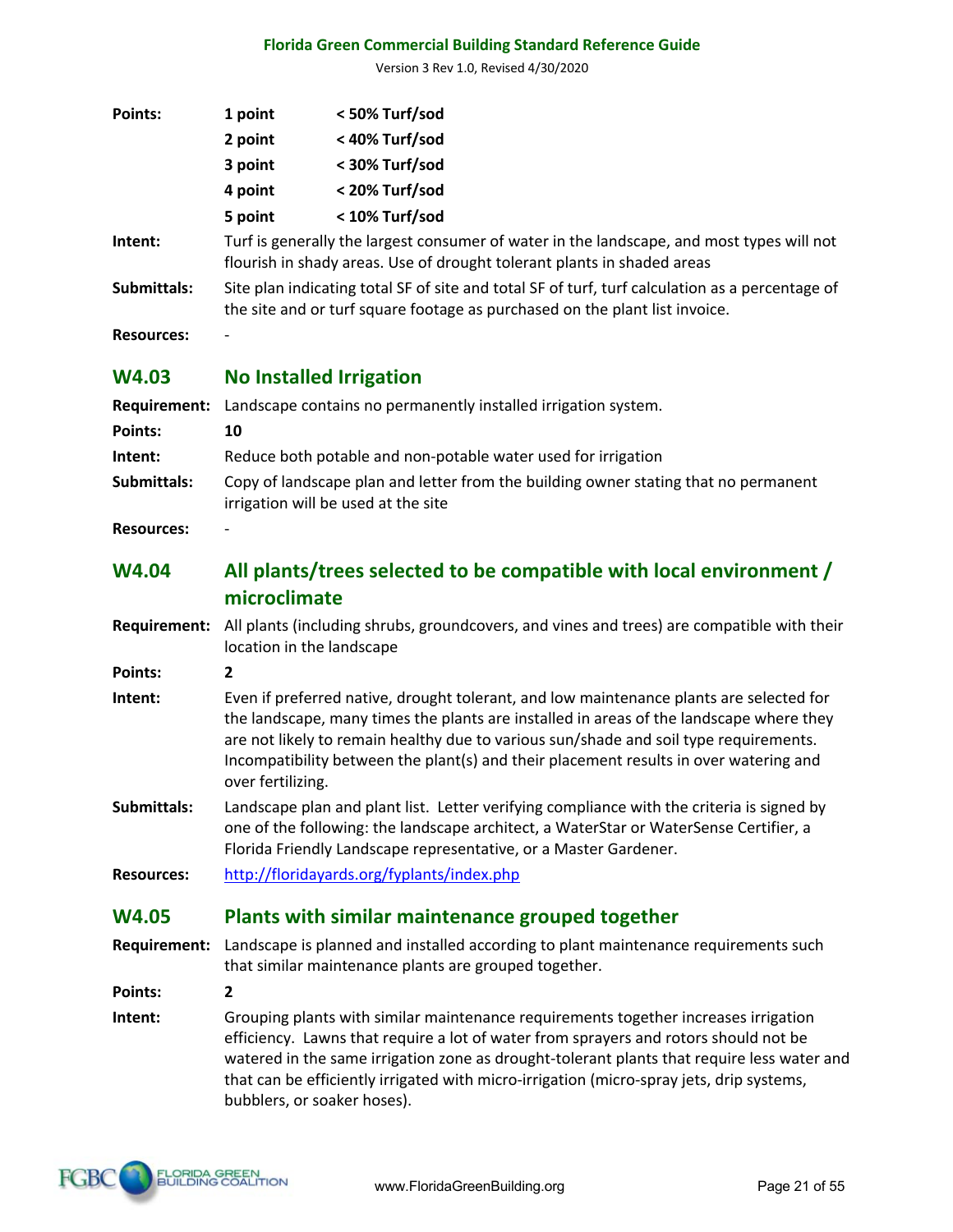Version 3 Rev 1.0, Revised 4/30/2020

| <b>Points:</b>      | 1 point                                                                                                                                                                                                                                                                                                                                                                                   | < 50% Turf/sod                                                                                                                                                                 |  |
|---------------------|-------------------------------------------------------------------------------------------------------------------------------------------------------------------------------------------------------------------------------------------------------------------------------------------------------------------------------------------------------------------------------------------|--------------------------------------------------------------------------------------------------------------------------------------------------------------------------------|--|
|                     | 2 point                                                                                                                                                                                                                                                                                                                                                                                   | < 40% Turf/sod                                                                                                                                                                 |  |
|                     | 3 point                                                                                                                                                                                                                                                                                                                                                                                   | < 30% Turf/sod                                                                                                                                                                 |  |
|                     | 4 point                                                                                                                                                                                                                                                                                                                                                                                   | < 20% Turf/sod                                                                                                                                                                 |  |
|                     | 5 point                                                                                                                                                                                                                                                                                                                                                                                   | < 10% Turf/sod                                                                                                                                                                 |  |
| Intent:             | Turf is generally the largest consumer of water in the landscape, and most types will not<br>flourish in shady areas. Use of drought tolerant plants in shaded areas                                                                                                                                                                                                                      |                                                                                                                                                                                |  |
| Submittals:         |                                                                                                                                                                                                                                                                                                                                                                                           | Site plan indicating total SF of site and total SF of turf, turf calculation as a percentage of<br>the site and or turf square footage as purchased on the plant list invoice. |  |
| <b>Resources:</b>   |                                                                                                                                                                                                                                                                                                                                                                                           |                                                                                                                                                                                |  |
| <b>W4.03</b>        | <b>No Installed Irrigation</b>                                                                                                                                                                                                                                                                                                                                                            |                                                                                                                                                                                |  |
| <b>Requirement:</b> |                                                                                                                                                                                                                                                                                                                                                                                           | Landscape contains no permanently installed irrigation system.                                                                                                                 |  |
| Points:             | 10                                                                                                                                                                                                                                                                                                                                                                                        |                                                                                                                                                                                |  |
| Intent:             |                                                                                                                                                                                                                                                                                                                                                                                           | Reduce both potable and non-potable water used for irrigation                                                                                                                  |  |
| Submittals:         | Copy of landscape plan and letter from the building owner stating that no permanent<br>irrigation will be used at the site                                                                                                                                                                                                                                                                |                                                                                                                                                                                |  |
| <b>Resources:</b>   |                                                                                                                                                                                                                                                                                                                                                                                           |                                                                                                                                                                                |  |
| <b>W4.04</b>        | All plants/trees selected to be compatible with local environment /<br>microclimate                                                                                                                                                                                                                                                                                                       |                                                                                                                                                                                |  |
| <b>Requirement:</b> | All plants (including shrubs, groundcovers, and vines and trees) are compatible with their<br>location in the landscape                                                                                                                                                                                                                                                                   |                                                                                                                                                                                |  |
| Points:             | $\overline{2}$                                                                                                                                                                                                                                                                                                                                                                            |                                                                                                                                                                                |  |
| Intent:             | Even if preferred native, drought tolerant, and low maintenance plants are selected for<br>the landscape, many times the plants are installed in areas of the landscape where they<br>are not likely to remain healthy due to various sun/shade and soil type requirements.<br>Incompatibility between the plant(s) and their placement results in over watering and<br>over fertilizing. |                                                                                                                                                                                |  |
| Submittals:         | Landscape plan and plant list. Letter verifying compliance with the criteria is signed by<br>one of the following: the landscape architect, a WaterStar or WaterSense Certifier, a<br>Florida Friendly Landscape representative, or a Master Gardener.                                                                                                                                    |                                                                                                                                                                                |  |
| <b>Resources:</b>   |                                                                                                                                                                                                                                                                                                                                                                                           | http://floridayards.org/fyplants/index.php                                                                                                                                     |  |
| <b>W4.05</b>        |                                                                                                                                                                                                                                                                                                                                                                                           | Plants with similar maintenance grouped together                                                                                                                               |  |
| <b>Requirement:</b> |                                                                                                                                                                                                                                                                                                                                                                                           | Landscape is planned and installed according to plant maintenance requirements such<br>that similar maintenance plants are grouped together.                                   |  |

**Points: 2**

**Intent:** Grouping plants with similar maintenance requirements together increases irrigation efficiency. Lawns that require a lot of water from sprayers and rotors should not be watered in the same irrigation zone as drought-tolerant plants that require less water and that can be efficiently irrigated with micro-irrigation (micro-spray jets, drip systems, bubblers, or soaker hoses).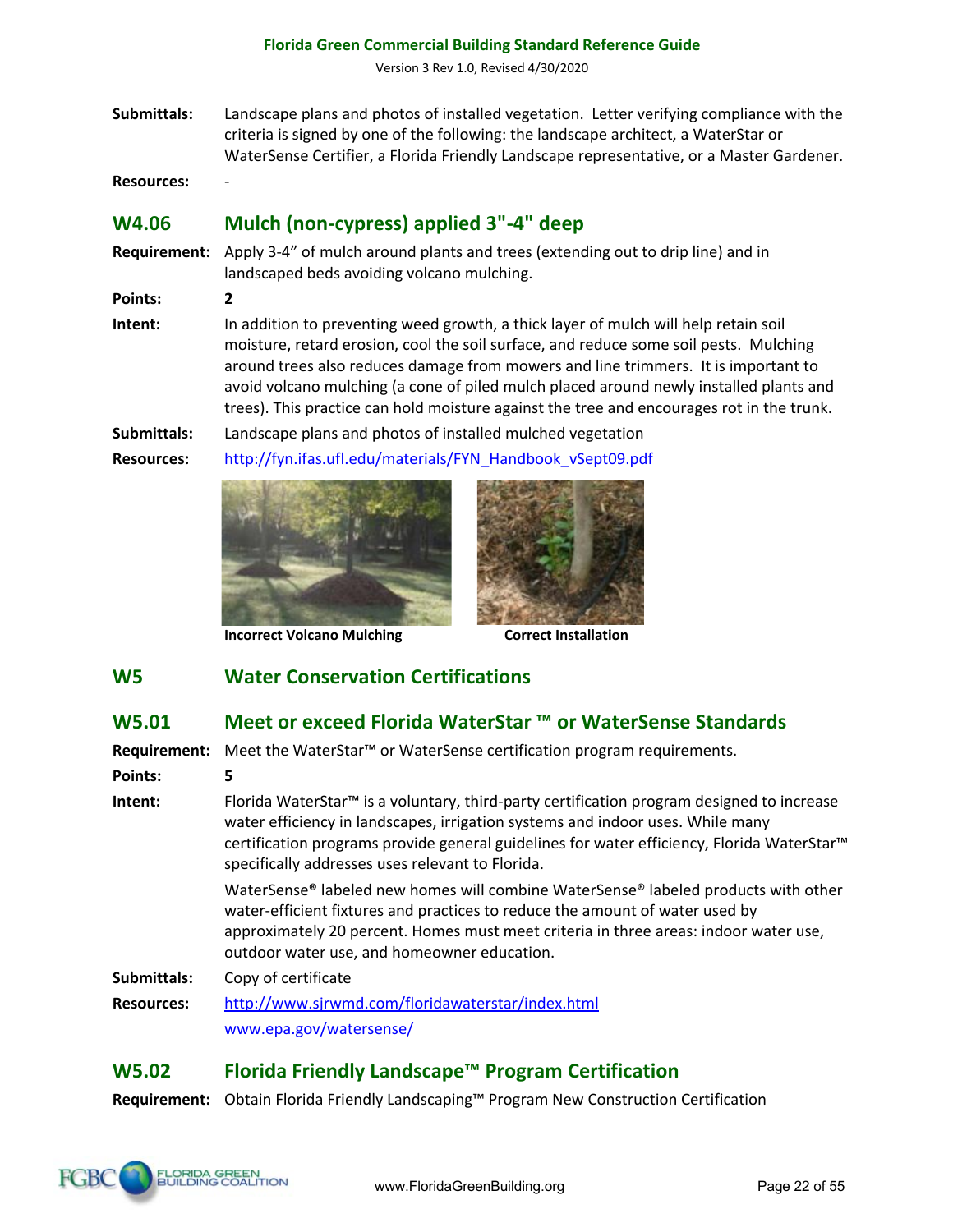Version 3 Rev 1.0, Revised 4/30/2020

**Submittals:** Landscape plans and photos of installed vegetation. Letter verifying compliance with the criteria is signed by one of the following: the landscape architect, a WaterStar or WaterSense Certifier, a Florida Friendly Landscape representative, or a Master Gardener.

**Resources:** -

**Points: 2**

# **W4.06 Mulch (non-cypress) applied 3"-4" deep**

**Requirement:** Apply 3-4" of mulch around plants and trees (extending out to drip line) and in landscaped beds avoiding volcano mulching.

**Intent:** In addition to preventing weed growth, a thick layer of mulch will help retain soil moisture, retard erosion, cool the soil surface, and reduce some soil pests. Mulching around trees also reduces damage from mowers and line trimmers. It is important to avoid volcano mulching (a cone of piled mulch placed around newly installed plants and trees). This practice can hold moisture against the tree and encourages rot in the trunk.

**Submittals:** Landscape plans and photos of installed mulched vegetation **Resources:** http://fyn.ifas.ufl.edu/materials/FYN\_Handbook\_vSept09.pdf



**Incorrect Volcano Mulching <b>Correct Installation** 

# **W5 Water Conservation Certifications**

#### **W5.01 Meet or exceed Florida WaterStar ™ or WaterSense Standards**

**Requirement:** Meet the WaterStar™ or WaterSense certification program requirements.

**Points: 5**

**Intent:** Florida WaterStar™ is a voluntary, third-party certification program designed to increase water efficiency in landscapes, irrigation systems and indoor uses. While many certification programs provide general guidelines for water efficiency, Florida WaterStar™ specifically addresses uses relevant to Florida.

> WaterSense® labeled new homes will combine WaterSense® labeled products with other water-efficient fixtures and practices to reduce the amount of water used by approximately 20 percent. Homes must meet criteria in three areas: indoor water use, outdoor water use, and homeowner education.

**Submittals:** Copy of certificate

**Resources:** http://www.sjrwmd.com/floridawaterstar/index.html www.epa.gov/watersense/

# **W5.02 Florida Friendly Landscape™ Program Certification**

**Requirement:** Obtain Florida Friendly Landscaping™ Program New Construction Certification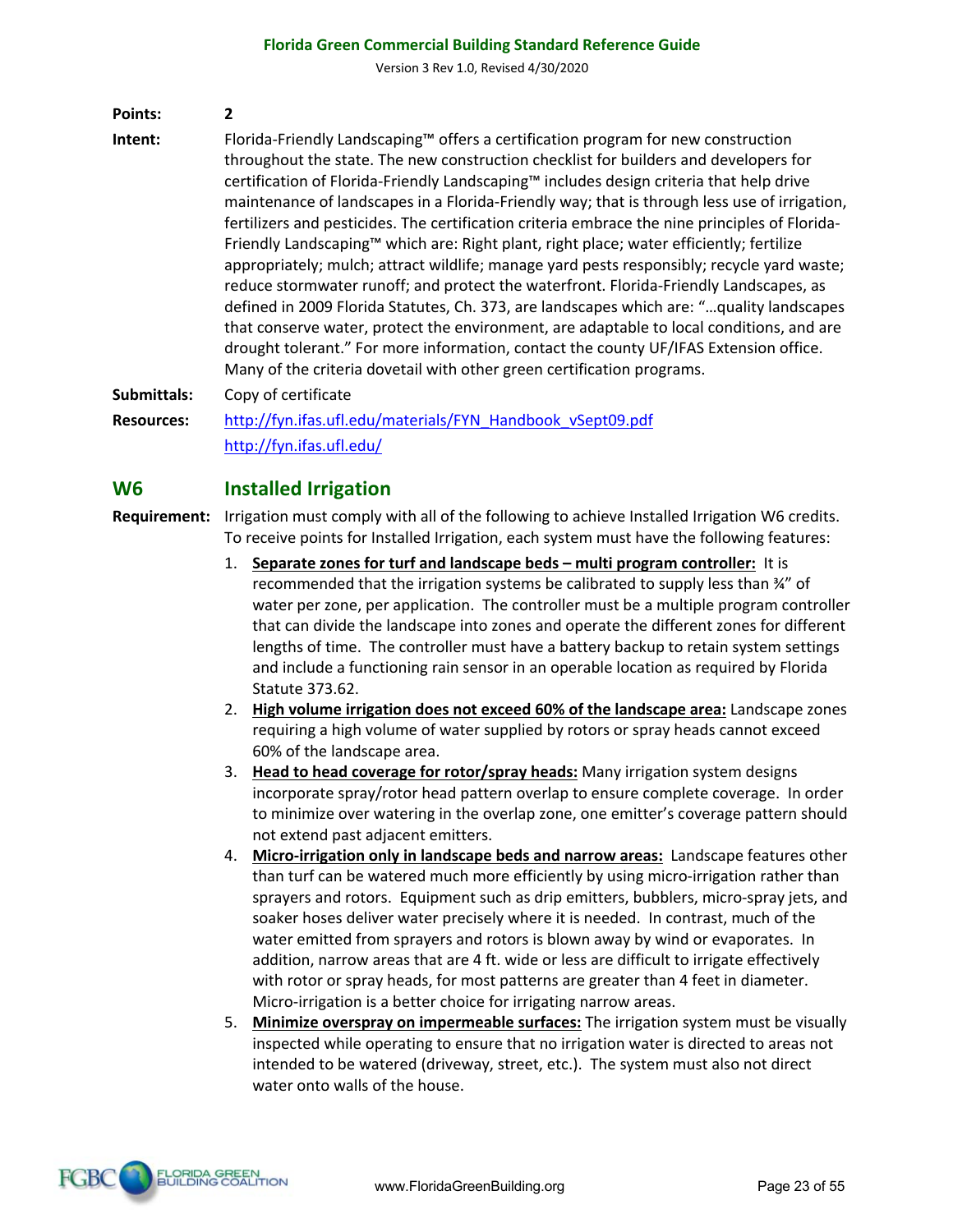Version 3 Rev 1.0, Revised 4/30/2020

**Points: 2**

**Intent:** Florida-Friendly Landscaping™ offers a certification program for new construction throughout the state. The new construction checklist for builders and developers for certification of Florida-Friendly Landscaping™ includes design criteria that help drive maintenance of landscapes in a Florida-Friendly way; that is through less use of irrigation, fertilizers and pesticides. The certification criteria embrace the nine principles of Florida-Friendly Landscaping™ which are: Right plant, right place; water efficiently; fertilize appropriately; mulch; attract wildlife; manage yard pests responsibly; recycle yard waste; reduce stormwater runoff; and protect the waterfront. Florida-Friendly Landscapes, as defined in 2009 Florida Statutes, Ch. 373, are landscapes which are: "…quality landscapes that conserve water, protect the environment, are adaptable to local conditions, and are drought tolerant." For more information, contact the county UF/IFAS Extension office. Many of the criteria dovetail with other green certification programs.

**Submittals:** Copy of certificate

**Resources:** http://fyn.ifas.ufl.edu/materials/FYN\_Handbook\_vSept09.pdf http://fyn.ifas.ufl.edu/

#### **W6 Installed Irrigation**

**Requirement:** Irrigation must comply with all of the following to achieve Installed Irrigation W6 credits. To receive points for Installed Irrigation, each system must have the following features:

- 1. **Separate zones for turf and landscape beds – multi program controller:** It is recommended that the irrigation systems be calibrated to supply less than ¾" of water per zone, per application. The controller must be a multiple program controller that can divide the landscape into zones and operate the different zones for different lengths of time. The controller must have a battery backup to retain system settings and include a functioning rain sensor in an operable location as required by Florida Statute 373.62.
- 2. **High volume irrigation does not exceed 60% of the landscape area:** Landscape zones requiring a high volume of water supplied by rotors or spray heads cannot exceed 60% of the landscape area.
- 3. **Head to head coverage for rotor/spray heads:** Many irrigation system designs incorporate spray/rotor head pattern overlap to ensure complete coverage. In order to minimize over watering in the overlap zone, one emitter's coverage pattern should not extend past adjacent emitters.
- 4. **Micro-irrigation only in landscape beds and narrow areas:** Landscape features other than turf can be watered much more efficiently by using micro-irrigation rather than sprayers and rotors. Equipment such as drip emitters, bubblers, micro-spray jets, and soaker hoses deliver water precisely where it is needed. In contrast, much of the water emitted from sprayers and rotors is blown away by wind or evaporates. In addition, narrow areas that are 4 ft. wide or less are difficult to irrigate effectively with rotor or spray heads, for most patterns are greater than 4 feet in diameter. Micro-irrigation is a better choice for irrigating narrow areas.
- 5. **Minimize overspray on impermeable surfaces:** The irrigation system must be visually inspected while operating to ensure that no irrigation water is directed to areas not intended to be watered (driveway, street, etc.). The system must also not direct water onto walls of the house.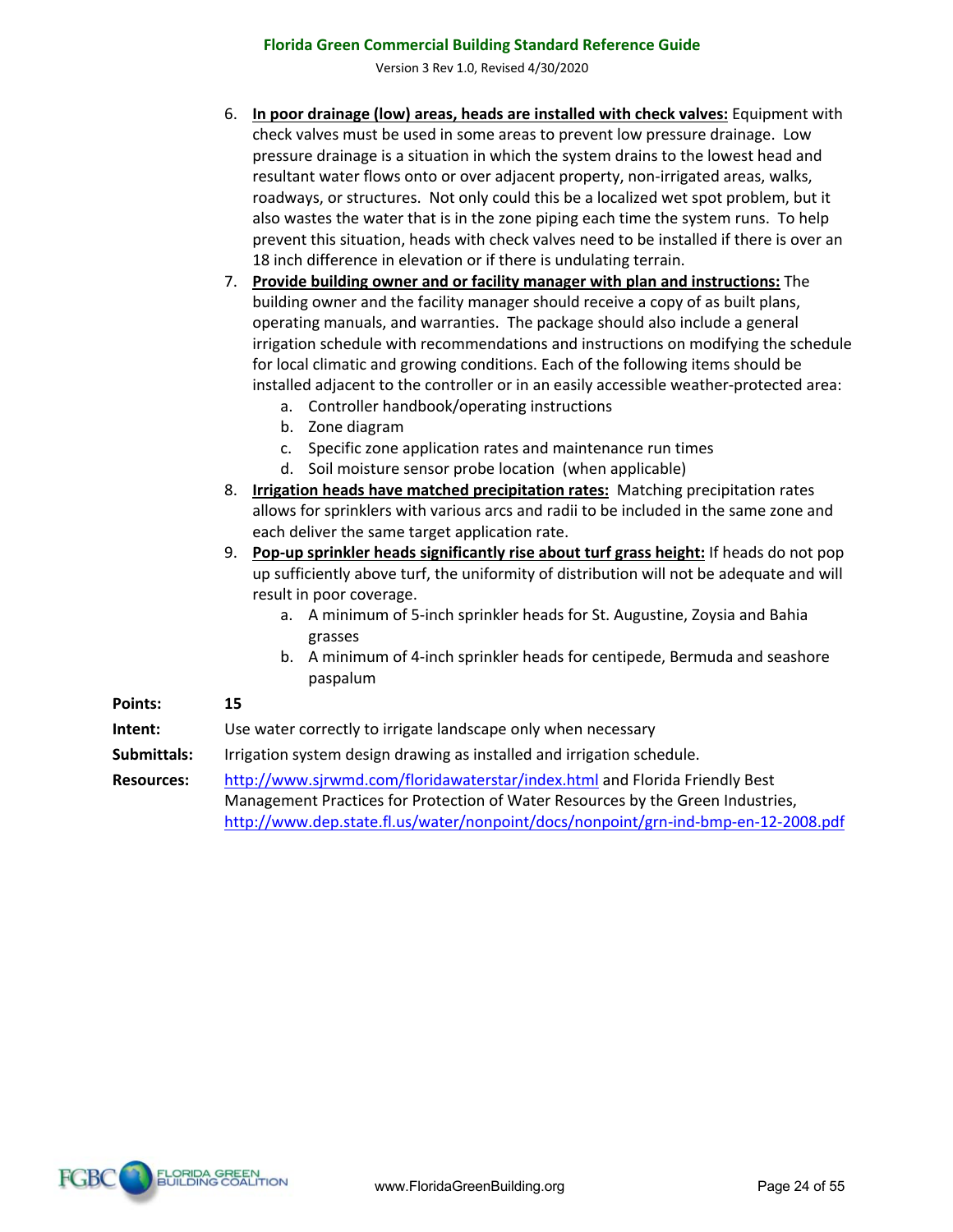Version 3 Rev 1.0, Revised 4/30/2020

- 6. **In poor drainage (low) areas, heads are installed with check valves:** Equipment with check valves must be used in some areas to prevent low pressure drainage. Low pressure drainage is a situation in which the system drains to the lowest head and resultant water flows onto or over adjacent property, non-irrigated areas, walks, roadways, or structures. Not only could this be a localized wet spot problem, but it also wastes the water that is in the zone piping each time the system runs. To help prevent this situation, heads with check valves need to be installed if there is over an 18 inch difference in elevation or if there is undulating terrain.
- 7. **Provide building owner and or facility manager with plan and instructions:** The building owner and the facility manager should receive a copy of as built plans, operating manuals, and warranties. The package should also include a general irrigation schedule with recommendations and instructions on modifying the schedule for local climatic and growing conditions. Each of the following items should be installed adjacent to the controller or in an easily accessible weather-protected area:
	- a. Controller handbook/operating instructions
	- b. Zone diagram
	- c. Specific zone application rates and maintenance run times
	- d. Soil moisture sensor probe location (when applicable)
- 8. **Irrigation heads have matched precipitation rates:** Matching precipitation rates allows for sprinklers with various arcs and radii to be included in the same zone and each deliver the same target application rate.
- 9. **Pop-up sprinkler heads significantly rise about turf grass height:** If heads do not pop up sufficiently above turf, the uniformity of distribution will not be adequate and will result in poor coverage.
	- a. A minimum of 5-inch sprinkler heads for St. Augustine, Zoysia and Bahia grasses
	- b. A minimum of 4-inch sprinkler heads for centipede, Bermuda and seashore paspalum

#### **Points: 15**

- **Intent:** Use water correctly to irrigate landscape only when necessary
- **Submittals:** Irrigation system design drawing as installed and irrigation schedule.
- **Resources:** http://www.sjrwmd.com/floridawaterstar/index.html and Florida Friendly Best Management Practices for Protection of Water Resources by the Green Industries, http://www.dep.state.fl.us/water/nonpoint/docs/nonpoint/grn-ind-bmp-en-12-2008.pdf

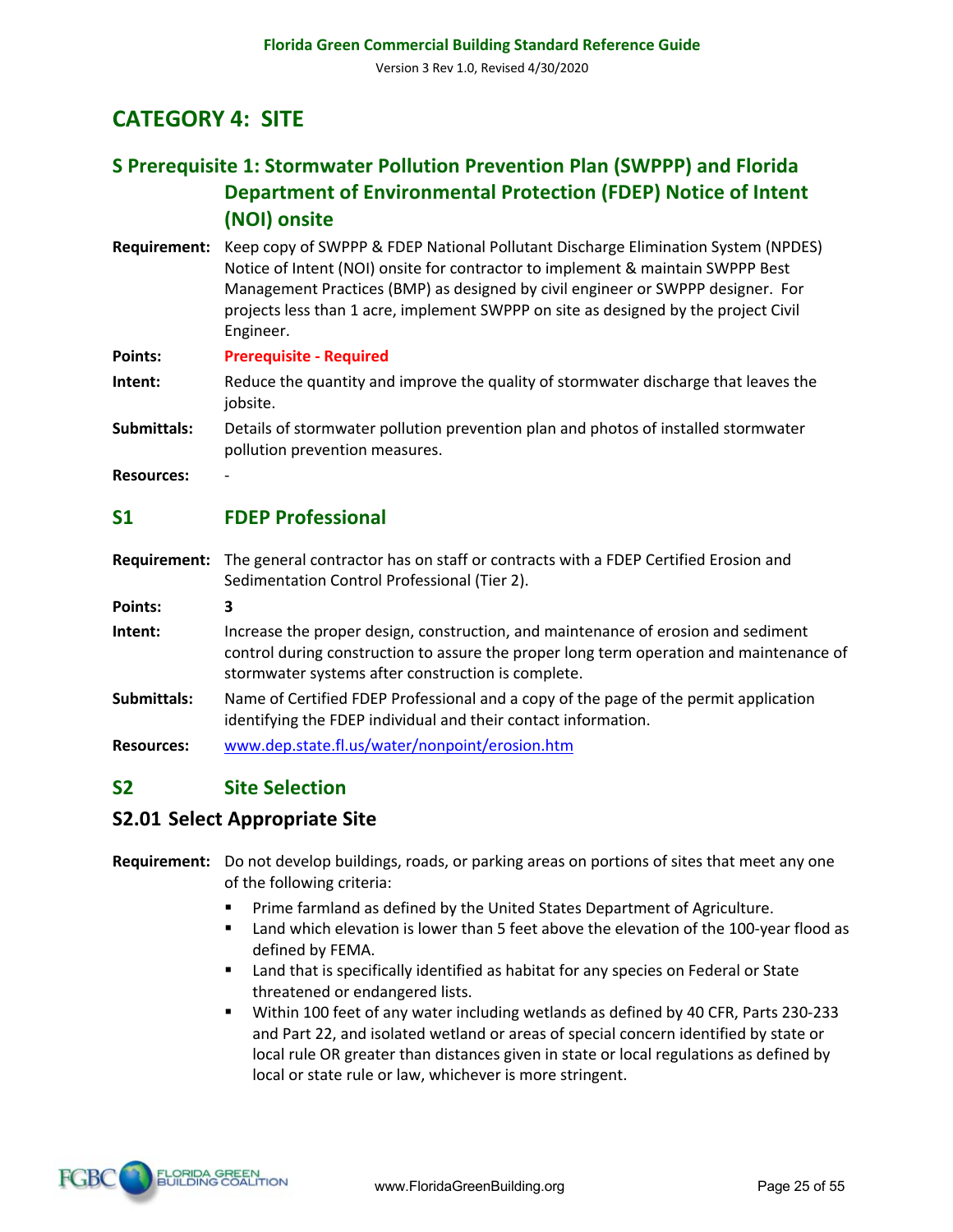# **CATEGORY 4: SITE**

# **S Prerequisite 1: Stormwater Pollution Prevention Plan (SWPPP) and Florida Department of Environmental Protection (FDEP) Notice of Intent (NOI) onsite**

**Requirement:** Keep copy of SWPPP & FDEP National Pollutant Discharge Elimination System (NPDES) Notice of Intent (NOI) onsite for contractor to implement & maintain SWPPP Best Management Practices (BMP) as designed by civil engineer or SWPPP designer. For projects less than 1 acre, implement SWPPP on site as designed by the project Civil Engineer.

**Points: Prerequisite - Required**

- **Intent:** Reduce the quantity and improve the quality of stormwater discharge that leaves the jobsite.
- **Submittals:** Details of stormwater pollution prevention plan and photos of installed stormwater pollution prevention measures.
- **Resources:** -

# **S1 FDEP Professional**

**Requirement:** The general contractor has on staff or contracts with a FDEP Certified Erosion and Sedimentation Control Professional (Tier 2).

**Points: 3**

- **Intent:** Increase the proper design, construction, and maintenance of erosion and sediment control during construction to assure the proper long term operation and maintenance of stormwater systems after construction is complete.
- **Submittals:** Name of Certified FDEP Professional and a copy of the page of the permit application identifying the FDEP individual and their contact information.
- **Resources:** www.dep.state.fl.us/water/nonpoint/erosion.htm

# **S2 Site Selection**

# **S2.01 Select Appropriate Site**

#### **Requirement:** Do not develop buildings, roads, or parking areas on portions of sites that meet any one of the following criteria:

- Prime farmland as defined by the United States Department of Agriculture.
- § Land which elevation is lower than 5 feet above the elevation of the 100-year flood as defined by FEMA.
- Land that is specifically identified as habitat for any species on Federal or State threatened or endangered lists.
- § Within 100 feet of any water including wetlands as defined by 40 CFR, Parts 230-233 and Part 22, and isolated wetland or areas of special concern identified by state or local rule OR greater than distances given in state or local regulations as defined by local or state rule or law, whichever is more stringent.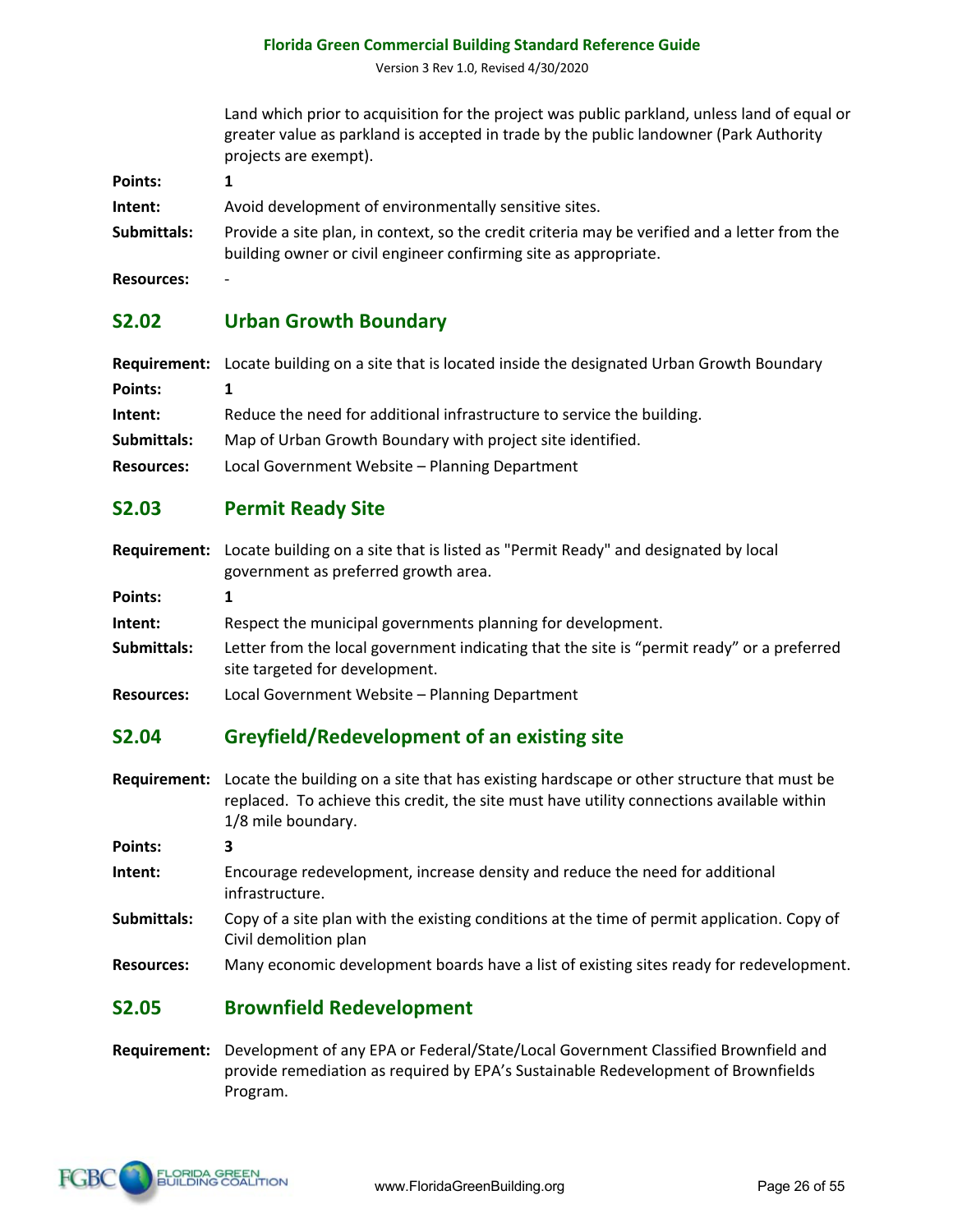Version 3 Rev 1.0, Revised 4/30/2020

Land which prior to acquisition for the project was public parkland, unless land of equal or greater value as parkland is accepted in trade by the public landowner (Park Authority projects are exempt).

| <b>Points:</b> | 1                                                                                                                                                                 |
|----------------|-------------------------------------------------------------------------------------------------------------------------------------------------------------------|
| Intent:        | Avoid development of environmentally sensitive sites.                                                                                                             |
| Submittals:    | Provide a site plan, in context, so the credit criteria may be verified and a letter from the<br>building owner or civil engineer confirming site as appropriate. |

**Resources:** -

# **S2.02 Urban Growth Boundary**

|                   | <b>Requirement:</b> Locate building on a site that is located inside the designated Urban Growth Boundary |  |
|-------------------|-----------------------------------------------------------------------------------------------------------|--|
| Points:           |                                                                                                           |  |
| Intent:           | Reduce the need for additional infrastructure to service the building.                                    |  |
| Submittals:       | Map of Urban Growth Boundary with project site identified.                                                |  |
| <b>Resources:</b> | Local Government Website - Planning Department                                                            |  |

#### **S2.03 Permit Ready Site**

**Requirement:** Locate building on a site that is listed as "Permit Ready" and designated by local government as preferred growth area.

**Points: 1**

**Intent:** Respect the municipal governments planning for development.

- **Submittals:** Letter from the local government indicating that the site is "permit ready" or a preferred site targeted for development.
- **Resources:** Local Government Website Planning Department

# **S2.04 Greyfield/Redevelopment of an existing site**

**Requirement:** Locate the building on a site that has existing hardscape or other structure that must be replaced. To achieve this credit, the site must have utility connections available within 1/8 mile boundary.

**Points: 3**

- **Intent:** Encourage redevelopment, increase density and reduce the need for additional infrastructure.
- **Submittals:** Copy of a site plan with the existing conditions at the time of permit application. Copy of Civil demolition plan

**Resources:** Many economic development boards have a list of existing sites ready for redevelopment.

#### **S2.05 Brownfield Redevelopment**

**Requirement:** Development of any EPA or Federal/State/Local Government Classified Brownfield and provide remediation as required by EPA's Sustainable Redevelopment of Brownfields Program.

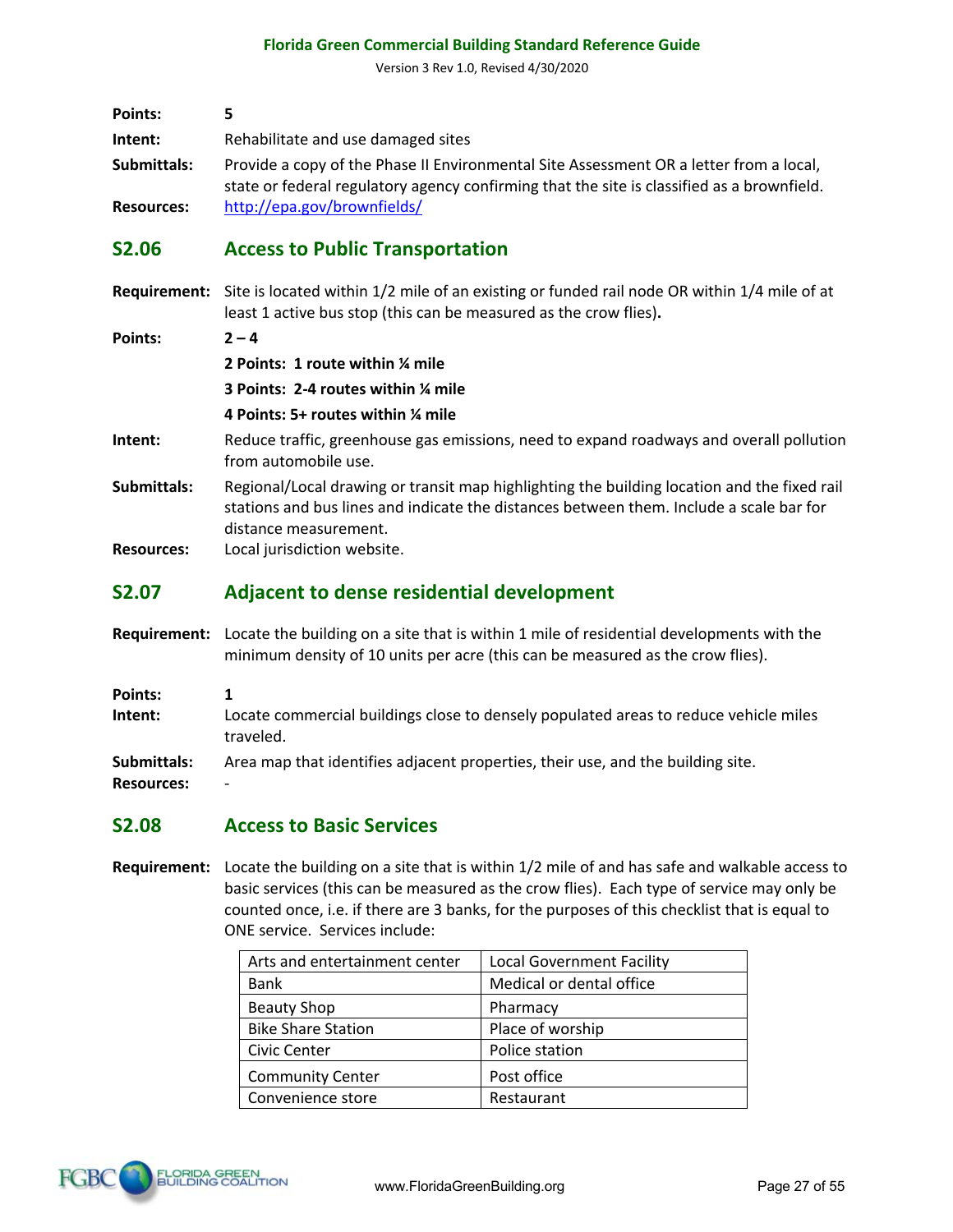Version 3 Rev 1.0, Revised 4/30/2020

| Points:           |                                                                                                                                                                                      |
|-------------------|--------------------------------------------------------------------------------------------------------------------------------------------------------------------------------------|
| Intent:           | Rehabilitate and use damaged sites                                                                                                                                                   |
| Submittals:       | Provide a copy of the Phase II Environmental Site Assessment OR a letter from a local,<br>state or federal regulatory agency confirming that the site is classified as a brownfield. |
| <b>Resources:</b> | http://epa.gov/brownfields/                                                                                                                                                          |

### **S2.06 Access to Public Transportation**

**Requirement:** Site is located within 1/2 mile of an existing or funded rail node OR within 1/4 mile of at least 1 active bus stop (this can be measured as the crow flies)**.**

| <b>Points:</b> | $2 - 4$ |
|----------------|---------|
|                |         |

**2 Points: 1 route within ¼ mile**

**3 Points: 2-4 routes within ¼ mile**

#### **4 Points: 5+ routes within ¼ mile**

- **Intent:** Reduce traffic, greenhouse gas emissions, need to expand roadways and overall pollution from automobile use.
- **Submittals:** Regional/Local drawing or transit map highlighting the building location and the fixed rail stations and bus lines and indicate the distances between them. Include a scale bar for distance measurement.
- **Resources:** Local jurisdiction website.

#### **S2.07 Adjacent to dense residential development**

- **Requirement:** Locate the building on a site that is within 1 mile of residential developments with the minimum density of 10 units per acre (this can be measured as the crow flies).
- **Points: 1 Intent:** Locate commercial buildings close to densely populated areas to reduce vehicle miles traveled. **Submittals:** Area map that identifies adjacent properties, their use, and the building site. **Resources:** -

#### **S2.08 Access to Basic Services**

**Requirement:** Locate the building on a site that is within 1/2 mile of and has safe and walkable access to basic services (this can be measured as the crow flies). Each type of service may only be counted once, i.e. if there are 3 banks, for the purposes of this checklist that is equal to ONE service. Services include:

| Arts and entertainment center | <b>Local Government Facility</b> |
|-------------------------------|----------------------------------|
| <b>Bank</b>                   | Medical or dental office         |
| <b>Beauty Shop</b>            | Pharmacy                         |
| <b>Bike Share Station</b>     | Place of worship                 |
| Civic Center                  | Police station                   |
| <b>Community Center</b>       | Post office                      |
| Convenience store             | Restaurant                       |

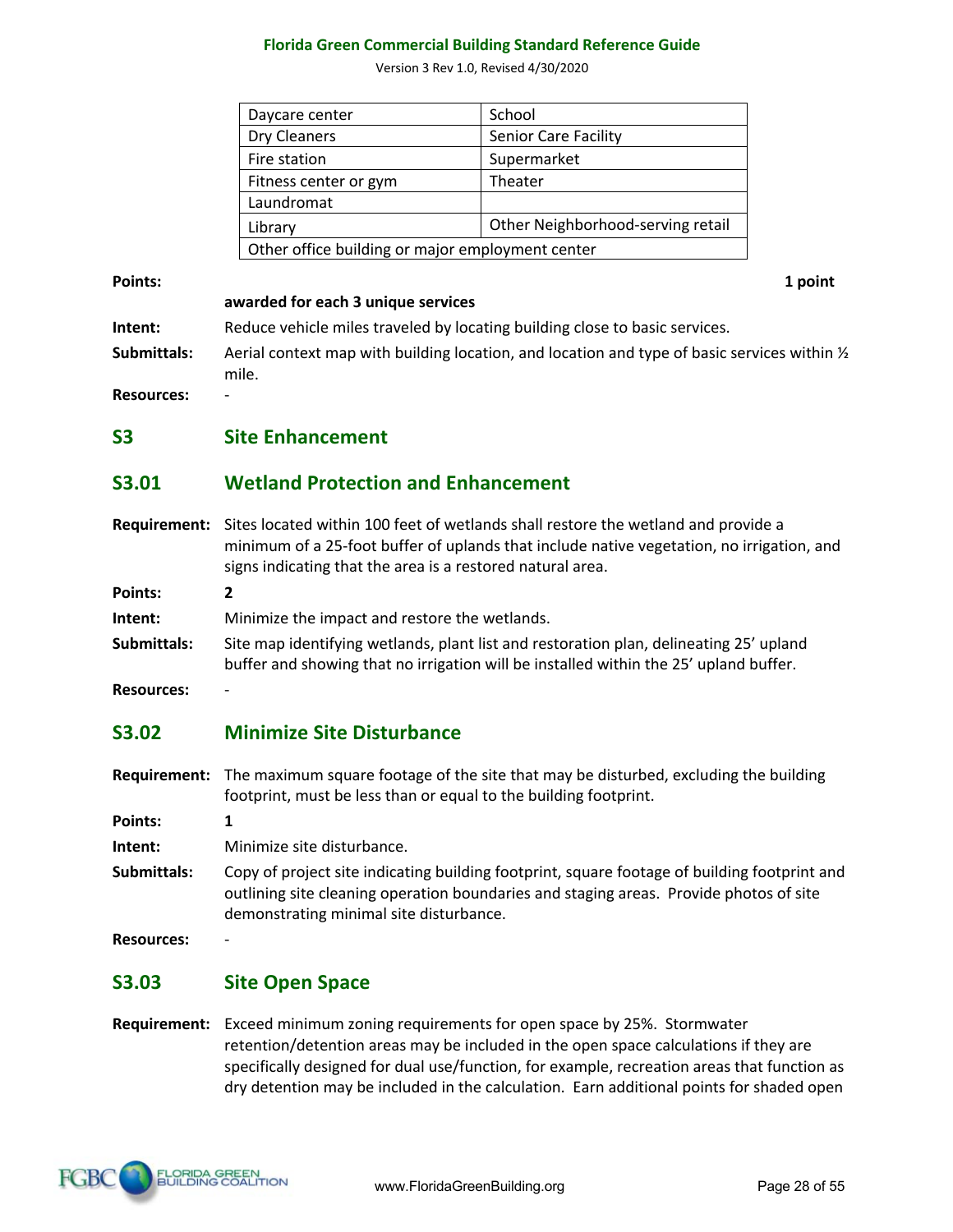Version 3 Rev 1.0, Revised 4/30/2020

| Daycare center                                   | School                            |
|--------------------------------------------------|-----------------------------------|
| Dry Cleaners                                     | <b>Senior Care Facility</b>       |
| Fire station                                     | Supermarket                       |
| Fitness center or gym                            | Theater                           |
| Laundromat                                       |                                   |
| Library                                          | Other Neighborhood-serving retail |
| Other office building or major employment center |                                   |

**Points:** 1 point

**awarded for each 3 unique services**

**Intent:** Reduce vehicle miles traveled by locating building close to basic services.

**Submittals:** Aerial context map with building location, and location and type of basic services within ½ mile.

**Resources:** -

**S3 Site Enhancement**

# **S3.01 Wetland Protection and Enhancement**

**Requirement:** Sites located within 100 feet of wetlands shall restore the wetland and provide a minimum of a 25-foot buffer of uplands that include native vegetation, no irrigation, and signs indicating that the area is a restored natural area.

**Points: 2**

**Intent:** Minimize the impact and restore the wetlands.

**Submittals:** Site map identifying wetlands, plant list and restoration plan, delineating 25' upland buffer and showing that no irrigation will be installed within the 25' upland buffer.

**Resources:** -

# **S3.02 Minimize Site Disturbance**

**Requirement:** The maximum square footage of the site that may be disturbed, excluding the building footprint, must be less than or equal to the building footprint.

**Points: 1**

**Intent:** Minimize site disturbance.

**Submittals:** Copy of project site indicating building footprint, square footage of building footprint and outlining site cleaning operation boundaries and staging areas. Provide photos of site demonstrating minimal site disturbance.

**Resources:** -

# **S3.03 Site Open Space**

**Requirement:** Exceed minimum zoning requirements for open space by 25%. Stormwater retention/detention areas may be included in the open space calculations if they are specifically designed for dual use/function, for example, recreation areas that function as dry detention may be included in the calculation. Earn additional points for shaded open

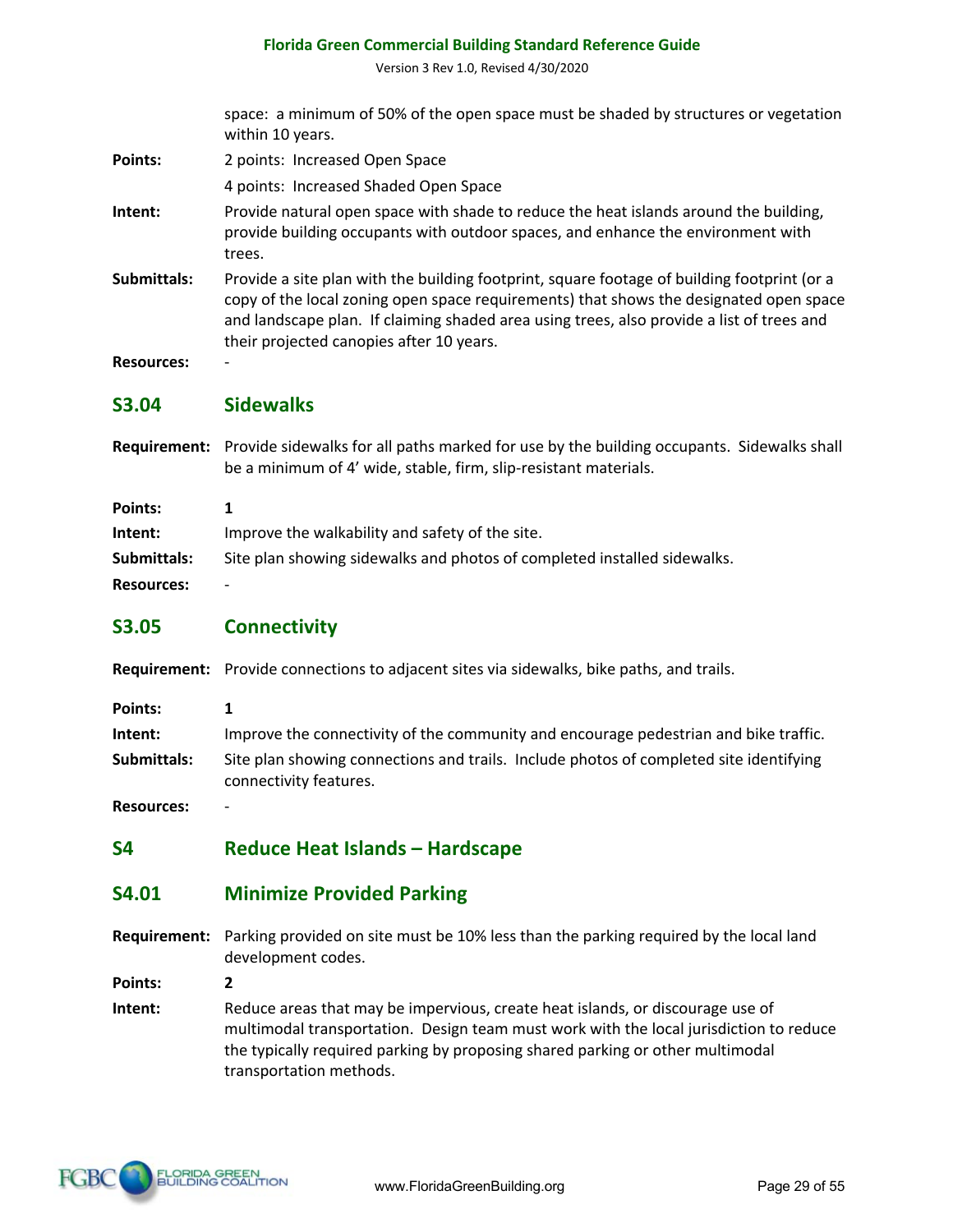Version 3 Rev 1.0, Revised 4/30/2020

space: a minimum of 50% of the open space must be shaded by structures or vegetation within 10 years.

- Points: 2 points: Increased Open Space
	- 4 points: Increased Shaded Open Space
- **Intent:** Provide natural open space with shade to reduce the heat islands around the building, provide building occupants with outdoor spaces, and enhance the environment with trees.
- **Submittals:** Provide a site plan with the building footprint, square footage of building footprint (or a copy of the local zoning open space requirements) that shows the designated open space and landscape plan. If claiming shaded area using trees, also provide a list of trees and their projected canopies after 10 years.
- **Resources:** -

#### **S3.04 Sidewalks**

**Requirement:** Provide sidewalks for all paths marked for use by the building occupants. Sidewalks shall be a minimum of 4' wide, stable, firm, slip-resistant materials.

| Points:           |                                                                          |
|-------------------|--------------------------------------------------------------------------|
| Intent:           | Improve the walkability and safety of the site.                          |
| Submittals:       | Site plan showing sidewalks and photos of completed installed sidewalks. |
| <b>Resources:</b> | $\overline{\phantom{0}}$                                                 |

# **S3.05 Connectivity**

**Requirement:** Provide connections to adjacent sites via sidewalks, bike paths, and trails.

**Points: 1**

**Intent:** Improve the connectivity of the community and encourage pedestrian and bike traffic. **Submittals:** Site plan showing connections and trails. Include photos of completed site identifying connectivity features.

**Resources:** -

**S4 Reduce Heat Islands – Hardscape** 

#### **S4.01 Minimize Provided Parking**

**Requirement:** Parking provided on site must be 10% less than the parking required by the local land development codes.

**Points: 2**

**Intent:** Reduce areas that may be impervious, create heat islands, or discourage use of multimodal transportation. Design team must work with the local jurisdiction to reduce the typically required parking by proposing shared parking or other multimodal transportation methods.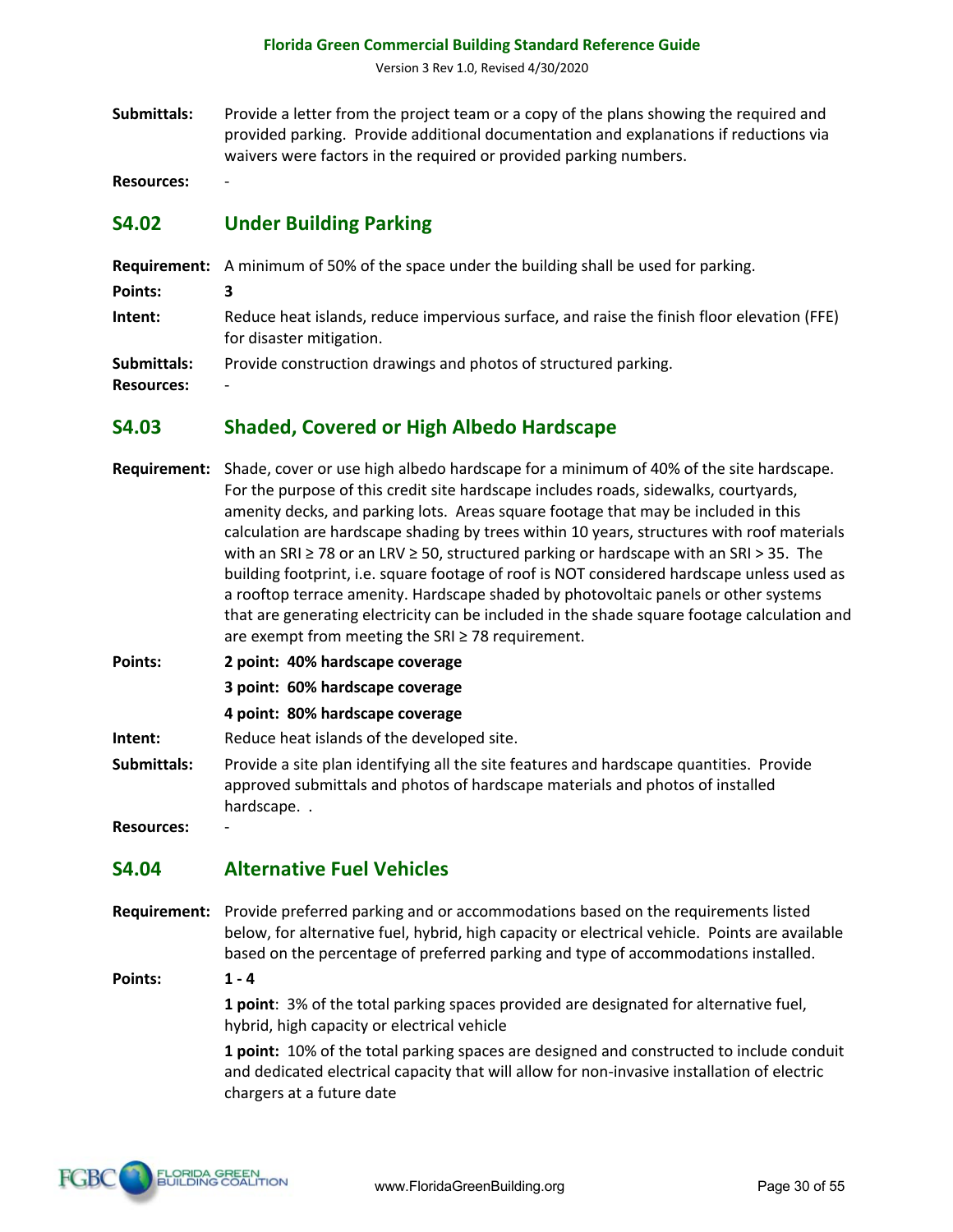Version 3 Rev 1.0, Revised 4/30/2020

**Submittals:** Provide a letter from the project team or a copy of the plans showing the required and provided parking. Provide additional documentation and explanations if reductions via waivers were factors in the required or provided parking numbers.

**Resources:** -

### **S4.02 Under Building Parking**

|                                  | <b>Requirement:</b> A minimum of 50% of the space under the building shall be used for parking.                        |
|----------------------------------|------------------------------------------------------------------------------------------------------------------------|
| Points:                          | з                                                                                                                      |
| Intent:                          | Reduce heat islands, reduce impervious surface, and raise the finish floor elevation (FFE)<br>for disaster mitigation. |
| Submittals:<br><b>Resources:</b> | Provide construction drawings and photos of structured parking.<br>-                                                   |

#### **S4.03 Shaded, Covered or High Albedo Hardscape**

- **Requirement:** Shade, cover or use high albedo hardscape for a minimum of 40% of the site hardscape. For the purpose of this credit site hardscape includes roads, sidewalks, courtyards, amenity decks, and parking lots. Areas square footage that may be included in this calculation are hardscape shading by trees within 10 years, structures with roof materials with an SRI ≥ 78 or an LRV ≥ 50, structured parking or hardscape with an SRI > 35. The building footprint, i.e. square footage of roof is NOT considered hardscape unless used as a rooftop terrace amenity. Hardscape shaded by photovoltaic panels or other systems that are generating electricity can be included in the shade square footage calculation and are exempt from meeting the SRI  $\geq$  78 requirement.
- **Points: 2 point: 40% hardscape coverage**
	- **3 point: 60% hardscape coverage**
	- **4 point: 80% hardscape coverage**
- **Intent:** Reduce heat islands of the developed site.
- **Submittals:** Provide a site plan identifying all the site features and hardscape quantities. Provide approved submittals and photos of hardscape materials and photos of installed hardscape. .

**Resources:** -

# **S4.04 Alternative Fuel Vehicles**

**Requirement:** Provide preferred parking and or accommodations based on the requirements listed below, for alternative fuel, hybrid, high capacity or electrical vehicle. Points are available based on the percentage of preferred parking and type of accommodations installed.

**Points: 1 - 4**

**1 point**: 3% of the total parking spaces provided are designated for alternative fuel, hybrid, high capacity or electrical vehicle

**1 point:** 10% of the total parking spaces are designed and constructed to include conduit and dedicated electrical capacity that will allow for non-invasive installation of electric chargers at a future date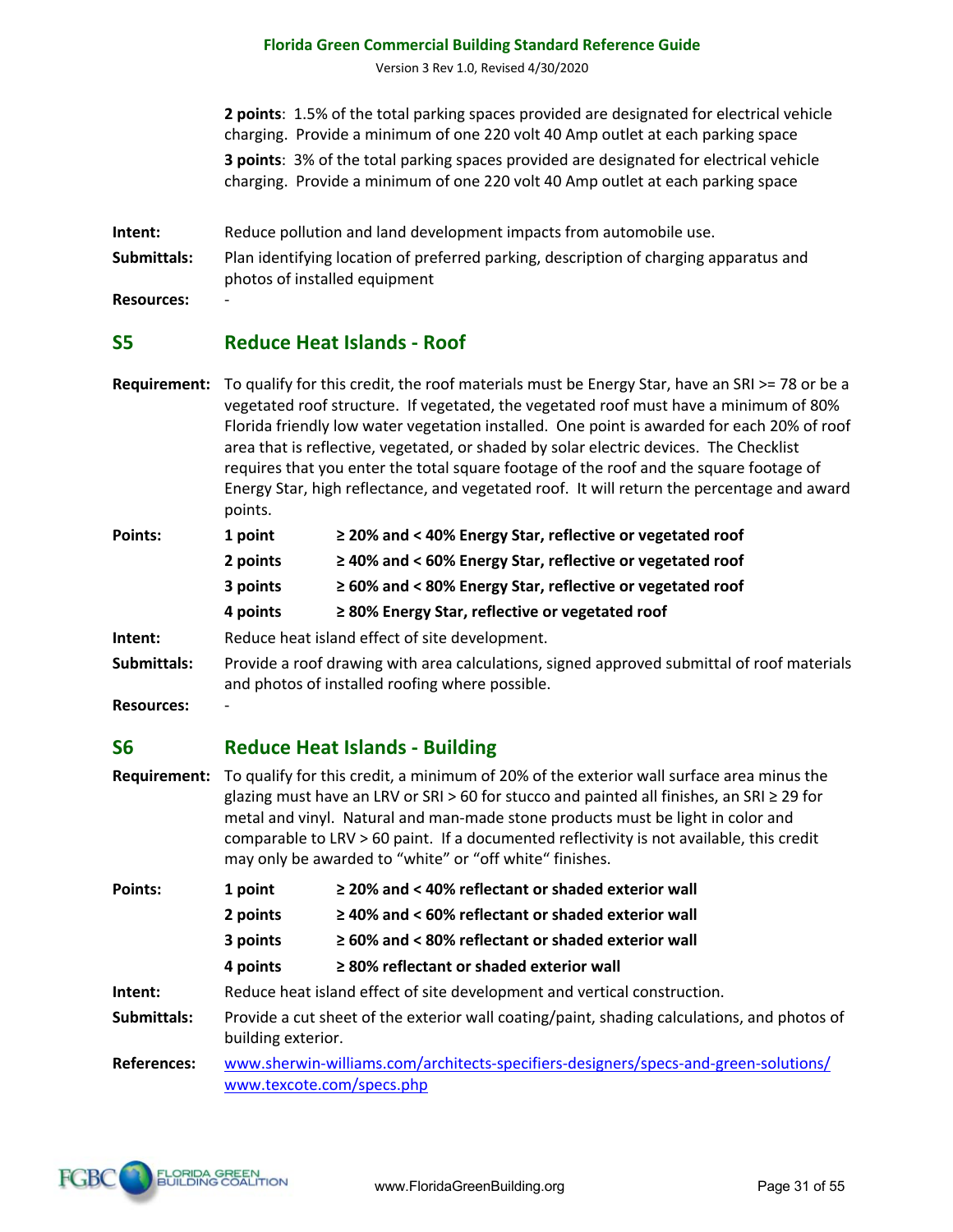Version 3 Rev 1.0, Revised 4/30/2020

**2 points**: 1.5% of the total parking spaces provided are designated for electrical vehicle charging. Provide a minimum of one 220 volt 40 Amp outlet at each parking space **3 points**: 3% of the total parking spaces provided are designated for electrical vehicle charging. Provide a minimum of one 220 volt 40 Amp outlet at each parking space

- **Intent:** Reduce pollution and land development impacts from automobile use.
- **Submittals:** Plan identifying location of preferred parking, description of charging apparatus and photos of installed equipment

**Resources:** -

#### **S5 Reduce Heat Islands - Roof**

**Requirement:** To qualify for this credit, the roof materials must be Energy Star, have an SRI >= 78 or be a vegetated roof structure. If vegetated, the vegetated roof must have a minimum of 80% Florida friendly low water vegetation installed. One point is awarded for each 20% of roof area that is reflective, vegetated, or shaded by solar electric devices. The Checklist requires that you enter the total square footage of the roof and the square footage of Energy Star, high reflectance, and vegetated roof. It will return the percentage and award points.

| Points:     | 1 point                                        | ≥ 20% and < 40% Energy Star, reflective or vegetated roof                                                                                     |
|-------------|------------------------------------------------|-----------------------------------------------------------------------------------------------------------------------------------------------|
|             | 2 points                                       | $\geq$ 40% and < 60% Energy Star, reflective or vegetated roof                                                                                |
|             | 3 points                                       | $\geq$ 60% and < 80% Energy Star, reflective or vegetated roof                                                                                |
|             | 4 points                                       | $\geq$ 80% Energy Star, reflective or vegetated roof                                                                                          |
| Intent:     | Reduce heat island effect of site development. |                                                                                                                                               |
| Submittals: |                                                | Provide a roof drawing with area calculations, signed approved submittal of roof materials<br>and photos of installed roofing where possible. |

**Resources:** -

#### **S6 Reduce Heat Islands - Building**

**Requirement:** To qualify for this credit, a minimum of 20% of the exterior wall surface area minus the glazing must have an LRV or SRI > 60 for stucco and painted all finishes, an SRI ≥ 29 for metal and vinyl. Natural and man-made stone products must be light in color and comparable to LRV > 60 paint. If a documented reflectivity is not available, this credit may only be awarded to "white" or "off white" finishes.

| <b>Points:</b>    | 1 point                                                                                                           | $\geq$ 20% and < 40% reflectant or shaded exterior wall                              |
|-------------------|-------------------------------------------------------------------------------------------------------------------|--------------------------------------------------------------------------------------|
|                   | 2 points                                                                                                          | $\geq$ 40% and < 60% reflectant or shaded exterior wall                              |
|                   | 3 points                                                                                                          | $\geq 60\%$ and < 80% reflectant or shaded exterior wall                             |
|                   | 4 points                                                                                                          | ≥ 80% reflectant or shaded exterior wall                                             |
| Intent:           |                                                                                                                   | Reduce heat island effect of site development and vertical construction.             |
| Submittals:       | Provide a cut sheet of the exterior wall coating/paint, shading calculations, and photos of<br>building exterior. |                                                                                      |
| <b>Doforoncos</b> |                                                                                                                   | unus charujn williams sam/architects specifiers designers/specs and green solutions/ |

**References:** www.sherwin-williams.com/architects-specifiers-designers/specs-and-green-solutions/ www.texcote.com/specs.php

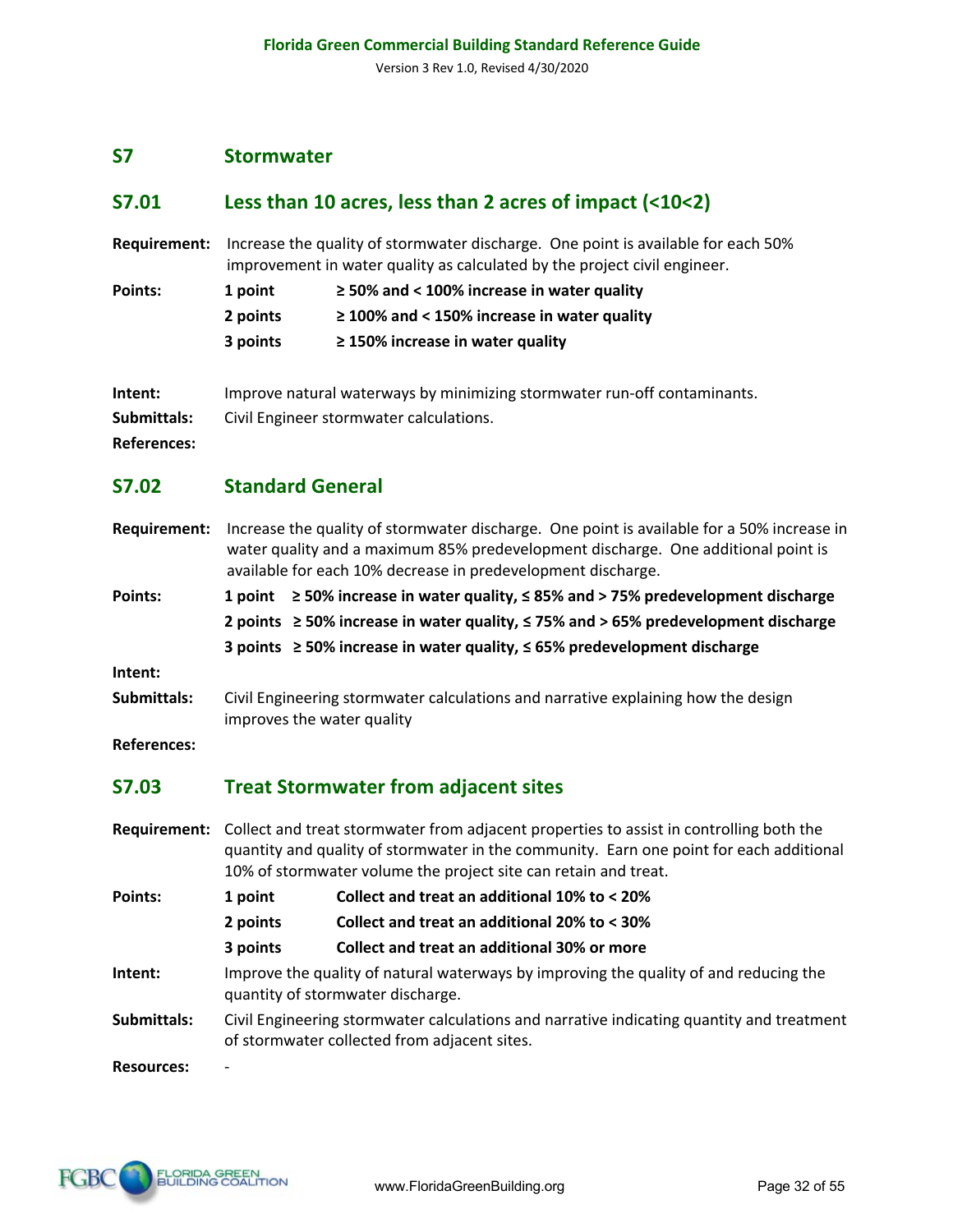#### **S7 Stormwater**

#### **S7.01 Less than 10 acres, less than 2 acres of impact (<10<2)**

**Requirement:** Increase the quality of stormwater discharge. One point is available for each 50% improvement in water quality as calculated by the project civil engineer.

| Points: | 1 point  | $\ge$ 50% and < 100% increase in water quality   |
|---------|----------|--------------------------------------------------|
|         | 2 points | $\geq$ 100% and < 150% increase in water quality |
|         | 3 points | $\geq$ 150% increase in water quality            |

- **Intent:** Improve natural waterways by minimizing stormwater run-off contaminants.
- **Submittals:** Civil Engineer stormwater calculations.

**References:**

#### **S7.02 Standard General**

**Requirement:** Increase the quality of stormwater discharge. One point is available for a 50% increase in water quality and a maximum 85% predevelopment discharge. One additional point is available for each 10% decrease in predevelopment discharge.

**Points: 1 point ≥ 50% increase in water quality, ≤ 85% and > 75% predevelopment discharge 2 points ≥ 50% increase in water quality, ≤ 75% and > 65% predevelopment discharge 3 points ≥ 50% increase in water quality, ≤ 65% predevelopment discharge**

**Intent:**

**Submittals:** Civil Engineering stormwater calculations and narrative explaining how the design improves the water quality

**References:**

#### **S7.03 Treat Stormwater from adjacent sites**

- **Requirement:** Collect and treat stormwater from adjacent properties to assist in controlling both the quantity and quality of stormwater in the community. Earn one point for each additional 10% of stormwater volume the project site can retain and treat. **Points: 1 point Collect and treat an additional 10% to < 20% 2 points Collect and treat an additional 20% to < 30%**
	- **3 points Collect and treat an additional 30% or more**
- **Intent:** Improve the quality of natural waterways by improving the quality of and reducing the quantity of stormwater discharge.
- **Submittals:** Civil Engineering stormwater calculations and narrative indicating quantity and treatment of stormwater collected from adjacent sites.

**Resources:** -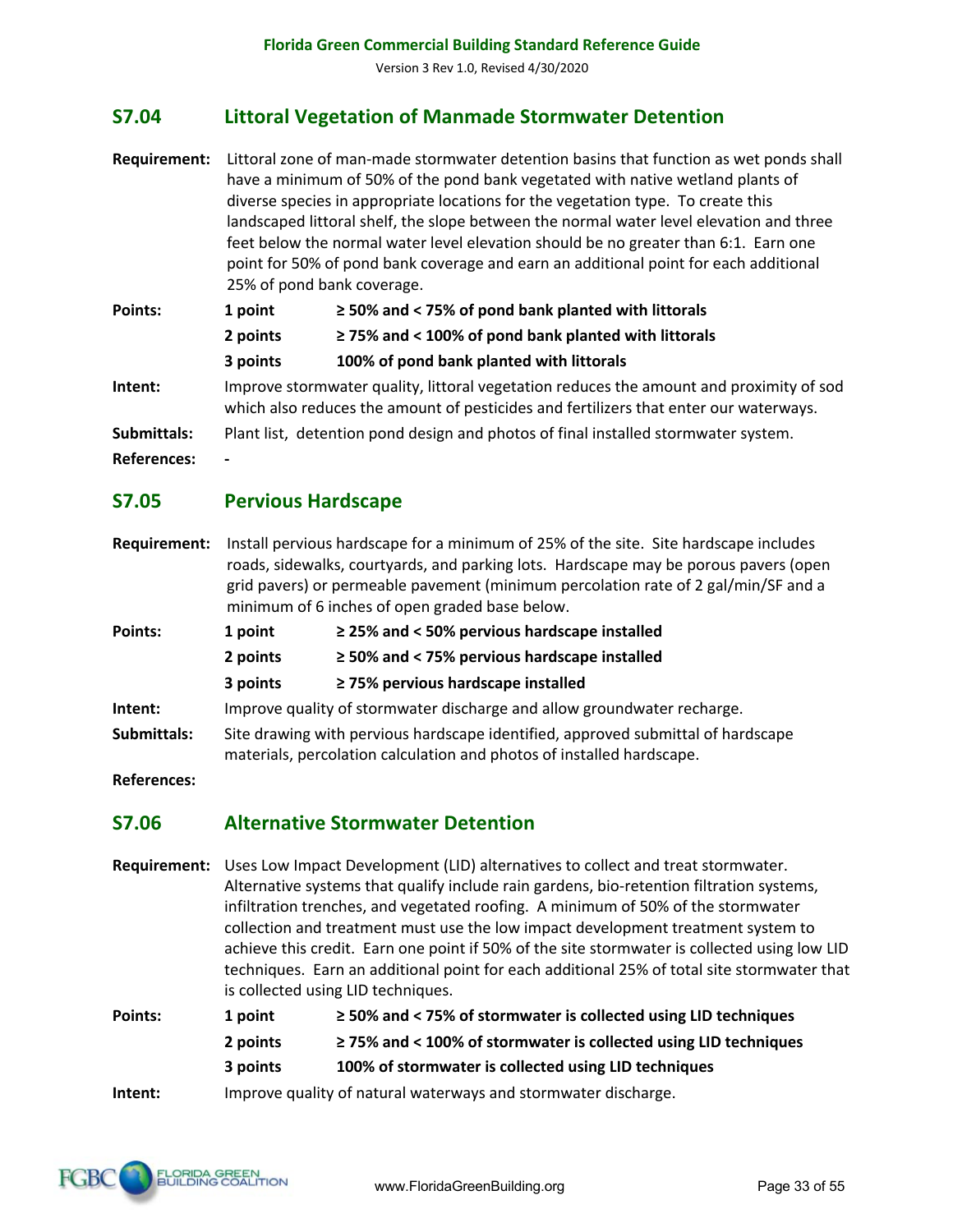# **S7.04 Littoral Vegetation of Manmade Stormwater Detention**

- **Requirement:** Littoral zone of man-made stormwater detention basins that function as wet ponds shall have a minimum of 50% of the pond bank vegetated with native wetland plants of diverse species in appropriate locations for the vegetation type. To create this landscaped littoral shelf, the slope between the normal water level elevation and three feet below the normal water level elevation should be no greater than 6:1. Earn one point for 50% of pond bank coverage and earn an additional point for each additional 25% of pond bank coverage.
- **Points: 1 point ≥ 50% and < 75% of pond bank planted with littorals 2 points ≥ 75% and < 100% of pond bank planted with littorals 3 points 100% of pond bank planted with littorals Intent:** Improve stormwater quality, littoral vegetation reduces the amount and proximity of sod which also reduces the amount of pesticides and fertilizers that enter our waterways. **Submittals:** Plant list, detention pond design and photos of final installed stormwater system.
- **References: -**

#### **S7.05 Pervious Hardscape**

- **Requirement:** Install pervious hardscape for a minimum of 25% of the site. Site hardscape includes roads, sidewalks, courtyards, and parking lots. Hardscape may be porous pavers (open grid pavers) or permeable pavement (minimum percolation rate of 2 gal/min/SF and a minimum of 6 inches of open graded base below.
- **Points: 1 point ≥ 25% and < 50% pervious hardscape installed**
	- **2 points ≥ 50% and < 75% pervious hardscape installed**
	- **3 points ≥ 75% pervious hardscape installed**
- **Intent:** Improve quality of stormwater discharge and allow groundwater recharge.
- **Submittals:** Site drawing with pervious hardscape identified, approved submittal of hardscape materials, percolation calculation and photos of installed hardscape.
- **References:**

#### **S7.06 Alternative Stormwater Detention**

**Requirement:** Uses Low Impact Development (LID) alternatives to collect and treat stormwater. Alternative systems that qualify include rain gardens, bio-retention filtration systems, infiltration trenches, and vegetated roofing. A minimum of 50% of the stormwater collection and treatment must use the low impact development treatment system to achieve this credit. Earn one point if 50% of the site stormwater is collected using low LID techniques. Earn an additional point for each additional 25% of total site stormwater that is collected using LID techniques.

**Points: 1 point ≥ 50% and < 75% of stormwater is collected using LID techniques 2 points ≥ 75% and < 100% of stormwater is collected using LID techniques 3 points 100% of stormwater is collected using LID techniques Intent:** Improve quality of natural waterways and stormwater discharge.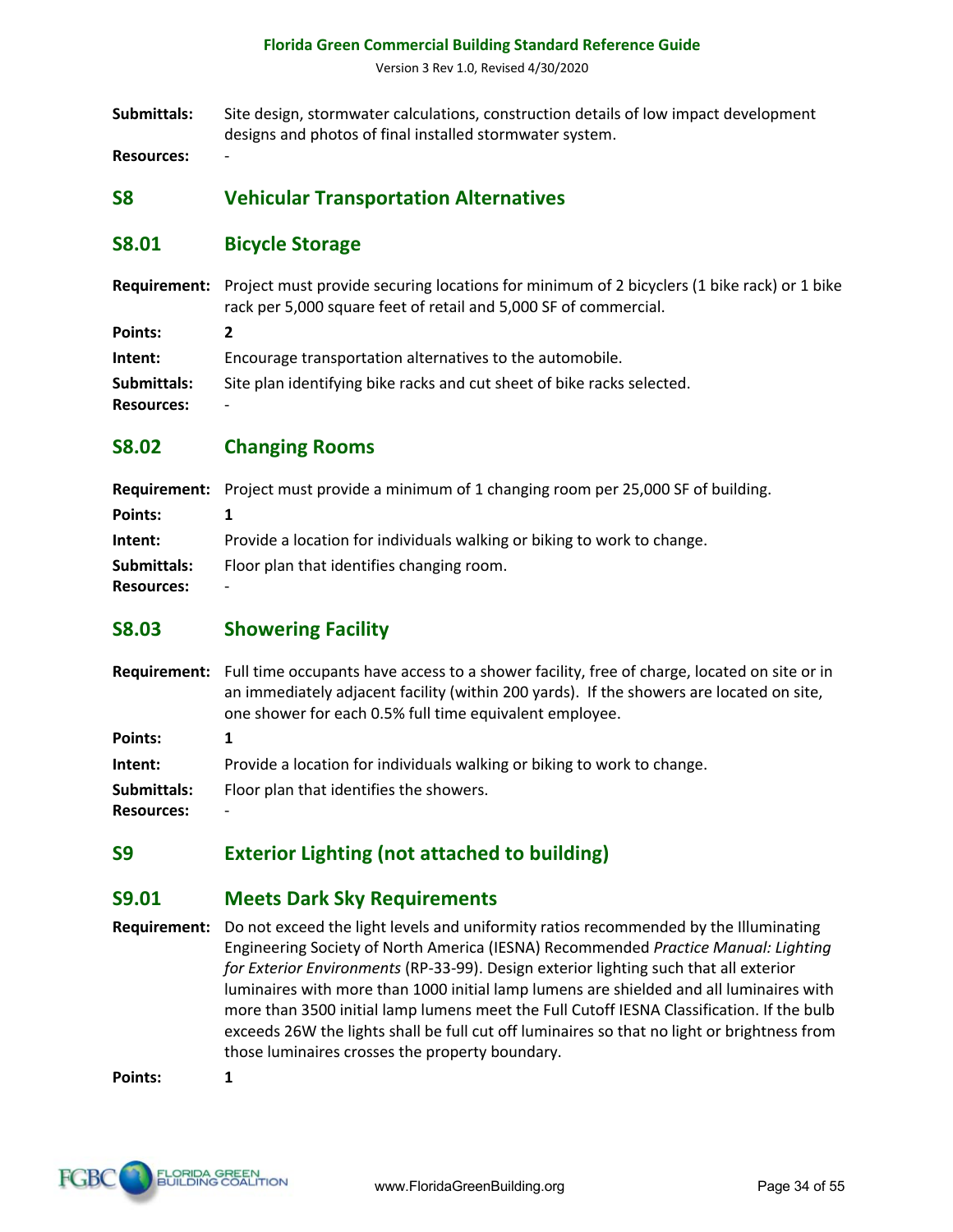Version 3 Rev 1.0, Revised 4/30/2020

**Submittals:** Site design, stormwater calculations, construction details of low impact development designs and photos of final installed stormwater system.

**Resources:** -

### **S8 Vehicular Transportation Alternatives**

#### **S8.01 Bicycle Storage**

**Requirement:** Project must provide securing locations for minimum of 2 bicyclers (1 bike rack) or 1 bike rack per 5,000 square feet of retail and 5,000 SF of commercial.

**Points: 2 Intent:** Encourage transportation alternatives to the automobile. **Submittals:** Site plan identifying bike racks and cut sheet of bike racks selected. **Resources:** -

### **S8.02 Changing Rooms**

|                                  | <b>Requirement:</b> Project must provide a minimum of 1 changing room per 25,000 SF of building. |
|----------------------------------|--------------------------------------------------------------------------------------------------|
| Points:                          |                                                                                                  |
| Intent:                          | Provide a location for individuals walking or biking to work to change.                          |
| Submittals:<br><b>Resources:</b> | Floor plan that identifies changing room.<br>$\overline{\phantom{a}}$                            |

#### **S8.03 Showering Facility**

**Requirement:** Full time occupants have access to a shower facility, free of charge, located on site or in an immediately adjacent facility (within 200 yards). If the showers are located on site, one shower for each 0.5% full time equivalent employee. **Points: 1 Intent:** Provide a location for individuals walking or biking to work to change.

**Submittals:** Floor plan that identifies the showers.

**Resources:** -

# **S9 Exterior Lighting (not attached to building)**

#### **S9.01 Meets Dark Sky Requirements**

**Requirement:** Do not exceed the light levels and uniformity ratios recommended by the Illuminating Engineering Society of North America (IESNA) Recommended *Practice Manual: Lighting for Exterior Environments* (RP-33-99). Design exterior lighting such that all exterior luminaires with more than 1000 initial lamp lumens are shielded and all luminaires with more than 3500 initial lamp lumens meet the Full Cutoff IESNA Classification. If the bulb exceeds 26W the lights shall be full cut off luminaires so that no light or brightness from those luminaires crosses the property boundary.

**Points: 1**

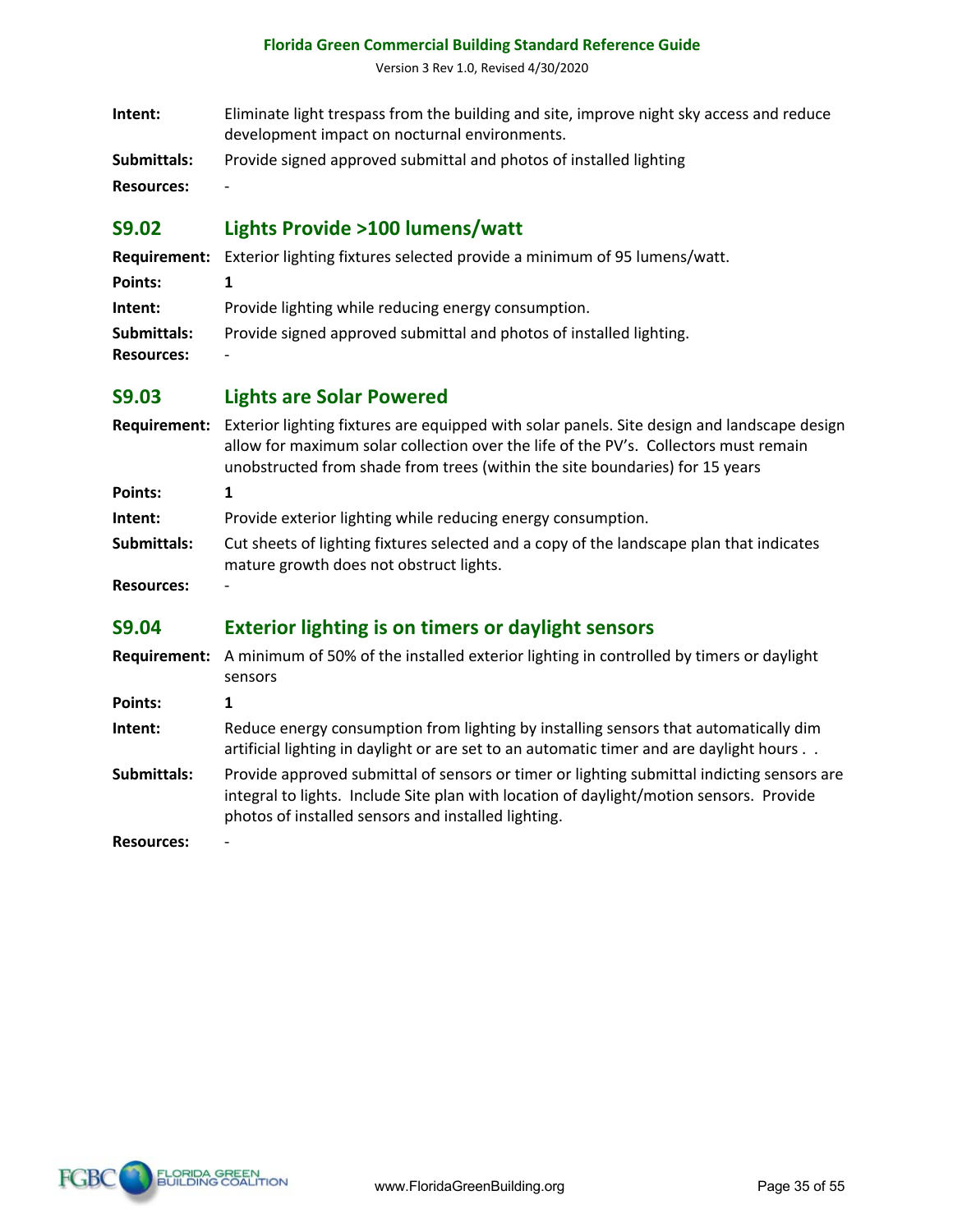Version 3 Rev 1.0, Revised 4/30/2020

| Intent: | Eliminate light trespass from the building and site, improve night sky access and reduce |
|---------|------------------------------------------------------------------------------------------|
|         | development impact on nocturnal environments.                                            |

**Submittals:** Provide signed approved submittal and photos of installed lighting

**Resources:** -

# **S9.02 Lights Provide >100 lumens/watt**

|                   | <b>Requirement:</b> Exterior lighting fixtures selected provide a minimum of 95 lumens/watt. |
|-------------------|----------------------------------------------------------------------------------------------|
| Points:           |                                                                                              |
| Intent:           | Provide lighting while reducing energy consumption.                                          |
| Submittals:       | Provide signed approved submittal and photos of installed lighting.                          |
| <b>Resources:</b> | $\overline{\phantom{0}}$                                                                     |

#### **S9.03 Lights are Solar Powered**

|             | Requirement: Exterior lighting fixtures are equipped with solar panels. Site design and landscape design<br>allow for maximum solar collection over the life of the PV's. Collectors must remain<br>unobstructed from shade from trees (within the site boundaries) for 15 years |
|-------------|----------------------------------------------------------------------------------------------------------------------------------------------------------------------------------------------------------------------------------------------------------------------------------|
| Points:     |                                                                                                                                                                                                                                                                                  |
| Intent:     | Provide exterior lighting while reducing energy consumption.                                                                                                                                                                                                                     |
| Submittals: | Cut sheets of lighting fixtures selected and a copy of the landscape plan that indicates<br>mature growth does not obstruct lights.                                                                                                                                              |

**Resources:** -

# **S9.04 Exterior lighting is on timers or daylight sensors**

- **Requirement:** A minimum of 50% of the installed exterior lighting in controlled by timers or daylight sensors
- **Points: 1**
- **Intent:** Reduce energy consumption from lighting by installing sensors that automatically dim artificial lighting in daylight or are set to an automatic timer and are daylight hours . .
- **Submittals:** Provide approved submittal of sensors or timer or lighting submittal indicting sensors are integral to lights. Include Site plan with location of daylight/motion sensors. Provide photos of installed sensors and installed lighting.

**Resources:** -

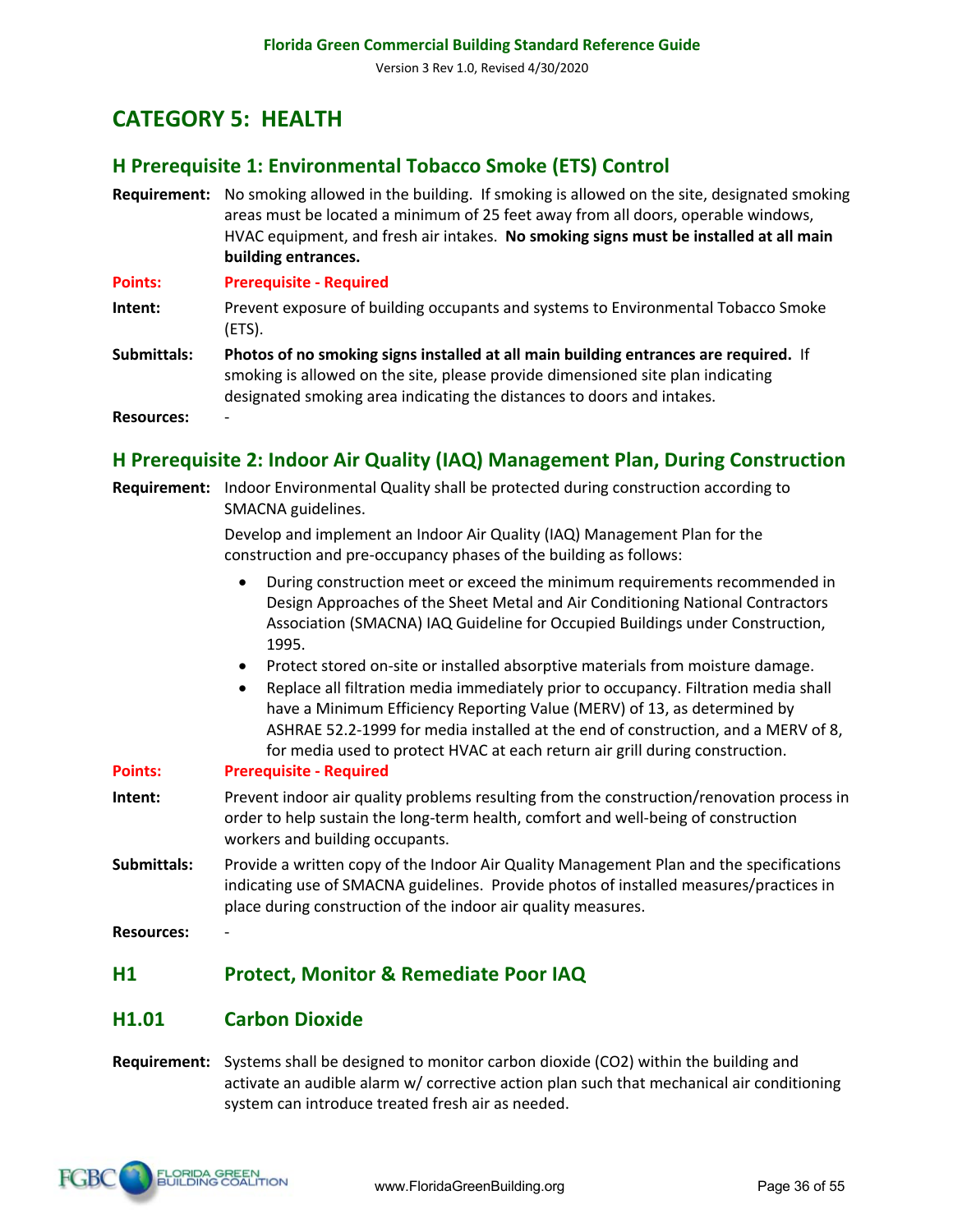# **CATEGORY 5: HEALTH**

# **H Prerequisite 1: Environmental Tobacco Smoke (ETS) Control**

**Requirement:** No smoking allowed in the building. If smoking is allowed on the site, designated smoking areas must be located a minimum of 25 feet away from all doors, operable windows, HVAC equipment, and fresh air intakes. **No smoking signs must be installed at all main building entrances.** 

**Points: Prerequisite - Required**

- **Intent:** Prevent exposure of building occupants and systems to Environmental Tobacco Smoke (ETS).
- **Submittals: Photos of no smoking signs installed at all main building entrances are required.** If smoking is allowed on the site, please provide dimensioned site plan indicating designated smoking area indicating the distances to doors and intakes.

**Resources:** -

# **H Prerequisite 2: Indoor Air Quality (IAQ) Management Plan, During Construction**

**Requirement:** Indoor Environmental Quality shall be protected during construction according to SMACNA guidelines.

> Develop and implement an Indoor Air Quality (IAQ) Management Plan for the construction and pre-occupancy phases of the building as follows:

- During construction meet or exceed the minimum requirements recommended in Design Approaches of the Sheet Metal and Air Conditioning National Contractors Association (SMACNA) IAQ Guideline for Occupied Buildings under Construction, 1995.
- Protect stored on-site or installed absorptive materials from moisture damage.
- Replace all filtration media immediately prior to occupancy. Filtration media shall have a Minimum Efficiency Reporting Value (MERV) of 13, as determined by ASHRAE 52.2-1999 for media installed at the end of construction, and a MERV of 8, for media used to protect HVAC at each return air grill during construction.

#### **Points: Prerequisite - Required**

- **Intent:** Prevent indoor air quality problems resulting from the construction/renovation process in order to help sustain the long-term health, comfort and well-being of construction workers and building occupants.
- **Submittals:** Provide a written copy of the Indoor Air Quality Management Plan and the specifications indicating use of SMACNA guidelines. Provide photos of installed measures/practices in place during construction of the indoor air quality measures.

**Resources:** -

# **H1 Protect, Monitor & Remediate Poor IAQ**

#### **H1.01 Carbon Dioxide**

**Requirement:** Systems shall be designed to monitor carbon dioxide (CO2) within the building and activate an audible alarm w/ corrective action plan such that mechanical air conditioning system can introduce treated fresh air as needed.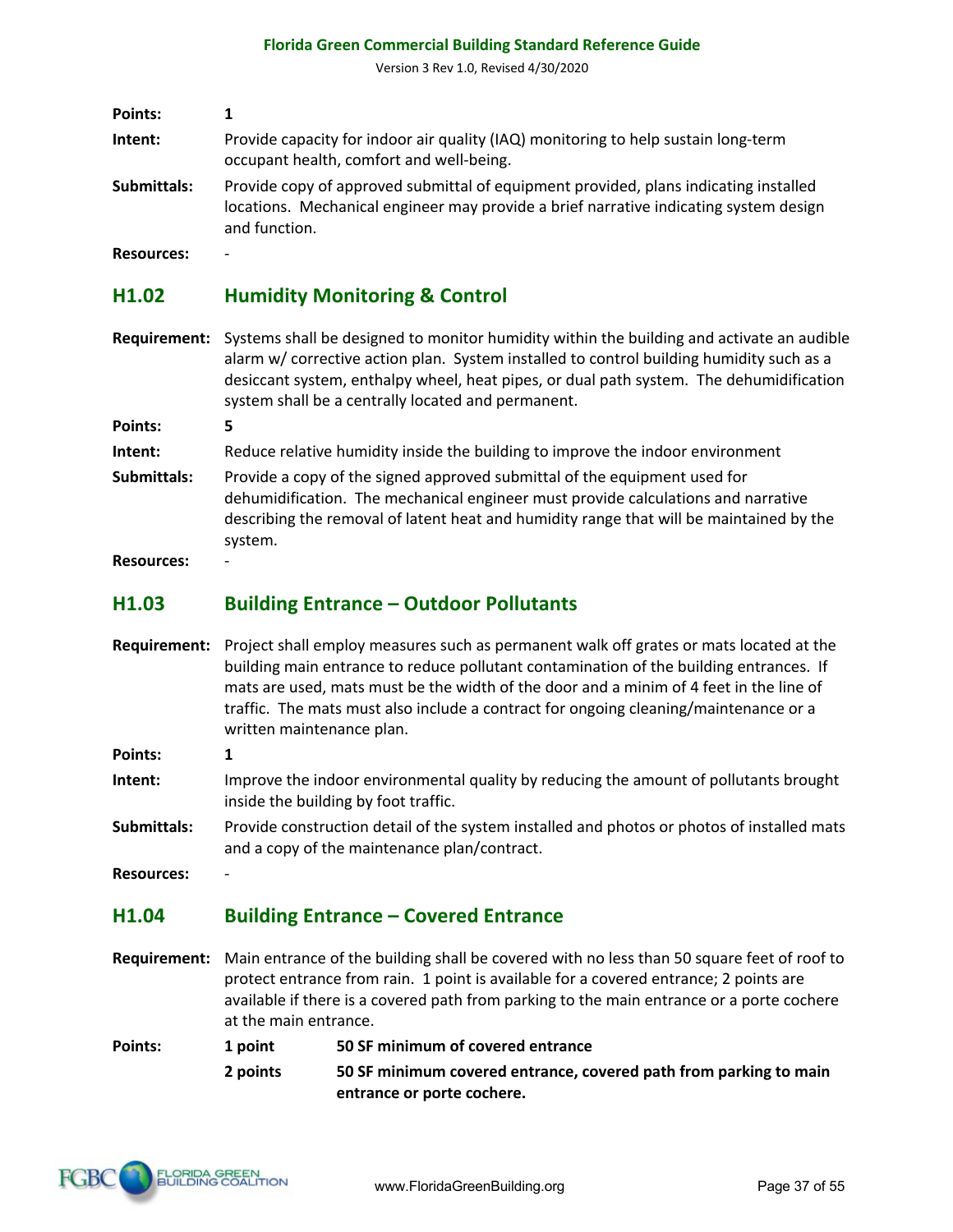Version 3 Rev 1.0, Revised 4/30/2020

| Points:     |                                                                                                                                                                                                |
|-------------|------------------------------------------------------------------------------------------------------------------------------------------------------------------------------------------------|
| Intent:     | Provide capacity for indoor air quality (IAQ) monitoring to help sustain long-term<br>occupant health, comfort and well-being.                                                                 |
| Submittals: | Provide copy of approved submittal of equipment provided, plans indicating installed<br>locations. Mechanical engineer may provide a brief narrative indicating system design<br>and function. |

**Resources:** -

#### **H1.02 Humidity Monitoring & Control**

- **Requirement:** Systems shall be designed to monitor humidity within the building and activate an audible alarm w/ corrective action plan. System installed to control building humidity such as a desiccant system, enthalpy wheel, heat pipes, or dual path system. The dehumidification system shall be a centrally located and permanent.
- **Points: 5**
- **Intent:** Reduce relative humidity inside the building to improve the indoor environment
- **Submittals:** Provide a copy of the signed approved submittal of the equipment used for dehumidification. The mechanical engineer must provide calculations and narrative describing the removal of latent heat and humidity range that will be maintained by the system.

**Resources:** -

#### **H1.03 Building Entrance – Outdoor Pollutants**

- **Requirement:** Project shall employ measures such as permanent walk off grates or mats located at the building main entrance to reduce pollutant contamination of the building entrances. If mats are used, mats must be the width of the door and a minim of 4 feet in the line of traffic. The mats must also include a contract for ongoing cleaning/maintenance or a written maintenance plan.
- **Points: 1**
- **Intent:** Improve the indoor environmental quality by reducing the amount of pollutants brought inside the building by foot traffic.
- **Submittals:** Provide construction detail of the system installed and photos or photos of installed mats and a copy of the maintenance plan/contract.

**Resources:** -

#### **H1.04 Building Entrance – Covered Entrance**

- **Requirement:** Main entrance of the building shall be covered with no less than 50 square feet of roof to protect entrance from rain. 1 point is available for a covered entrance; 2 points are available if there is a covered path from parking to the main entrance or a porte cochere at the main entrance.
- **Points: 1 point 50 SF minimum of covered entrance** 
	- **2 points 50 SF minimum covered entrance, covered path from parking to main entrance or porte cochere.**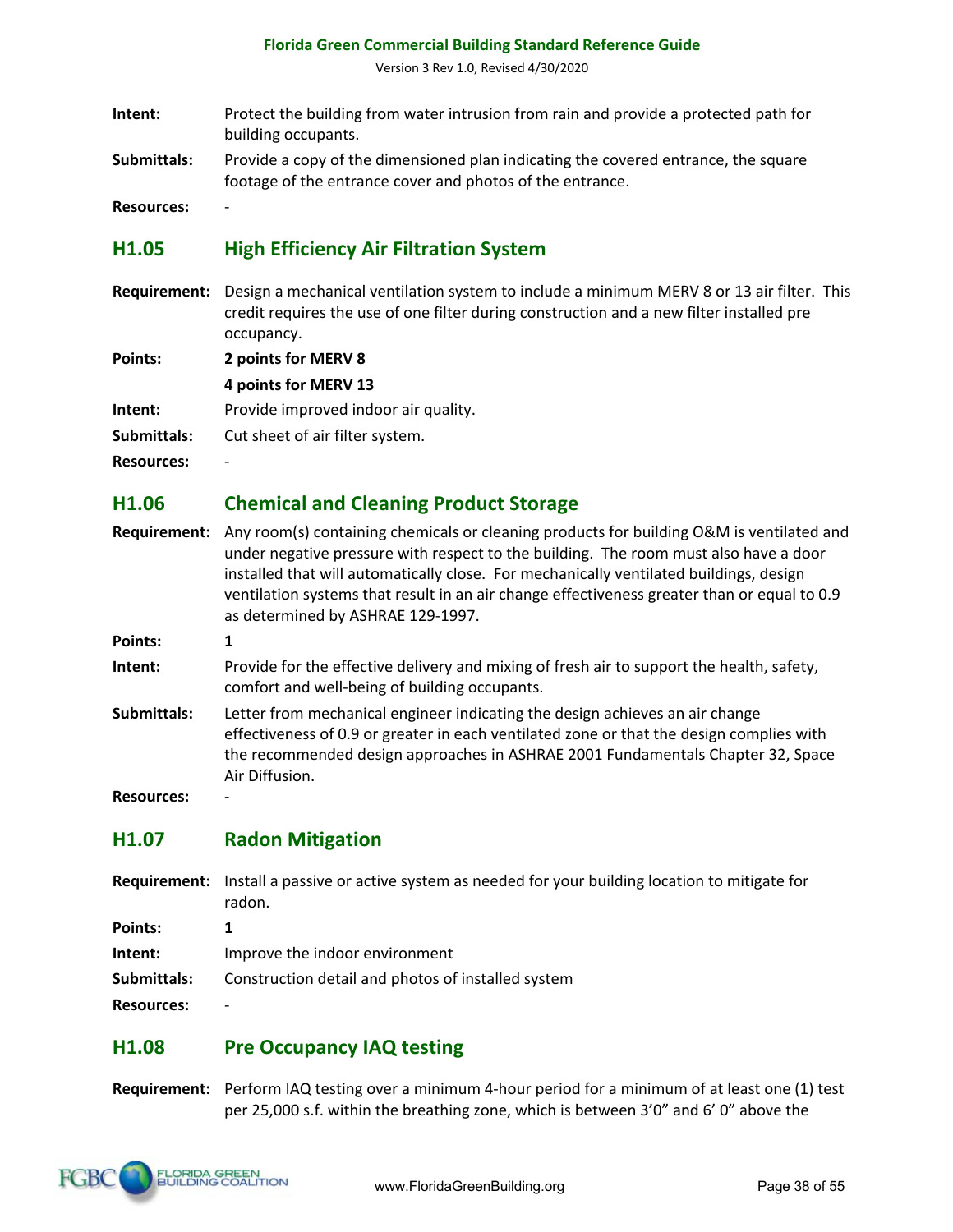Version 3 Rev 1.0, Revised 4/30/2020

- **Intent:** Protect the building from water intrusion from rain and provide a protected path for building occupants.
- **Submittals:** Provide a copy of the dimensioned plan indicating the covered entrance, the square footage of the entrance cover and photos of the entrance.

**Resources:** -

# **H1.05 High Efficiency Air Filtration System**

**Requirement:** Design a mechanical ventilation system to include a minimum MERV 8 or 13 air filter. This credit requires the use of one filter during construction and a new filter installed pre occupancy.

**Points: 2 points for MERV 8**

**4 points for MERV 13**

**Intent:** Provide improved indoor air quality.

**Submittals:** Cut sheet of air filter system.

**Resources:** -

#### **H1.06 Chemical and Cleaning Product Storage**

- **Requirement:** Any room(s) containing chemicals or cleaning products for building O&M is ventilated and under negative pressure with respect to the building. The room must also have a door installed that will automatically close. For mechanically ventilated buildings, design ventilation systems that result in an air change effectiveness greater than or equal to 0.9 as determined by ASHRAE 129-1997.
- **Points: 1**
- **Intent:** Provide for the effective delivery and mixing of fresh air to support the health, safety, comfort and well-being of building occupants.
- **Submittals:** Letter from mechanical engineer indicating the design achieves an air change effectiveness of 0.9 or greater in each ventilated zone or that the design complies with the recommended design approaches in ASHRAE 2001 Fundamentals Chapter 32, Space Air Diffusion.

**Resources:** -

#### **H1.07 Radon Mitigation**

- **Requirement:** Install a passive or active system as needed for your building location to mitigate for radon.
- **Points: 1**

**Intent:** Improve the indoor environment

**Submittals:** Construction detail and photos of installed system

**Resources:** -

#### **H1.08 Pre Occupancy IAQ testing**

**Requirement:** Perform IAQ testing over a minimum 4-hour period for a minimum of at least one (1) test per 25,000 s.f. within the breathing zone, which is between 3'0" and 6' 0" above the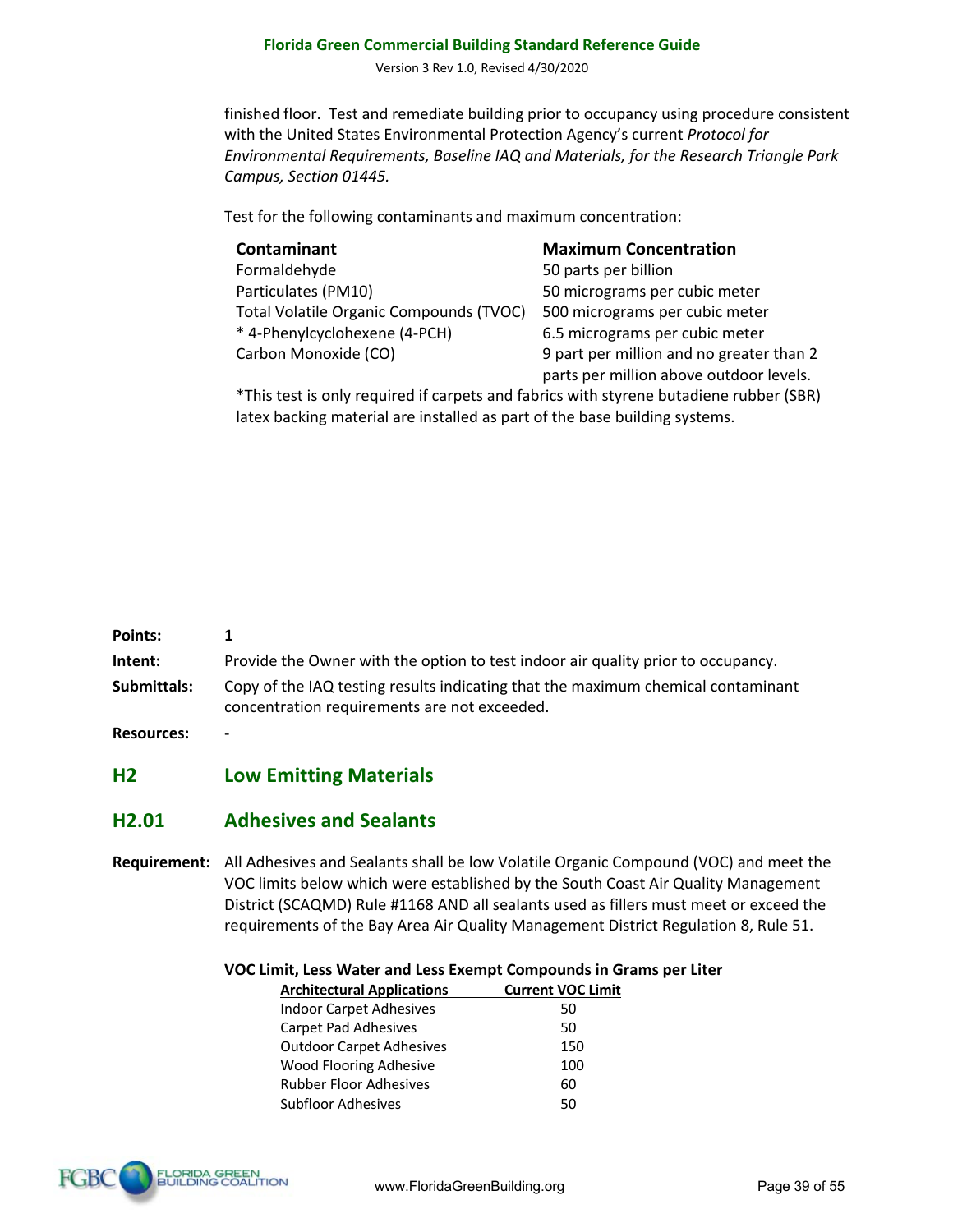Version 3 Rev 1.0, Revised 4/30/2020

finished floor. Test and remediate building prior to occupancy using procedure consistent with the United States Environmental Protection Agency's current *Protocol for Environmental Requirements, Baseline IAQ and Materials, for the Research Triangle Park Campus, Section 01445.* 

Test for the following contaminants and maximum concentration:

| Maximu     |
|------------|
| 50 parts p |
| 50 microg  |
| 500 micro  |
| 6.5 micro  |
| 9 part per |
|            |

**m** Concentration per billion grams per cubic meter ograms per cubic meter grams per cubic meter r million and no greater than 2 parts per million above outdoor levels.

\*This test is only required if carpets and fabrics with styrene butadiene rubber (SBR) latex backing material are installed as part of the base building systems.

| <b>Points:</b>    |                                                                                                                                  |
|-------------------|----------------------------------------------------------------------------------------------------------------------------------|
| Intent:           | Provide the Owner with the option to test indoor air quality prior to occupancy.                                                 |
| Submittals:       | Copy of the IAQ testing results indicating that the maximum chemical contaminant<br>concentration requirements are not exceeded. |
| <b>Resources:</b> |                                                                                                                                  |

#### **H2 Low Emitting Materials**

# **H2.01 Adhesives and Sealants**

**Requirement:** All Adhesives and Sealants shall be low Volatile Organic Compound (VOC) and meet the VOC limits below which were established by the South Coast Air Quality Management District (SCAQMD) Rule #1168 AND all sealants used as fillers must meet or exceed the requirements of the Bay Area Air Quality Management District Regulation 8, Rule 51.

**VOC Limit, Less Water and Less Exempt Compounds in Grams per Liter**

| <b>Architectural Applications</b> | <b>Current VOC Limit</b> |
|-----------------------------------|--------------------------|
| Indoor Carpet Adhesives           | 50                       |
| <b>Carpet Pad Adhesives</b>       | 50                       |
| Outdoor Carpet Adhesives          | 150                      |
| Wood Flooring Adhesive            | 100                      |
| Rubber Floor Adhesives            | 60                       |
| Subfloor Adhesives                | 50                       |
|                                   |                          |

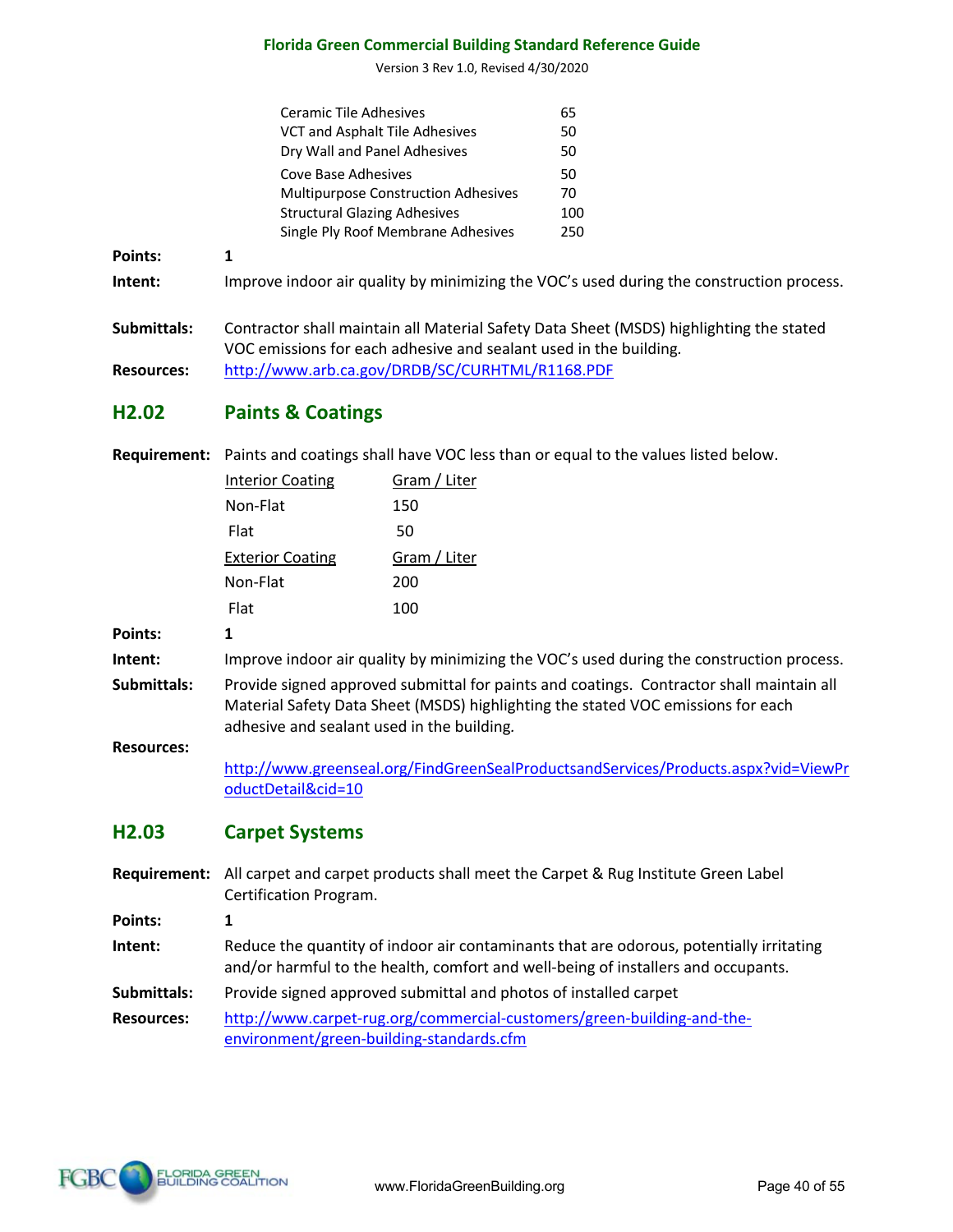Version 3 Rev 1.0, Revised 4/30/2020

|                | Ceramic Tile Adhesives                                                                   | 65  |
|----------------|------------------------------------------------------------------------------------------|-----|
|                | VCT and Asphalt Tile Adhesives                                                           | 50  |
|                | Dry Wall and Panel Adhesives                                                             | 50  |
|                | Cove Base Adhesives                                                                      | 50  |
|                | <b>Multipurpose Construction Adhesives</b>                                               | 70  |
|                | <b>Structural Glazing Adhesives</b>                                                      | 100 |
|                | Single Ply Roof Membrane Adhesives                                                       | 250 |
| <b>Points:</b> | 1                                                                                        |     |
| Intent:        | Improve indoor air quality by minimizing the VOC's used during the construction process. |     |
| Submittals:    | Contractor shall maintain all Material Safety Data Sheet (MSDS) highlighting the stated  |     |

VOC emissions for each adhesive and sealant used in the building*.*

**Resources:** http://www.arb.ca.gov/DRDB/SC/CURHTML/R1168.PDF

# **H2.02 Paints & Coatings**

**Requirement:** Paints and coatings shall have VOC less than or equal to the values listed below.

|                | <b>Interior Coating</b> | Gram / Liter |
|----------------|-------------------------|--------------|
|                | Non-Flat                | 150          |
|                | Flat                    | 50           |
|                | <b>Exterior Coating</b> | Gram / Liter |
|                | Non-Flat                | 200          |
|                | Flat                    | 100          |
| <b>Points:</b> |                         |              |

**Intent:** Improve indoor air quality by minimizing the VOC's used during the construction process.

**Submittals:** Provide signed approved submittal for paints and coatings. Contractor shall maintain all Material Safety Data Sheet (MSDS) highlighting the stated VOC emissions for each adhesive and sealant used in the building*.*

#### **Resources:**

http://www.greenseal.org/FindGreenSealProductsandServices/Products.aspx?vid=ViewPr oductDetail&cid=10

# **H2.03 Carpet Systems**

**Requirement:** All carpet and carpet products shall meet the Carpet & Rug Institute Green Label Certification Program.

**Points: 1**

- **Intent:** Reduce the quantity of indoor air contaminants that are odorous, potentially irritating and/or harmful to the health, comfort and well-being of installers and occupants.
- **Submittals:** Provide signed approved submittal and photos of installed carpet

**Resources:** http://www.carpet-rug.org/commercial-customers/green-building-and-theenvironment/green-building-standards.cfm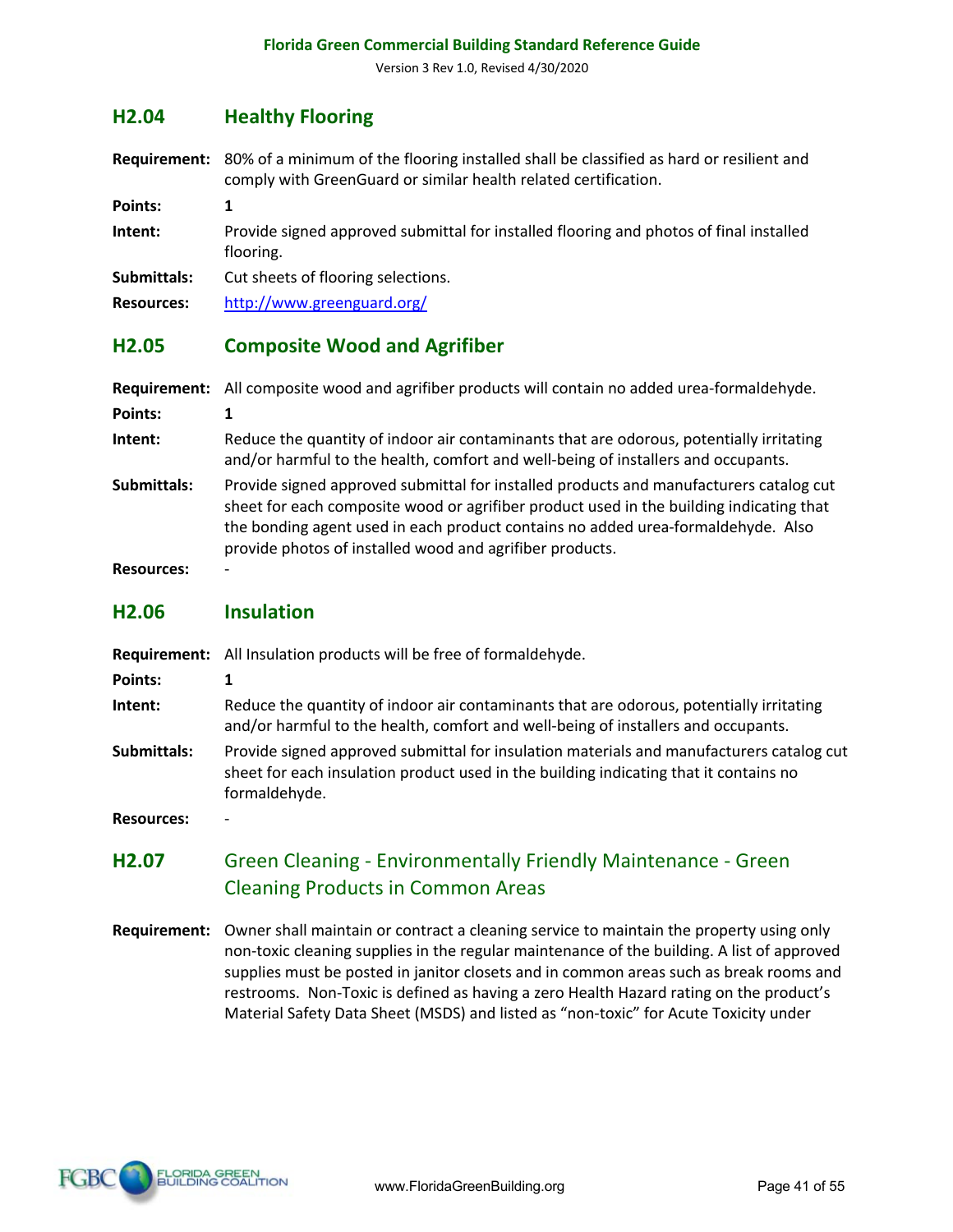#### **H2.04 Healthy Flooring**

**Requirement:** 80% of a minimum of the flooring installed shall be classified as hard or resilient and comply with GreenGuard or similar health related certification.

**Points: 1**

**Intent:** Provide signed approved submittal for installed flooring and photos of final installed flooring.

**Submittals:** Cut sheets of flooring selections.

**Resources:** http://www.greenguard.org/

#### **H2.05 Composite Wood and Agrifiber**

- **Requirement:** All composite wood and agrifiber products will contain no added urea-formaldehyde. **Points: 1 Intent:** Reduce the quantity of indoor air contaminants that are odorous, potentially irritating and/or harmful to the health, comfort and well-being of installers and occupants. **Submittals:** Provide signed approved submittal for installed products and manufacturers catalog cut
- sheet for each composite wood or agrifiber product used in the building indicating that the bonding agent used in each product contains no added urea-formaldehyde. Also provide photos of installed wood and agrifiber products.

**Resources:** -

#### **H2.06 Insulation**

|  | Requirement: All Insulation products will be free of formaldehyde. |  |
|--|--------------------------------------------------------------------|--|
|--|--------------------------------------------------------------------|--|

**Points: 1**

**Intent:** Reduce the quantity of indoor air contaminants that are odorous, potentially irritating and/or harmful to the health, comfort and well-being of installers and occupants.

**Submittals:** Provide signed approved submittal for insulation materials and manufacturers catalog cut sheet for each insulation product used in the building indicating that it contains no formaldehyde.

**Resources:** -

# **H2.07** Green Cleaning - Environmentally Friendly Maintenance - Green Cleaning Products in Common Areas

**Requirement:** Owner shall maintain or contract a cleaning service to maintain the property using only non-toxic cleaning supplies in the regular maintenance of the building. A list of approved supplies must be posted in janitor closets and in common areas such as break rooms and restrooms. Non-Toxic is defined as having a zero Health Hazard rating on the product's Material Safety Data Sheet (MSDS) and listed as "non-toxic" for Acute Toxicity under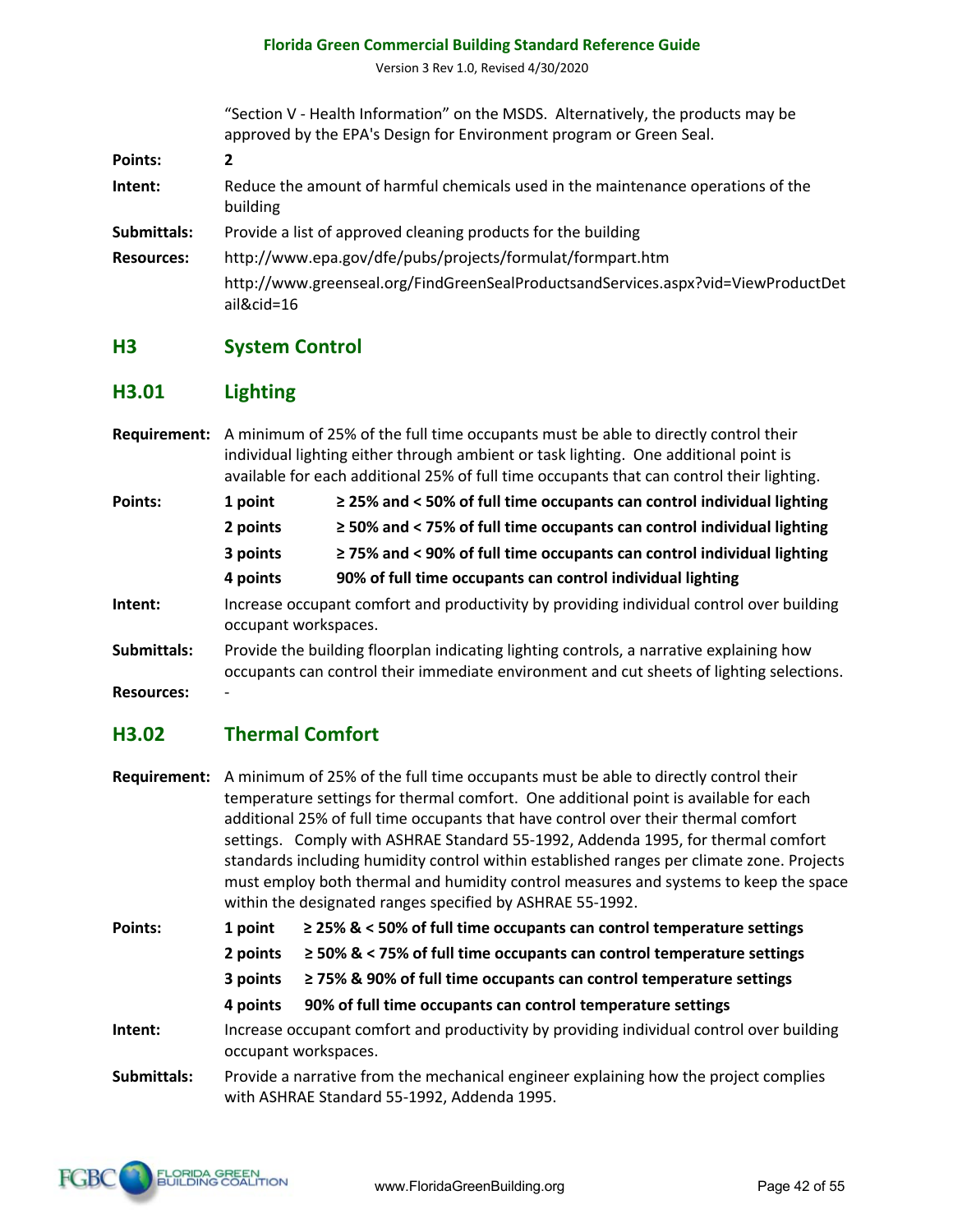Version 3 Rev 1.0, Revised 4/30/2020

"Section V - Health Information" on the MSDS. Alternatively, the products may be approved by the EPA's Design for Environment program or Green Seal.

**Points: 2 Intent:** Reduce the amount of harmful chemicals used in the maintenance operations of the building **Submittals:** Provide a list of approved cleaning products for the building **Resources:** http://www.epa.gov/dfe/pubs/projects/formulat/formpart.htm

http://www.greenseal.org/FindGreenSealProductsandServices.aspx?vid=ViewProductDet ail&cid=16

# **H3 System Control**

# **H3.01 Lighting**

**Requirement:** A minimum of 25% of the full time occupants must be able to directly control their individual lighting either through ambient or task lighting. One additional point is available for each additional 25% of full time occupants that can control their lighting.

| 1 point                                                                                                          | $\ge$ 25% and < 50% of full time occupants can control individual lighting |  |
|------------------------------------------------------------------------------------------------------------------|----------------------------------------------------------------------------|--|
| 2 points                                                                                                         | $\ge$ 50% and < 75% of full time occupants can control individual lighting |  |
| 3 points                                                                                                         | $\ge$ 75% and < 90% of full time occupants can control individual lighting |  |
| 4 points                                                                                                         | 90% of full time occupants can control individual lighting                 |  |
| Increase occupant comfort and productivity by providing individual control over building<br>occupant workspaces. |                                                                            |  |
|                                                                                                                  |                                                                            |  |

**Submittals:** Provide the building floorplan indicating lighting controls, a narrative explaining how occupants can control their immediate environment and cut sheets of lighting selections.

**Resources:** -

# **H3.02 Thermal Comfort**

|             |                                                                                      | Requirement: A minimum of 25% of the full time occupants must be able to directly control their                                                   |  |  |  |
|-------------|--------------------------------------------------------------------------------------|---------------------------------------------------------------------------------------------------------------------------------------------------|--|--|--|
|             | temperature settings for thermal comfort. One additional point is available for each |                                                                                                                                                   |  |  |  |
|             |                                                                                      | additional 25% of full time occupants that have control over their thermal comfort                                                                |  |  |  |
|             |                                                                                      | settings. Comply with ASHRAE Standard 55-1992, Addenda 1995, for thermal comfort                                                                  |  |  |  |
|             |                                                                                      | standards including humidity control within established ranges per climate zone. Projects                                                         |  |  |  |
|             |                                                                                      | must employ both thermal and humidity control measures and systems to keep the space<br>within the designated ranges specified by ASHRAE 55-1992. |  |  |  |
| Points:     | 1 point                                                                              | $\geq$ 25% & < 50% of full time occupants can control temperature settings                                                                        |  |  |  |
|             | 2 points                                                                             | $\ge$ 50% & < 75% of full time occupants can control temperature settings                                                                         |  |  |  |
|             | 3 points                                                                             | $\geq$ 75% & 90% of full time occupants can control temperature settings                                                                          |  |  |  |
|             | 4 points                                                                             | 90% of full time occupants can control temperature settings                                                                                       |  |  |  |
| Intent:     |                                                                                      | Increase occupant comfort and productivity by providing individual control over building                                                          |  |  |  |
|             |                                                                                      | occupant workspaces.                                                                                                                              |  |  |  |
| Submittals: |                                                                                      | Provide a narrative from the mechanical engineer explaining how the project complies<br>with ASHRAE Standard 55-1992, Addenda 1995.               |  |  |  |

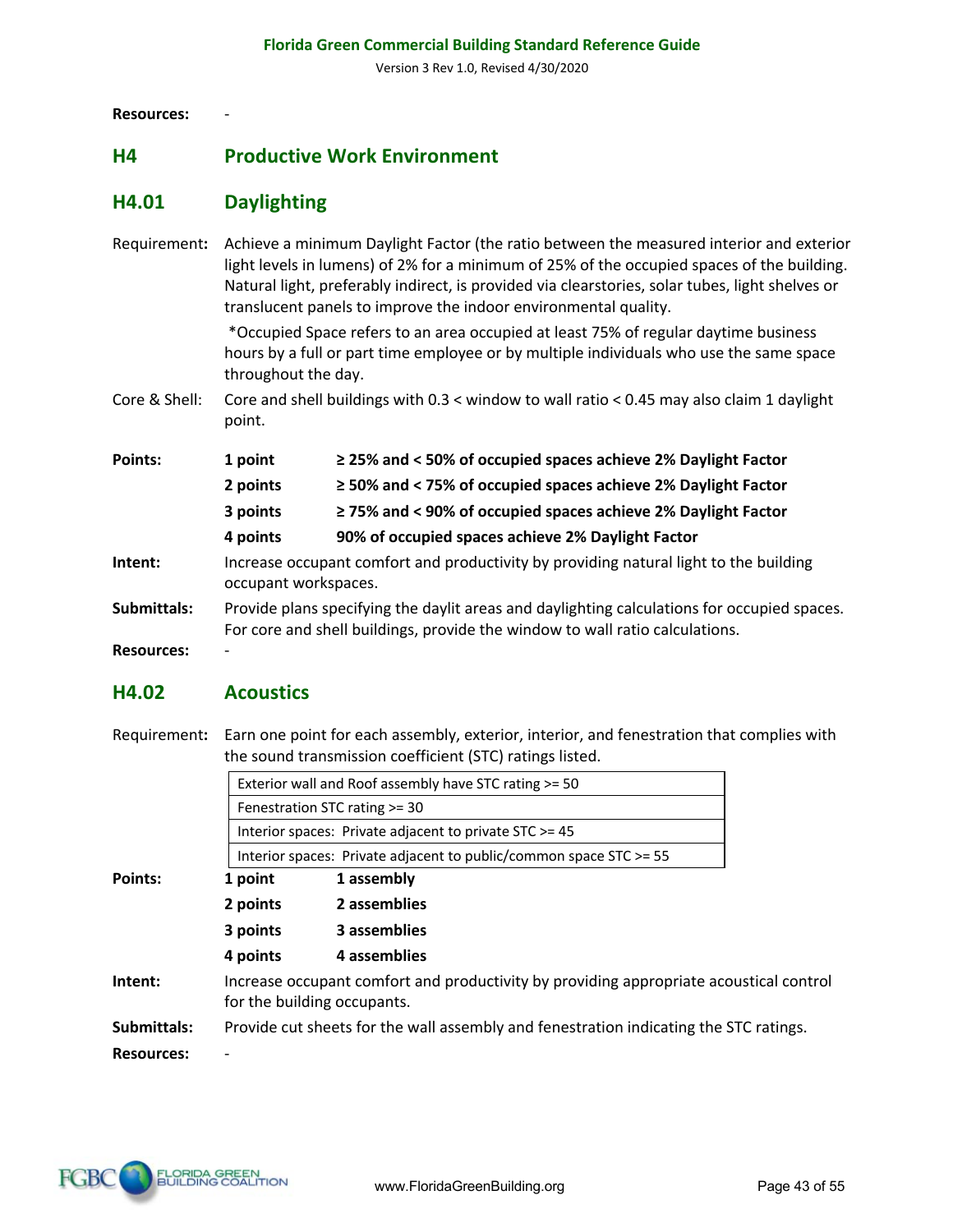**Resources:** -

#### **H4 Productive Work Environment**

# **H4.01 Daylighting**

Requirement**:** Achieve a minimum Daylight Factor (the ratio between the measured interior and exterior light levels in lumens) of 2% for a minimum of 25% of the occupied spaces of the building. Natural light, preferably indirect, is provided via clearstories, solar tubes, light shelves or translucent panels to improve the indoor environmental quality.

> \*Occupied Space refers to an area occupied at least 75% of regular daytime business hours by a full or part time employee or by multiple individuals who use the same space throughout the day.

Core & Shell: Core and shell buildings with 0.3 < window to wall ratio < 0.45 may also claim 1 daylight point.

| <b>Points:</b> | 1 point                                                                                                                                                                     | $\ge$ 25% and < 50% of occupied spaces achieve 2% Daylight Factor  |
|----------------|-----------------------------------------------------------------------------------------------------------------------------------------------------------------------------|--------------------------------------------------------------------|
|                | 2 points                                                                                                                                                                    | $\ge$ 50% and < 75% of occupied spaces achieve 2% Daylight Factor  |
|                | 3 points                                                                                                                                                                    | $\geq$ 75% and < 90% of occupied spaces achieve 2% Daylight Factor |
|                | 4 points                                                                                                                                                                    | 90% of occupied spaces achieve 2% Daylight Factor                  |
| Intent:        | Increase occupant comfort and productivity by providing natural light to the building<br>occupant workspaces.                                                               |                                                                    |
| Submittals:    | Provide plans specifying the daylit areas and daylighting calculations for occupied spaces.<br>For core and shell buildings, provide the window to wall ratio calculations. |                                                                    |

**Resources:** -

#### **H4.02 Acoustics**

Requirement**:** Earn one point for each assembly, exterior, interior, and fenestration that complies with the sound transmission coefficient (STC) ratings listed.

|                   |          | Exterior wall and Roof assembly have STC rating >= 50                                                                 |
|-------------------|----------|-----------------------------------------------------------------------------------------------------------------------|
|                   |          | Fenestration STC rating >= 30                                                                                         |
|                   |          | Interior spaces: Private adjacent to private STC >= 45                                                                |
|                   |          | Interior spaces: Private adjacent to public/common space STC >= 55                                                    |
| Points:           | 1 point  | 1 assembly                                                                                                            |
|                   | 2 points | 2 assemblies                                                                                                          |
|                   | 3 points | 3 assemblies                                                                                                          |
|                   | 4 points | 4 assemblies                                                                                                          |
| Intent:           |          | Increase occupant comfort and productivity by providing appropriate acoustical control<br>for the building occupants. |
| Submittals:       |          | Provide cut sheets for the wall assembly and fenestration indicating the STC ratings.                                 |
| <b>Resources:</b> |          |                                                                                                                       |
|                   |          |                                                                                                                       |

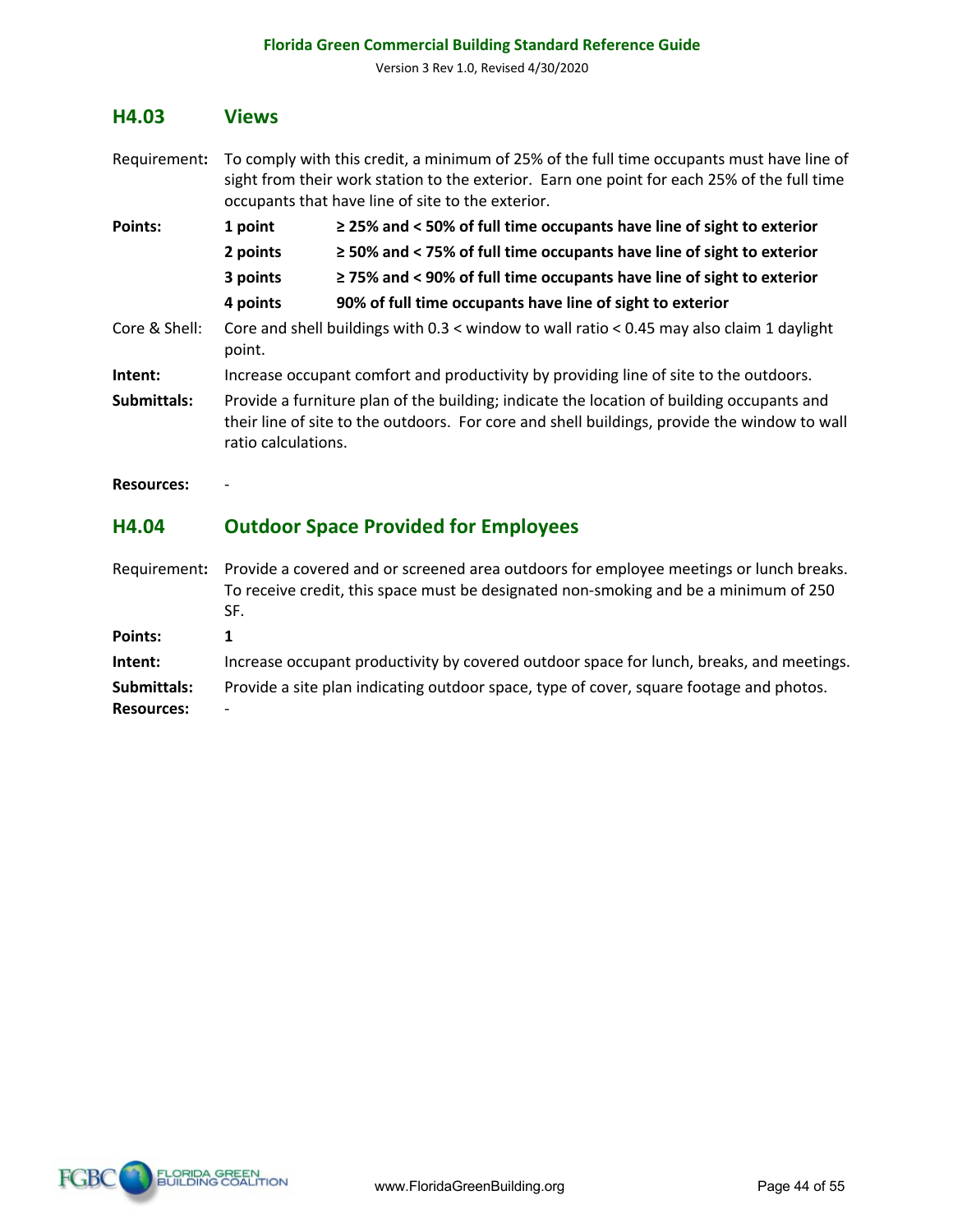Version 3 Rev 1.0, Revised 4/30/2020

#### **H4.03 Views**

- Requirement**:** To comply with this credit, a minimum of 25% of the full time occupants must have line of sight from their work station to the exterior. Earn one point for each 25% of the full time occupants that have line of site to the exterior.
- **Points: 1 point ≥ 25% and < 50% of full time occupants have line of sight to exterior 2 points ≥ 50% and < 75% of full time occupants have line of sight to exterior 3 points ≥ 75% and < 90% of full time occupants have line of sight to exterior 4 points 90% of full time occupants have line of sight to exterior** Core & Shell: Core and shell buildings with 0.3 < window to wall ratio < 0.45 may also claim 1 daylight point. **Intent:** Increase occupant comfort and productivity by providing line of site to the outdoors. **Submittals:** Provide a furniture plan of the building; indicate the location of building occupants and their line of site to the outdoors. For core and shell buildings, provide the window to wall ratio calculations.

**Resources:** -

#### **H4.04 Outdoor Space Provided for Employees**

Requirement**:** Provide a covered and or screened area outdoors for employee meetings or lunch breaks. To receive credit, this space must be designated non-smoking and be a minimum of 250 SF. **Points: 1 Intent:** Increase occupant productivity by covered outdoor space for lunch, breaks, and meetings. **Submittals:** Provide a site plan indicating outdoor space, type of cover, square footage and photos. **Resources:** -

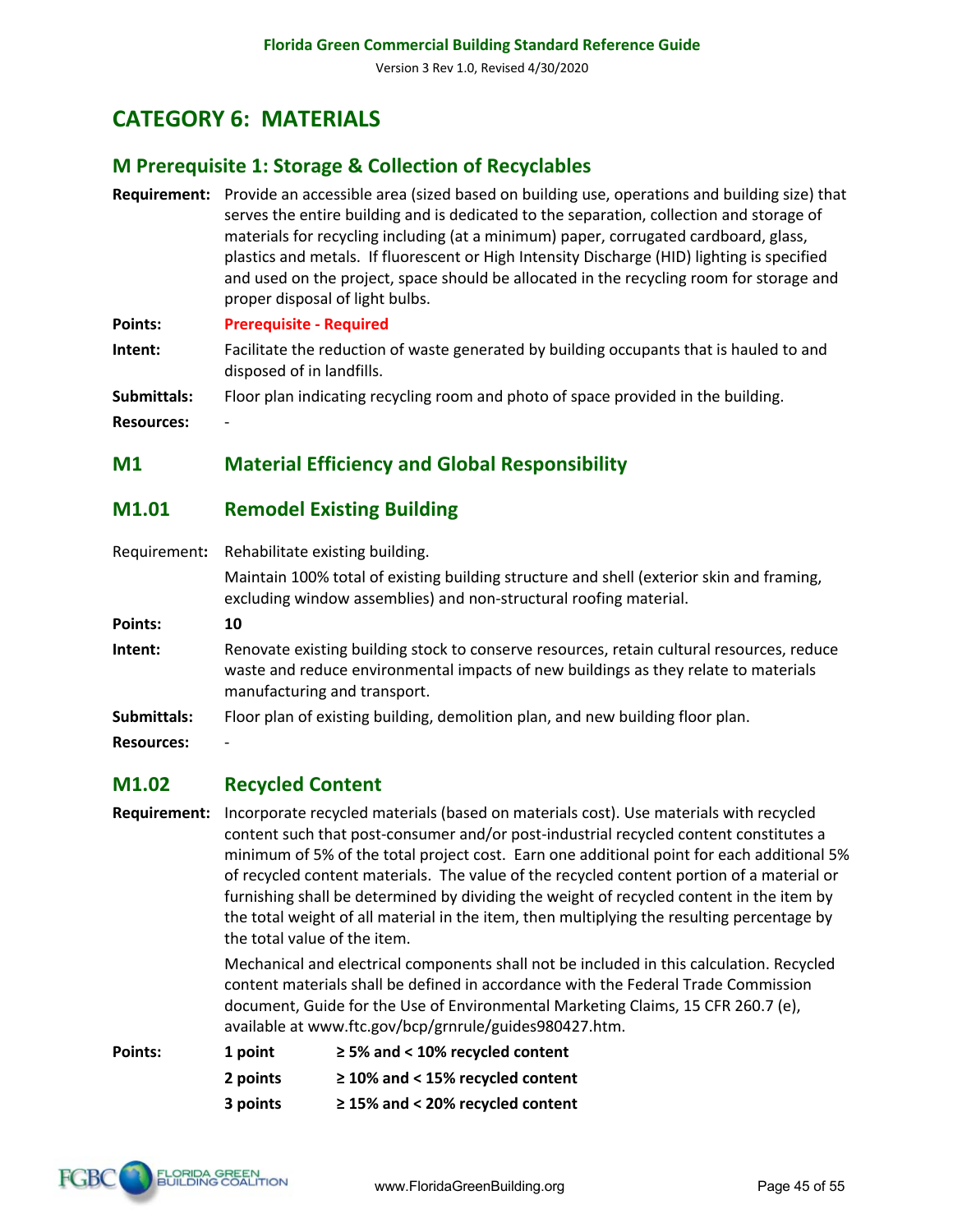# **CATEGORY 6: MATERIALS**

### **M Prerequisite 1: Storage & Collection of Recyclables**

- **Requirement:** Provide an accessible area (sized based on building use, operations and building size) that serves the entire building and is dedicated to the separation, collection and storage of materials for recycling including (at a minimum) paper, corrugated cardboard, glass, plastics and metals. If fluorescent or High Intensity Discharge (HID) lighting is specified and used on the project, space should be allocated in the recycling room for storage and proper disposal of light bulbs.
- **Points: Prerequisite - Required**
- **Intent:** Facilitate the reduction of waste generated by building occupants that is hauled to and disposed of in landfills.
- **Submittals:** Floor plan indicating recycling room and photo of space provided in the building.

**Resources:** -

#### **M1 Material Efficiency and Global Responsibility**

#### **M1.01 Remodel Existing Building**

Requirement**:** Rehabilitate existing building.

Maintain 100% total of existing building structure and shell (exterior skin and framing, excluding window assemblies) and non-structural roofing material.

- **Points: 10**
- **Intent:** Renovate existing building stock to conserve resources, retain cultural resources, reduce waste and reduce environmental impacts of new buildings as they relate to materials manufacturing and transport.
- **Submittals:** Floor plan of existing building, demolition plan, and new building floor plan.
- **Resources:** -

#### **M1.02 Recycled Content**

**Requirement:** Incorporate recycled materials (based on materials cost). Use materials with recycled content such that post-consumer and/or post-industrial recycled content constitutes a minimum of 5% of the total project cost. Earn one additional point for each additional 5% of recycled content materials. The value of the recycled content portion of a material or furnishing shall be determined by dividing the weight of recycled content in the item by the total weight of all material in the item, then multiplying the resulting percentage by the total value of the item.

> Mechanical and electrical components shall not be included in this calculation. Recycled content materials shall be defined in accordance with the Federal Trade Commission document, Guide for the Use of Environmental Marketing Claims, 15 CFR 260.7 (e), available at www.ftc.gov/bcp/grnrule/guides980427.htm.

| Points: | 1 point  | $\geq$ 5% and < 10% recycled content  |
|---------|----------|---------------------------------------|
|         | 2 points | $\geq$ 10% and < 15% recycled content |
|         | 3 points | $\geq$ 15% and < 20% recycled content |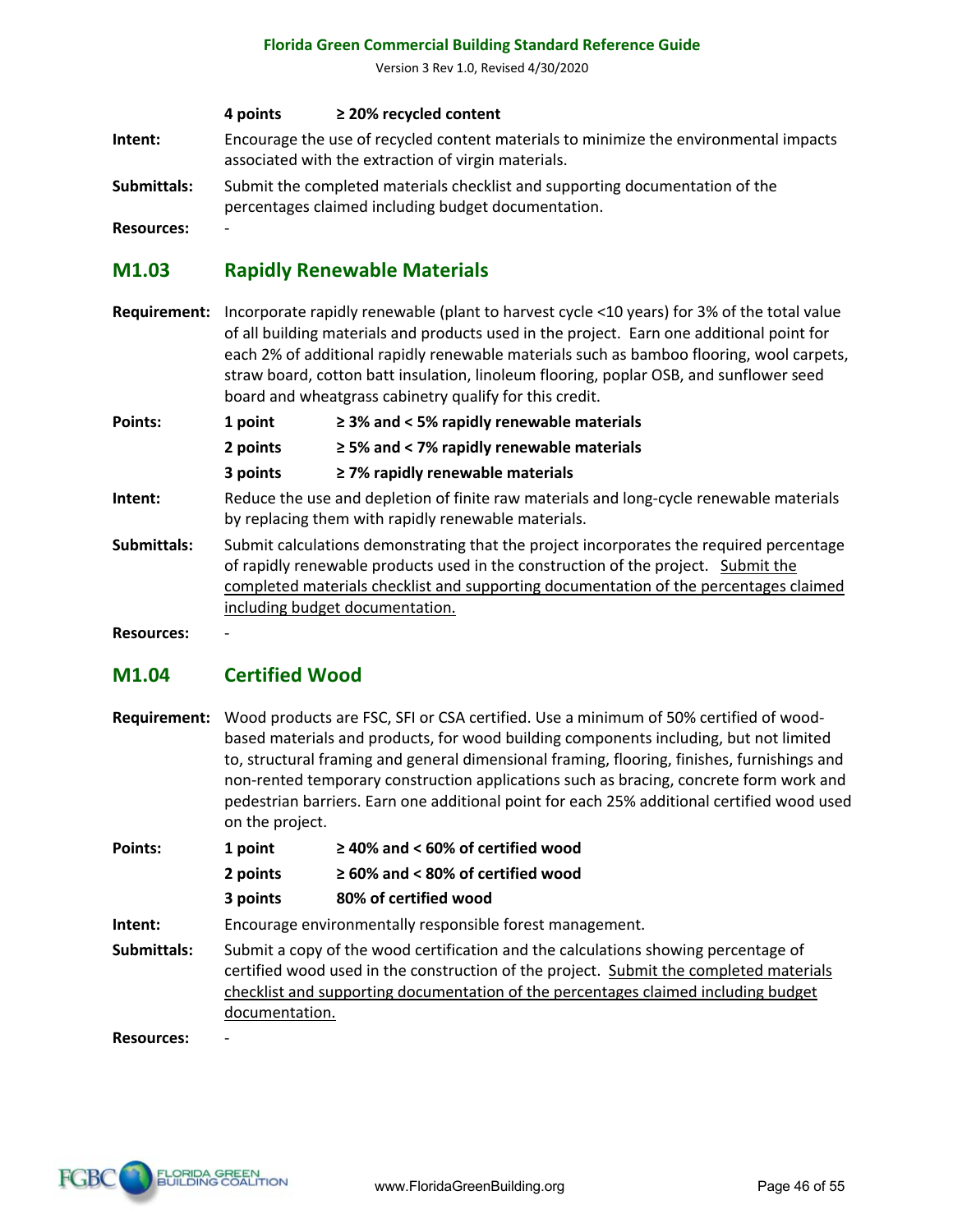Version 3 Rev 1.0, Revised 4/30/2020

#### **4 points ≥ 20% recycled content**

**Intent:** Encourage the use of recycled content materials to minimize the environmental impacts associated with the extraction of virgin materials.

**Submittals:** Submit the completed materials checklist and supporting documentation of the percentages claimed including budget documentation.

**Resources:** -

#### **M1.03 Rapidly Renewable Materials**

**Requirement:** Incorporate rapidly renewable (plant to harvest cycle <10 years) for 3% of the total value of all building materials and products used in the project. Earn one additional point for each 2% of additional rapidly renewable materials such as bamboo flooring, wool carpets, straw board, cotton batt insulation, linoleum flooring, poplar OSB, and sunflower seed board and wheatgrass cabinetry qualify for this credit.

**Points: 1 point ≥ 3% and < 5% rapidly renewable materials**

**2 points ≥ 5% and < 7% rapidly renewable materials**

**3 points ≥ 7% rapidly renewable materials**

- **Intent:** Reduce the use and depletion of finite raw materials and long-cycle renewable materials by replacing them with rapidly renewable materials.
- **Submittals:** Submit calculations demonstrating that the project incorporates the required percentage of rapidly renewable products used in the construction of the project. Submit the completed materials checklist and supporting documentation of the percentages claimed including budget documentation.

**Resources:** -

# **M1.04 Certified Wood**

**Requirement:** Wood products are FSC, SFI or CSA certified. Use a minimum of 50% certified of woodbased materials and products, for wood building components including, but not limited to, structural framing and general dimensional framing, flooring, finishes, furnishings and non-rented temporary construction applications such as bracing, concrete form work and pedestrian barriers. Earn one additional point for each 25% additional certified wood used on the project.

| Points:     | 1 point                                                                                                                                                                                                                                                                              | $\geq$ 40% and < 60% of certified wood                   |
|-------------|--------------------------------------------------------------------------------------------------------------------------------------------------------------------------------------------------------------------------------------------------------------------------------------|----------------------------------------------------------|
|             | 2 points                                                                                                                                                                                                                                                                             | $\geq 60\%$ and < 80% of certified wood                  |
|             | 3 points                                                                                                                                                                                                                                                                             | 80% of certified wood                                    |
| Intent:     |                                                                                                                                                                                                                                                                                      | Encourage environmentally responsible forest management. |
| Submittals: | Submit a copy of the wood certification and the calculations showing percentage of<br>certified wood used in the construction of the project. Submit the completed materials<br>checklist and supporting documentation of the percentages claimed including budget<br>documentation. |                                                          |

**Resources:** -

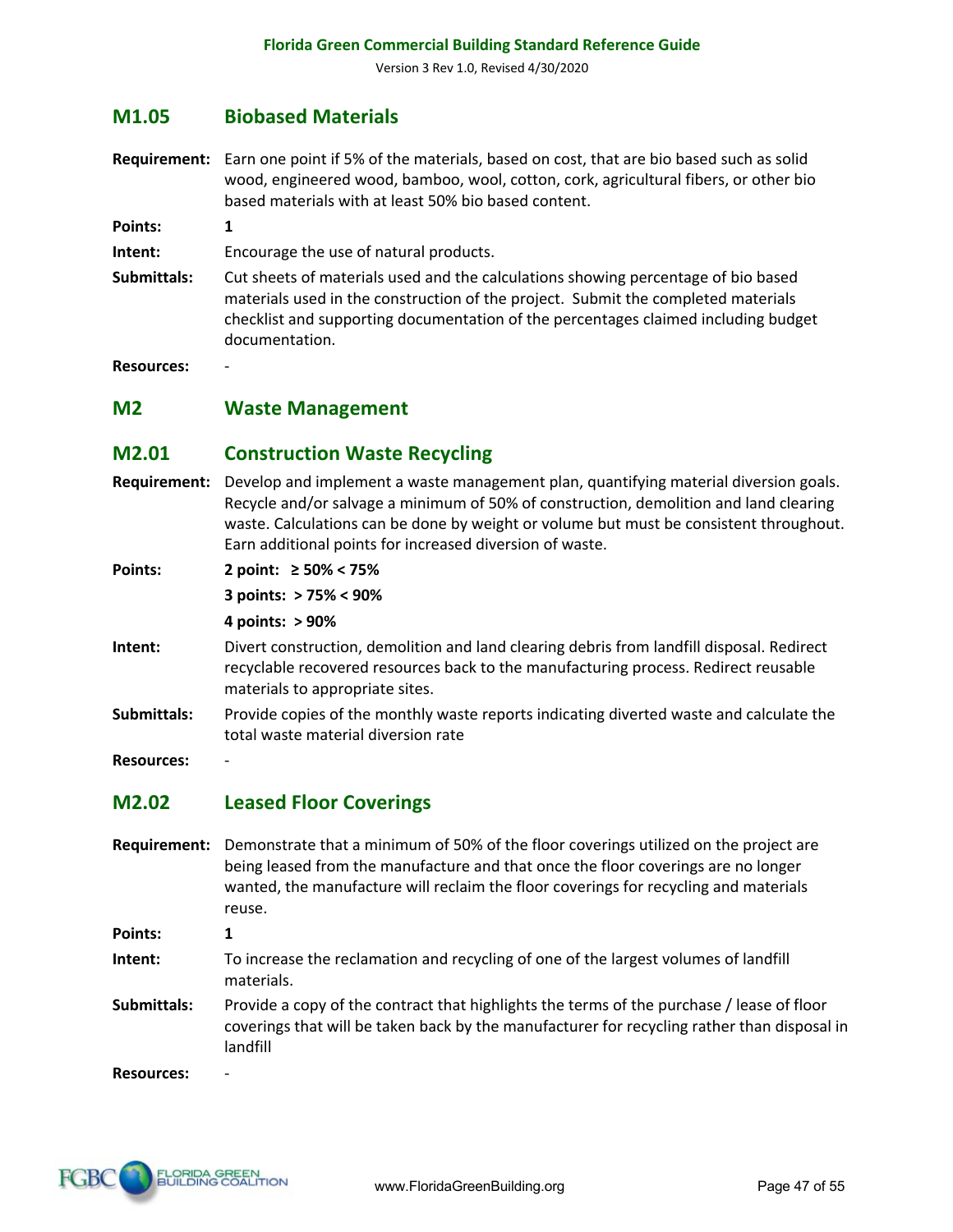#### **M1.05 Biobased Materials**

**Requirement:** Earn one point if 5% of the materials, based on cost, that are bio based such as solid wood, engineered wood, bamboo, wool, cotton, cork, agricultural fibers, or other bio based materials with at least 50% bio based content.

**Points: 1**

**Intent:** Encourage the use of natural products.

**Submittals:** Cut sheets of materials used and the calculations showing percentage of bio based materials used in the construction of the project. Submit the completed materials checklist and supporting documentation of the percentages claimed including budget documentation.

**Resources:** -

**M2 Waste Management**

#### **M2.01 Construction Waste Recycling**

**Requirement:** Develop and implement a waste management plan, quantifying material diversion goals. Recycle and/or salvage a minimum of 50% of construction, demolition and land clearing waste. Calculations can be done by weight or volume but must be consistent throughout. Earn additional points for increased diversion of waste.

**Points: 2 point: ≥ 50% < 75%**

**3 points: > 75% < 90%**

**4 points: > 90%**

- **Intent:** Divert construction, demolition and land clearing debris from landfill disposal. Redirect recyclable recovered resources back to the manufacturing process. Redirect reusable materials to appropriate sites.
- **Submittals:** Provide copies of the monthly waste reports indicating diverted waste and calculate the total waste material diversion rate

**Resources:** -

#### **M2.02 Leased Floor Coverings**

**Requirement:** Demonstrate that a minimum of 50% of the floor coverings utilized on the project are being leased from the manufacture and that once the floor coverings are no longer wanted, the manufacture will reclaim the floor coverings for recycling and materials reuse.

**Points: 1**

- **Intent:** To increase the reclamation and recycling of one of the largest volumes of landfill materials.
- **Submittals:** Provide a copy of the contract that highlights the terms of the purchase / lease of floor coverings that will be taken back by the manufacturer for recycling rather than disposal in landfill

**Resources:** -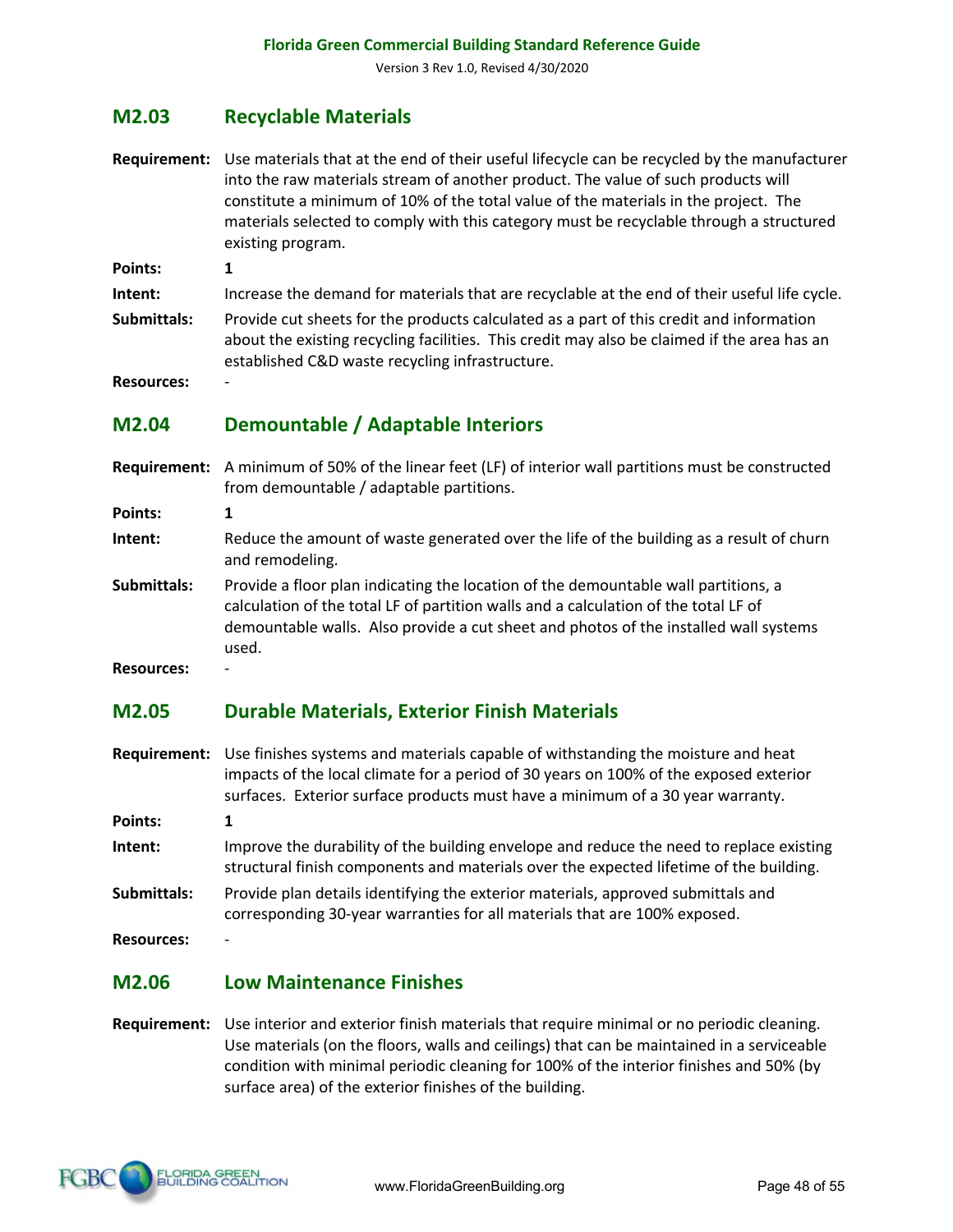#### **M2.03 Recyclable Materials**

**Requirement:** Use materials that at the end of their useful lifecycle can be recycled by the manufacturer into the raw materials stream of another product. The value of such products will constitute a minimum of 10% of the total value of the materials in the project. The materials selected to comply with this category must be recyclable through a structured existing program.

**Points: 1**

**Intent:** Increase the demand for materials that are recyclable at the end of their useful life cycle.

**Submittals:** Provide cut sheets for the products calculated as a part of this credit and information about the existing recycling facilities. This credit may also be claimed if the area has an established C&D waste recycling infrastructure.

**Resources:** -

#### **M2.04 Demountable / Adaptable Interiors**

**Requirement:** A minimum of 50% of the linear feet (LF) of interior wall partitions must be constructed from demountable / adaptable partitions.

**Points: 1**

- **Intent:** Reduce the amount of waste generated over the life of the building as a result of churn and remodeling.
- **Submittals:** Provide a floor plan indicating the location of the demountable wall partitions, a calculation of the total LF of partition walls and a calculation of the total LF of demountable walls. Also provide a cut sheet and photos of the installed wall systems used.

**Resources:** -

#### **M2.05 Durable Materials, Exterior Finish Materials**

**Requirement:** Use finishes systems and materials capable of withstanding the moisture and heat impacts of the local climate for a period of 30 years on 100% of the exposed exterior surfaces. Exterior surface products must have a minimum of a 30 year warranty.

**Points: 1**

- **Intent:** Improve the durability of the building envelope and reduce the need to replace existing structural finish components and materials over the expected lifetime of the building.
- **Submittals:** Provide plan details identifying the exterior materials, approved submittals and corresponding 30-year warranties for all materials that are 100% exposed.

**Resources:** -

#### **M2.06 Low Maintenance Finishes**

**Requirement:** Use interior and exterior finish materials that require minimal or no periodic cleaning. Use materials (on the floors, walls and ceilings) that can be maintained in a serviceable condition with minimal periodic cleaning for 100% of the interior finishes and 50% (by surface area) of the exterior finishes of the building.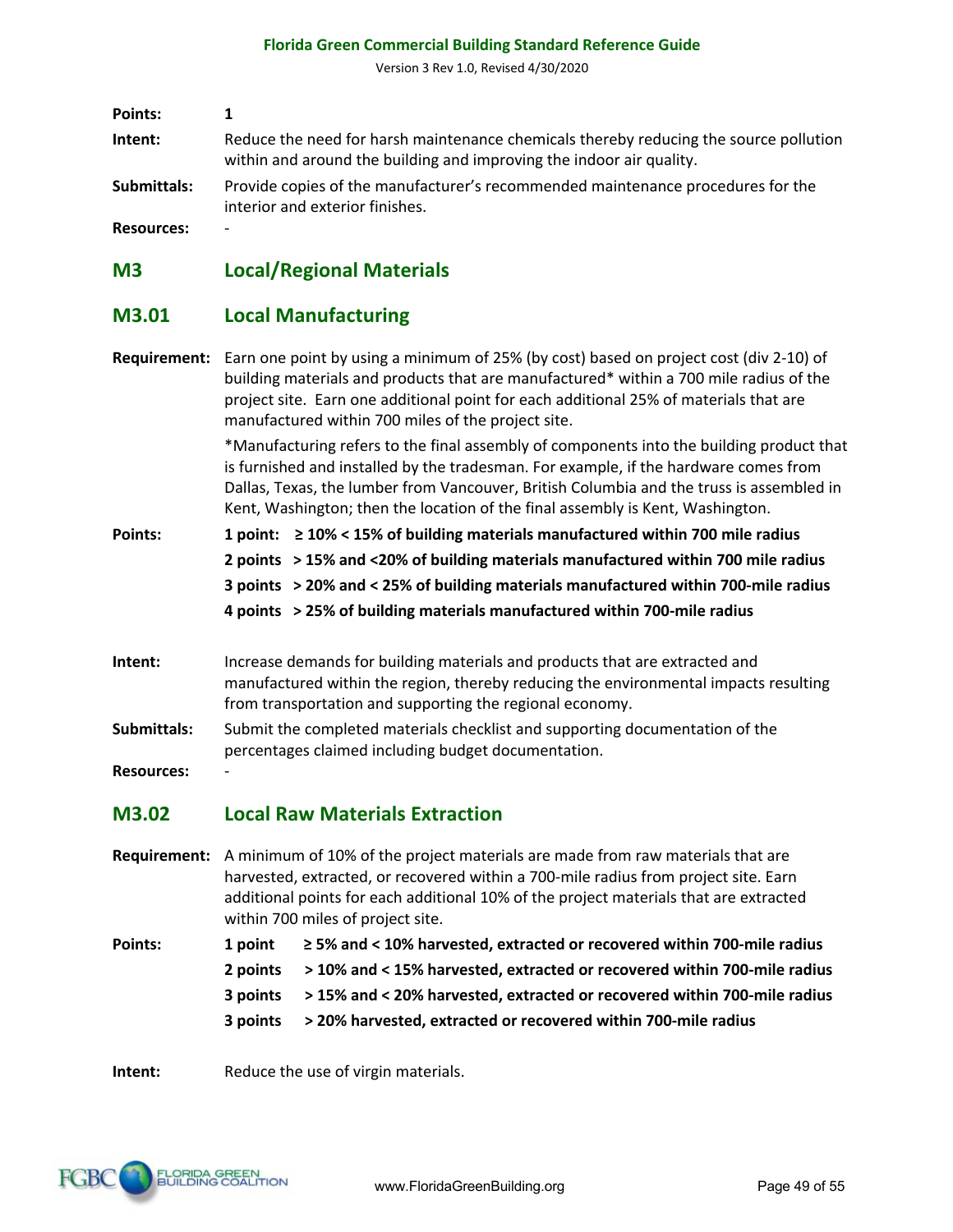Version 3 Rev 1.0, Revised 4/30/2020

| Points:     |                                                                                                                                                               |
|-------------|---------------------------------------------------------------------------------------------------------------------------------------------------------------|
| Intent:     | Reduce the need for harsh maintenance chemicals thereby reducing the source pollution<br>within and around the building and improving the indoor air quality. |
| Submittals: | Provide copies of the manufacturer's recommended maintenance procedures for the<br>interior and exterior finishes.                                            |
| Recourses.  |                                                                                                                                                               |

**Resources:** -

# **M3 Local/Regional Materials**

# **M3.01 Local Manufacturing**

|                   | Requirement: Earn one point by using a minimum of 25% (by cost) based on project cost (div 2-10) of<br>building materials and products that are manufactured* within a 700 mile radius of the                                                                                                                                                                  |                                                                                     |  |  |  |
|-------------------|----------------------------------------------------------------------------------------------------------------------------------------------------------------------------------------------------------------------------------------------------------------------------------------------------------------------------------------------------------------|-------------------------------------------------------------------------------------|--|--|--|
|                   | project site. Earn one additional point for each additional 25% of materials that are<br>manufactured within 700 miles of the project site.                                                                                                                                                                                                                    |                                                                                     |  |  |  |
|                   | *Manufacturing refers to the final assembly of components into the building product that<br>is furnished and installed by the tradesman. For example, if the hardware comes from<br>Dallas, Texas, the lumber from Vancouver, British Columbia and the truss is assembled in<br>Kent, Washington; then the location of the final assembly is Kent, Washington. |                                                                                     |  |  |  |
| <b>Points:</b>    |                                                                                                                                                                                                                                                                                                                                                                | 1 point: $\geq$ 10% < 15% of building materials manufactured within 700 mile radius |  |  |  |
|                   |                                                                                                                                                                                                                                                                                                                                                                | 2 points > 15% and <20% of building materials manufactured within 700 mile radius   |  |  |  |
|                   |                                                                                                                                                                                                                                                                                                                                                                | 3 points > 20% and < 25% of building materials manufactured within 700-mile radius  |  |  |  |
|                   |                                                                                                                                                                                                                                                                                                                                                                | 4 points > 25% of building materials manufactured within 700-mile radius            |  |  |  |
| Intent:           | Increase demands for building materials and products that are extracted and<br>manufactured within the region, thereby reducing the environmental impacts resulting<br>from transportation and supporting the regional economy.                                                                                                                                |                                                                                     |  |  |  |
| Submittals:       | Submit the completed materials checklist and supporting documentation of the<br>percentages claimed including budget documentation.                                                                                                                                                                                                                            |                                                                                     |  |  |  |
| <b>Resources:</b> |                                                                                                                                                                                                                                                                                                                                                                |                                                                                     |  |  |  |
| M3.02             | <b>Local Raw Materials Extraction</b>                                                                                                                                                                                                                                                                                                                          |                                                                                     |  |  |  |
|                   | Requirement: A minimum of 10% of the project materials are made from raw materials that are<br>harvested, extracted, or recovered within a 700-mile radius from project site. Earn<br>additional points for each additional 10% of the project materials that are extracted<br>within 700 miles of project site.                                               |                                                                                     |  |  |  |
| Points:           | 1 point                                                                                                                                                                                                                                                                                                                                                        | ≥ 5% and < 10% harvested, extracted or recovered within 700-mile radius             |  |  |  |
|                   | 2 points                                                                                                                                                                                                                                                                                                                                                       | > 10% and < 15% harvested, extracted or recovered within 700-mile radius            |  |  |  |

- **3 points > 15% and < 20% harvested, extracted or recovered within 700-mile radius**
- **3 points > 20% harvested, extracted or recovered within 700-mile radius**

**Intent:** Reduce the use of virgin materials.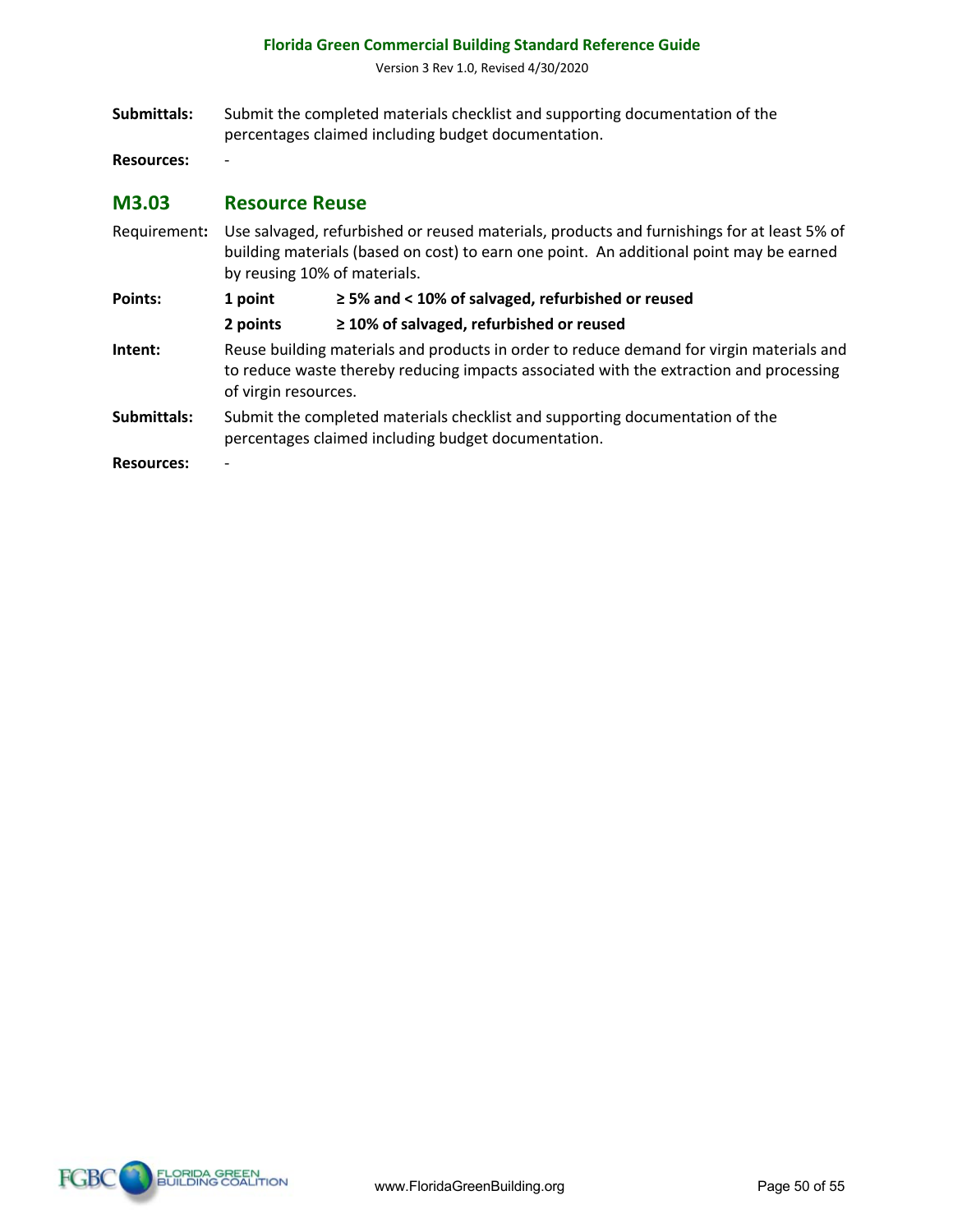Version 3 Rev 1.0, Revised 4/30/2020

**Submittals:** Submit the completed materials checklist and supporting documentation of the percentages claimed including budget documentation.

**Resources:** -

#### **M3.03 Resource Reuse**

Requirement**:** Use salvaged, refurbished or reused materials, products and furnishings for at least 5% of building materials (based on cost) to earn one point. An additional point may be earned by reusing 10% of materials. **Points: 1 point ≥ 5% and < 10% of salvaged, refurbished or reused 2 points ≥ 10% of salvaged, refurbished or reused Intent:** Reuse building materials and products in order to reduce demand for virgin materials and to reduce waste thereby reducing impacts associated with the extraction and processing of virgin resources. **Submittals:** Submit the completed materials checklist and supporting documentation of the percentages claimed including budget documentation. **Resources:** -

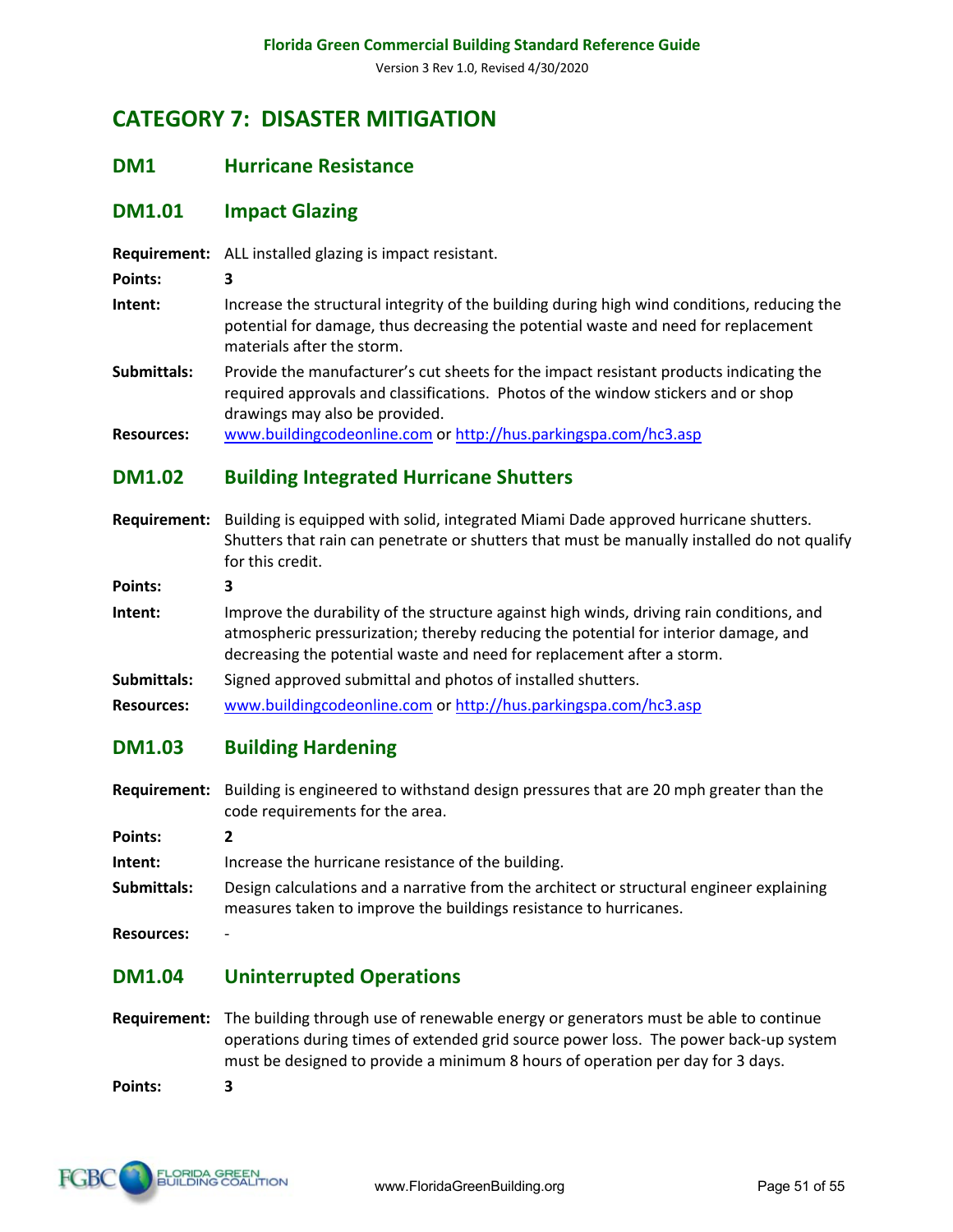# **CATEGORY 7: DISASTER MITIGATION**

#### **DM1 Hurricane Resistance**

### **DM1.01 Impact Glazing**

**Requirement:** ALL installed glazing is impact resistant.

- **Points: 3**
- **Intent:** Increase the structural integrity of the building during high wind conditions, reducing the potential for damage, thus decreasing the potential waste and need for replacement materials after the storm.
- **Submittals:** Provide the manufacturer's cut sheets for the impact resistant products indicating the required approvals and classifications. Photos of the window stickers and or shop drawings may also be provided.
- **Resources:** www.buildingcodeonline.com or http://hus.parkingspa.com/hc3.asp

#### **DM1.02 Building Integrated Hurricane Shutters**

**Requirement:** Building is equipped with solid, integrated Miami Dade approved hurricane shutters. Shutters that rain can penetrate or shutters that must be manually installed do not qualify for this credit.

**Points: 3**

- **Intent:** Improve the durability of the structure against high winds, driving rain conditions, and atmospheric pressurization; thereby reducing the potential for interior damage, and decreasing the potential waste and need for replacement after a storm.
- **Submittals:** Signed approved submittal and photos of installed shutters.
- **Resources:** www.buildingcodeonline.com or http://hus.parkingspa.com/hc3.asp

#### **DM1.03 Building Hardening**

- **Requirement:** Building is engineered to withstand design pressures that are 20 mph greater than the code requirements for the area.
- **Points: 2**

**Intent:** Increase the hurricane resistance of the building.

- **Submittals:** Design calculations and a narrative from the architect or structural engineer explaining measures taken to improve the buildings resistance to hurricanes.
- **Resources:** -

#### **DM1.04 Uninterrupted Operations**

**Requirement:** The building through use of renewable energy or generators must be able to continue operations during times of extended grid source power loss. The power back-up system must be designed to provide a minimum 8 hours of operation per day for 3 days.

**Points: 3**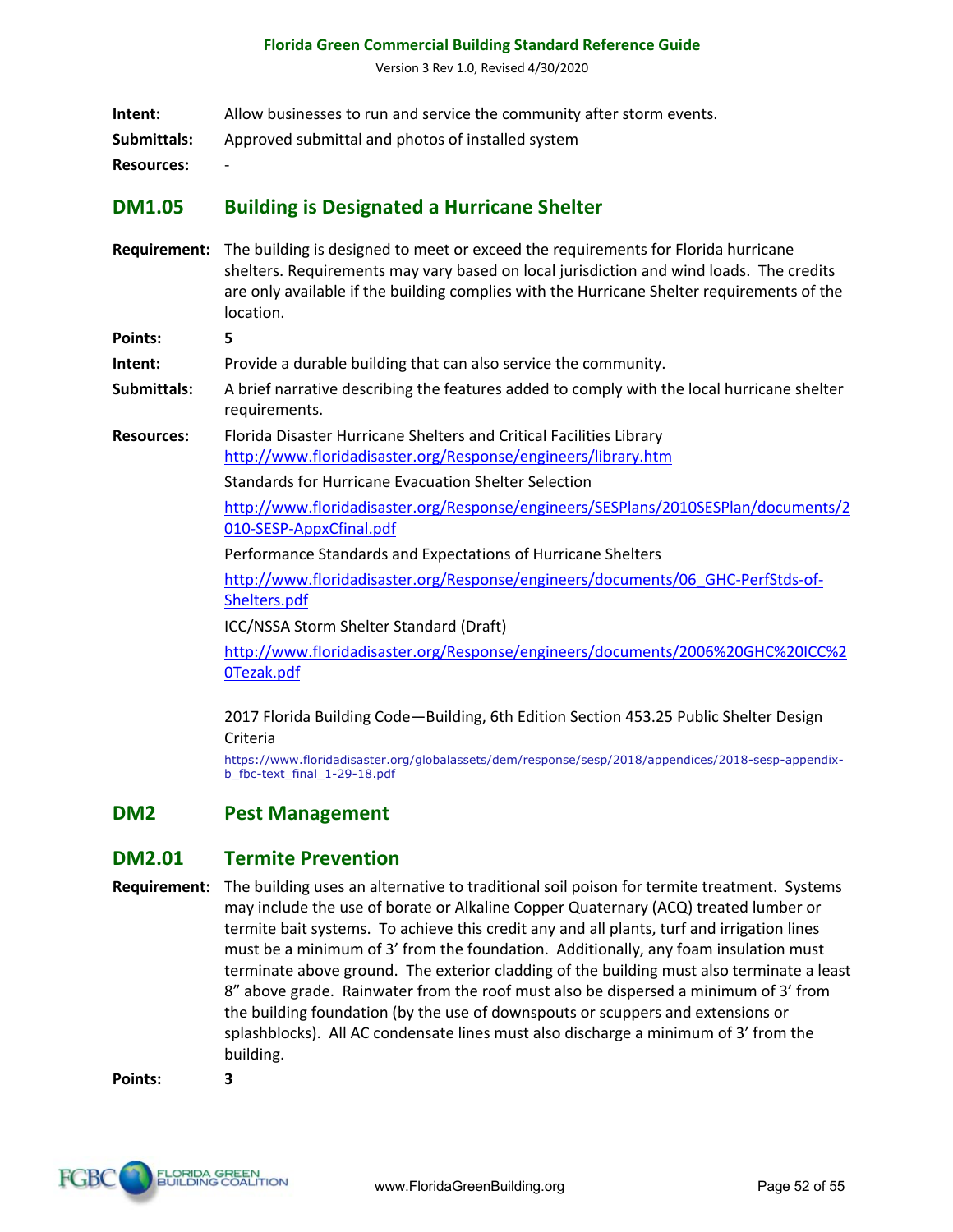Version 3 Rev 1.0, Revised 4/30/2020

| Intent: | Allow businesses to run and service the community after storm events. |  |  |
|---------|-----------------------------------------------------------------------|--|--|
|---------|-----------------------------------------------------------------------|--|--|

**Submittals:** Approved submittal and photos of installed system

**Resources:** -

#### **DM1.05 Building is Designated a Hurricane Shelter**

**Requirement:** The building is designed to meet or exceed the requirements for Florida hurricane shelters. Requirements may vary based on local jurisdiction and wind loads. The credits are only available if the building complies with the Hurricane Shelter requirements of the location.

**Points: 5**

**Intent:** Provide a durable building that can also service the community.

- **Submittals:** A brief narrative describing the features added to comply with the local hurricane shelter requirements.
- **Resources:** Florida Disaster Hurricane Shelters and Critical Facilities Library http://www.floridadisaster.org/Response/engineers/library.htm

Standards for Hurricane Evacuation Shelter Selection

http://www.floridadisaster.org/Response/engineers/SESPlans/2010SESPlan/documents/2 010-SESP-AppxCfinal.pdf

Performance Standards and Expectations of Hurricane Shelters

http://www.floridadisaster.org/Response/engineers/documents/06\_GHC-PerfStds-of-Shelters.pdf

ICC/NSSA Storm Shelter Standard (Draft)

http://www.floridadisaster.org/Response/engineers/documents/2006%20GHC%20ICC%2 0Tezak.pdf

2017 Florida Building Code—Building, 6th Edition Section 453.25 Public Shelter Design Criteria

https://www.floridadisaster.org/globalassets/dem/response/sesp/2018/appendices/2018-sesp-appendixb\_fbc-text\_final\_1-29-18.pdf

#### **DM2 Pest Management**

#### **DM2.01 Termite Prevention**

**Requirement:** The building uses an alternative to traditional soil poison for termite treatment. Systems may include the use of borate or Alkaline Copper Quaternary (ACQ) treated lumber or termite bait systems. To achieve this credit any and all plants, turf and irrigation lines must be a minimum of 3' from the foundation. Additionally, any foam insulation must terminate above ground. The exterior cladding of the building must also terminate a least 8" above grade. Rainwater from the roof must also be dispersed a minimum of 3' from the building foundation (by the use of downspouts or scuppers and extensions or splashblocks). All AC condensate lines must also discharge a minimum of 3' from the building.

**Points: 3**

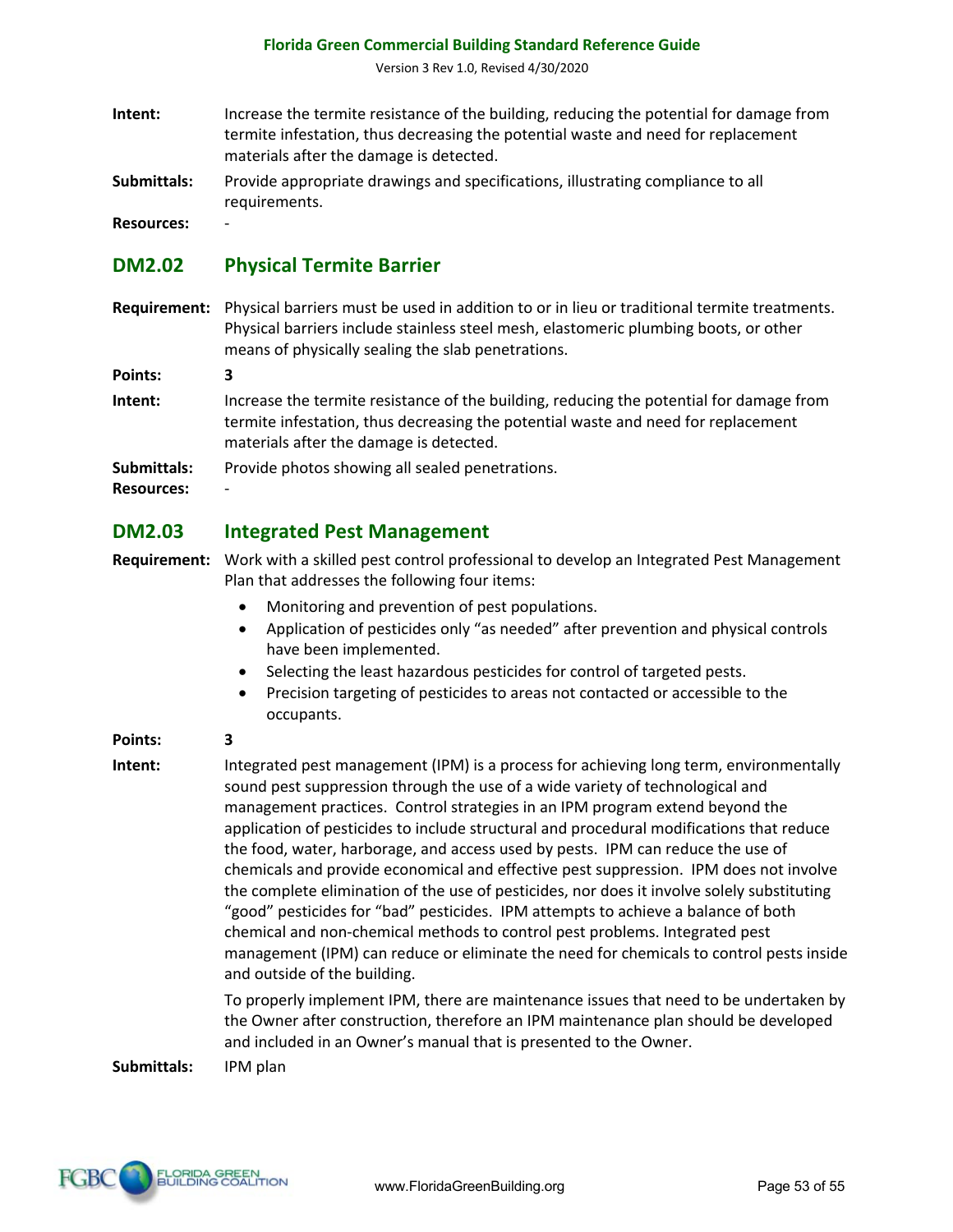Version 3 Rev 1.0, Revised 4/30/2020

- **Intent:** Increase the termite resistance of the building, reducing the potential for damage from termite infestation, thus decreasing the potential waste and need for replacement materials after the damage is detected.
- **Submittals:** Provide appropriate drawings and specifications, illustrating compliance to all requirements.

**Resources:** -

# **DM2.02 Physical Termite Barrier**

**Requirement:** Physical barriers must be used in addition to or in lieu or traditional termite treatments. Physical barriers include stainless steel mesh, elastomeric plumbing boots, or other means of physically sealing the slab penetrations.

**Points: 3**

**Intent:** Increase the termite resistance of the building, reducing the potential for damage from termite infestation, thus decreasing the potential waste and need for replacement materials after the damage is detected.

**Submittals:** Provide photos showing all sealed penetrations.

**Resources:** -

# **DM2.03 Integrated Pest Management**

- **Requirement:** Work with a skilled pest control professional to develop an Integrated Pest Management Plan that addresses the following four items:
	- Monitoring and prevention of pest populations.
	- Application of pesticides only "as needed" after prevention and physical controls have been implemented.
	- Selecting the least hazardous pesticides for control of targeted pests.
	- Precision targeting of pesticides to areas not contacted or accessible to the occupants.

**Points: 3**

**Intent:** Integrated pest management (IPM) is a process for achieving long term, environmentally sound pest suppression through the use of a wide variety of technological and management practices. Control strategies in an IPM program extend beyond the application of pesticides to include structural and procedural modifications that reduce the food, water, harborage, and access used by pests. IPM can reduce the use of chemicals and provide economical and effective pest suppression. IPM does not involve the complete elimination of the use of pesticides, nor does it involve solely substituting "good" pesticides for "bad" pesticides. IPM attempts to achieve a balance of both chemical and non-chemical methods to control pest problems. Integrated pest management (IPM) can reduce or eliminate the need for chemicals to control pests inside and outside of the building.

> To properly implement IPM, there are maintenance issues that need to be undertaken by the Owner after construction, therefore an IPM maintenance plan should be developed and included in an Owner's manual that is presented to the Owner.

**Submittals:** IPM plan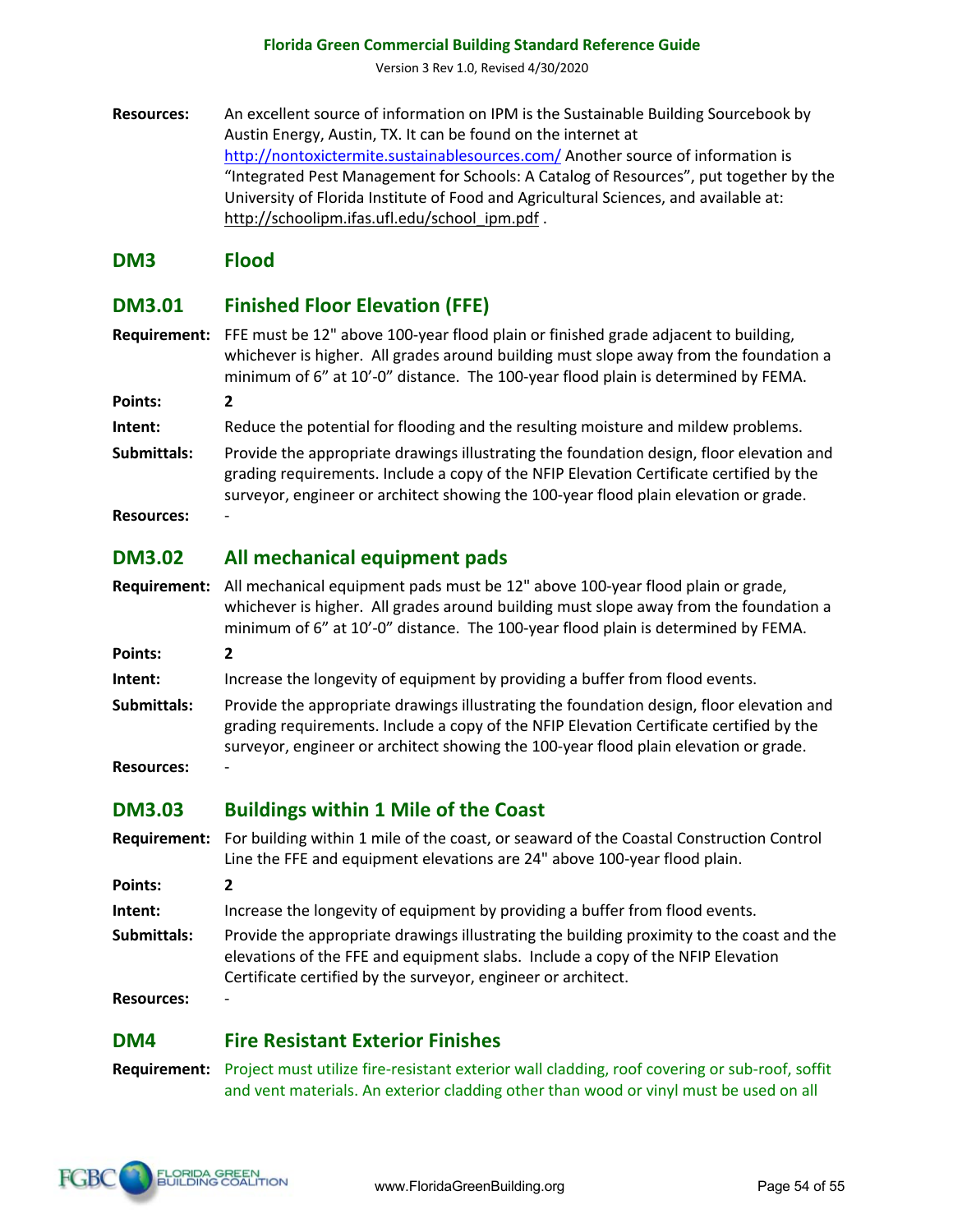Version 3 Rev 1.0, Revised 4/30/2020

**Resources:** An excellent source of information on IPM is the Sustainable Building Sourcebook by Austin Energy, Austin, TX. It can be found on the internet at http://nontoxictermite.sustainablesources.com/ Another source of information is "Integrated Pest Management for Schools: A Catalog of Resources", put together by the University of Florida Institute of Food and Agricultural Sciences, and available at: http://schoolipm.ifas.ufl.edu/school\_ipm.pdf.

#### **DM3 Flood**

### **DM3.01 Finished Floor Elevation (FFE)**

**Requirement:** FFE must be 12" above 100-year flood plain or finished grade adjacent to building, whichever is higher. All grades around building must slope away from the foundation a minimum of 6" at 10'-0" distance. The 100-year flood plain is determined by FEMA.

**Points: 2**

- **Intent:** Reduce the potential for flooding and the resulting moisture and mildew problems.
- **Submittals:** Provide the appropriate drawings illustrating the foundation design, floor elevation and grading requirements. Include a copy of the NFIP Elevation Certificate certified by the surveyor, engineer or architect showing the 100-year flood plain elevation or grade.
- **Resources:** -

# **DM3.02 All mechanical equipment pads**

- **Requirement:** All mechanical equipment pads must be 12" above 100-year flood plain or grade, whichever is higher. All grades around building must slope away from the foundation a minimum of 6" at 10'-0" distance. The 100-year flood plain is determined by FEMA.
- **Points: 2**
- **Intent:** Increase the longevity of equipment by providing a buffer from flood events.
- **Submittals:** Provide the appropriate drawings illustrating the foundation design, floor elevation and grading requirements. Include a copy of the NFIP Elevation Certificate certified by the surveyor, engineer or architect showing the 100-year flood plain elevation or grade.
- **Resources:** -

# **DM3.03 Buildings within 1 Mile of the Coast**

- **Requirement:** For building within 1 mile of the coast, or seaward of the Coastal Construction Control Line the FFE and equipment elevations are 24" above 100-year flood plain.
- **Points: 2**
- **Intent:** Increase the longevity of equipment by providing a buffer from flood events.
- **Submittals:** Provide the appropriate drawings illustrating the building proximity to the coast and the elevations of the FFE and equipment slabs. Include a copy of the NFIP Elevation Certificate certified by the surveyor, engineer or architect.

**Resources:** -

# **DM4 Fire Resistant Exterior Finishes**

**Requirement:** Project must utilize fire-resistant exterior wall cladding, roof covering or sub-roof, soffit and vent materials. An exterior cladding other than wood or vinyl must be used on all